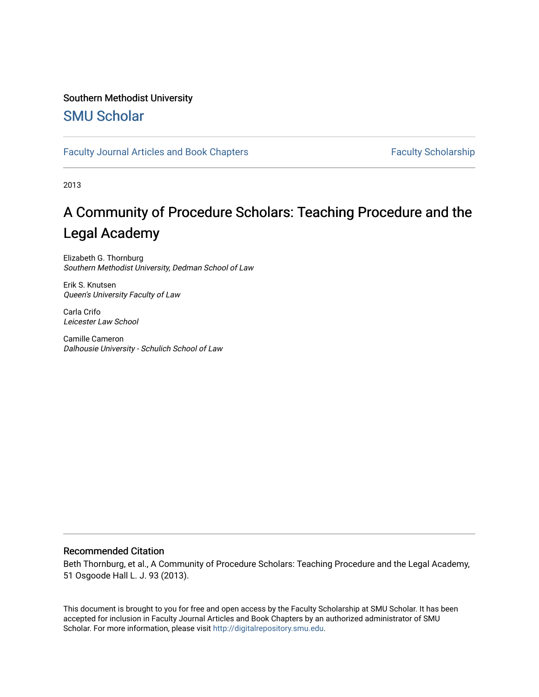## Southern Methodist University

## [SMU Scholar](https://scholar.smu.edu/)

## [Faculty Journal Articles and Book Chapters](https://scholar.smu.edu/law_faculty) Faculty Scholarship

2013

# A Community of Procedure Scholars: Teaching Procedure and the Legal Academy

Elizabeth G. Thornburg Southern Methodist University, Dedman School of Law

Erik S. Knutsen Queen's University Faculty of Law

Carla Crifo Leicester Law School

Camille Cameron Dalhousie University - Schulich School of Law

## Recommended Citation

Beth Thornburg, et al., A Community of Procedure Scholars: Teaching Procedure and the Legal Academy, 51 Osgoode Hall L. J. 93 (2013).

This document is brought to you for free and open access by the Faculty Scholarship at SMU Scholar. It has been accepted for inclusion in Faculty Journal Articles and Book Chapters by an authorized administrator of SMU Scholar. For more information, please visit [http://digitalrepository.smu.edu.](http://digitalrepository.smu.edu/)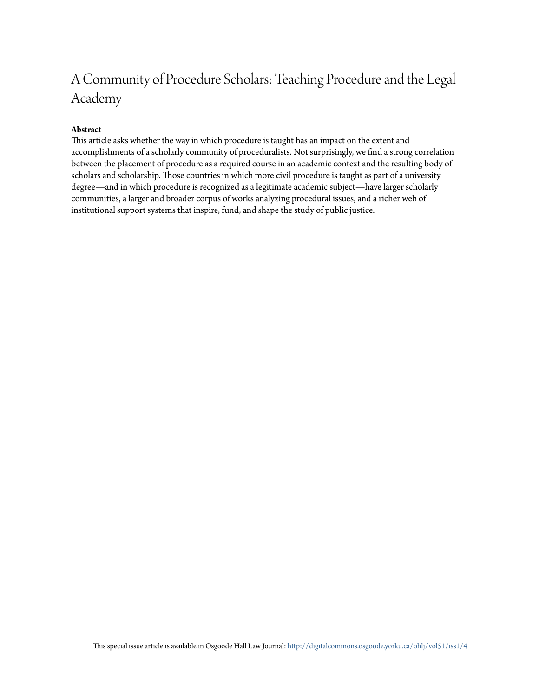# A Community of Procedure Scholars: Teaching Procedure and the Legal Academy

## **Abstract**

This article asks whether the way in which procedure is taught has an impact on the extent and accomplishments of a scholarly community of proceduralists. Not surprisingly, we find a strong correlation between the placement of procedure as a required course in an academic context and the resulting body of scholars and scholarship. Those countries in which more civil procedure is taught as part of a university degree—and in which procedure is recognized as a legitimate academic subject—have larger scholarly communities, a larger and broader corpus of works analyzing procedural issues, and a richer web of institutional support systems that inspire, fund, and shape the study of public justice.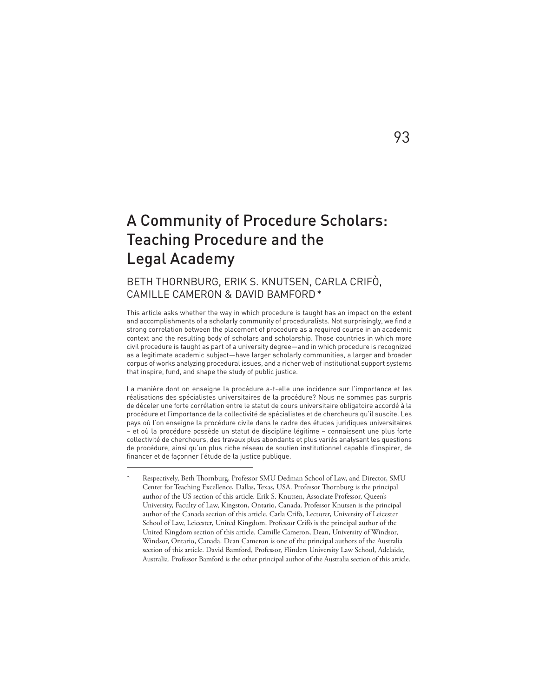# A Community of Procedure Scholars: Teaching Procedure and the Legal Academy

## BETH THORNBURG, ERIK S. KNUTSEN, CARLA CRIFÒ, CAMILLE CAMERON & DAVID BAMFORD\*

This article asks whether the way in which procedure is taught has an impact on the extent and accomplishments of a scholarly community of proceduralists. Not surprisingly, we find a strong correlation between the placement of procedure as a required course in an academic context and the resulting body of scholars and scholarship. Those countries in which more civil procedure is taught as part of a university degree—and in which procedure is recognized as a legitimate academic subject—have larger scholarly communities, a larger and broader corpus of works analyzing procedural issues, and a richer web of institutional support systems that inspire, fund, and shape the study of public justice.

La manière dont on enseigne la procédure a-t-elle une incidence sur l'importance et les réalisations des spécialistes universitaires de la procédure? Nous ne sommes pas surpris de déceler une forte corrélation entre le statut de cours universitaire obligatoire accordé à la procédure et l'importance de la collectivité de spécialistes et de chercheurs qu'il suscite. Les pays où l'on enseigne la procédure civile dans le cadre des études juridiques universitaires – et où la procédure possède un statut de discipline légitime – connaissent une plus forte collectivité de chercheurs, des travaux plus abondants et plus variés analysant les questions de procédure, ainsi qu'un plus riche réseau de soutien institutionnel capable d'inspirer, de financer et de façonner l'étude de la justice publique.

## 93

Respectively, Beth Thornburg, Professor SMU Dedman School of Law, and Director, SMU Center for Teaching Excellence, Dallas, Texas, USA. Professor Thornburg is the principal author of the US section of this article. Erik S. Knutsen, Associate Professor, Queen's University, Faculty of Law, Kingston, Ontario, Canada. Professor Knutsen is the principal author of the Canada section of this article. Carla Crifò, Lecturer, University of Leicester School of Law, Leicester, United Kingdom. Professor Crifò is the principal author of the United Kingdom section of this article. Camille Cameron, Dean, University of Windsor, Windsor, Ontario, Canada. Dean Cameron is one of the principal authors of the Australia section of this article. David Bamford, Professor, Flinders University Law School, Adelaide, Australia. Professor Bamford is the other principal author of the Australia section of this article.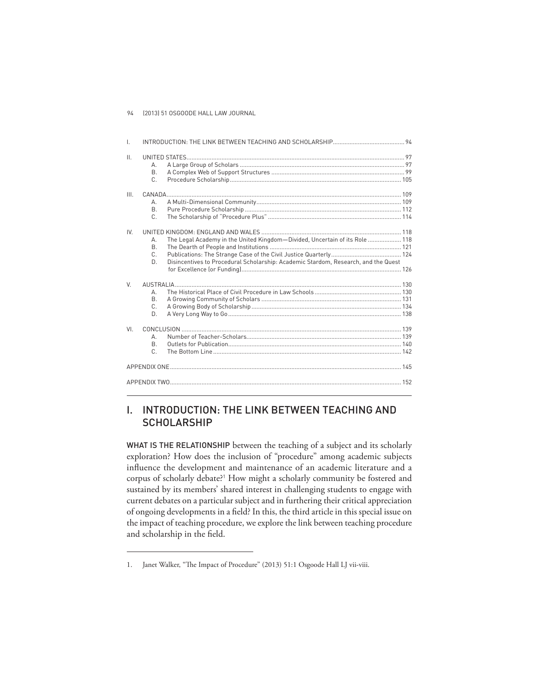| $\mathbf{L}$    |                                 |                                                                                                                                                                   |  |
|-----------------|---------------------------------|-------------------------------------------------------------------------------------------------------------------------------------------------------------------|--|
| $\mathbf{II}$ . | А.<br>B.<br>C.                  |                                                                                                                                                                   |  |
| III.            | А.<br><b>B.</b><br>$\mathsf{C}$ |                                                                                                                                                                   |  |
| IV              | А.<br><sub>R</sub><br>C.<br>D.  | The Legal Academy in the United Kingdom-Divided, Uncertain of its Role  118<br>Disincentives to Procedural Scholarship: Academic Stardom, Research, and the Quest |  |
| V               | $\Delta$<br>B.<br>$C_{-}$<br>D. |                                                                                                                                                                   |  |
| VI              | $\Delta$<br><sub>R</sub><br>C.  |                                                                                                                                                                   |  |
|                 |                                 |                                                                                                                                                                   |  |
|                 |                                 |                                                                                                                                                                   |  |

## I. INTRODUCTION: THE LINK BETWEEN TEACHING AND **SCHOLARSHIP**

WHAT IS THE RELATIONSHIP between the teaching of a subject and its scholarly exploration? How does the inclusion of "procedure" among academic subjects influence the development and maintenance of an academic literature and a corpus of scholarly debate?<sup>1</sup> How might a scholarly community be fostered and sustained by its members' shared interest in challenging students to engage with current debates on a particular subject and in furthering their critical appreciation of ongoing developments in a field? In this, the third article in this special issue on the impact of teaching procedure, we explore the link between teaching procedure and scholarship in the field.

<sup>1.</sup> Janet Walker, "The Impact of Procedure" (2013) 51:1 Osgoode Hall LJ vii-viii.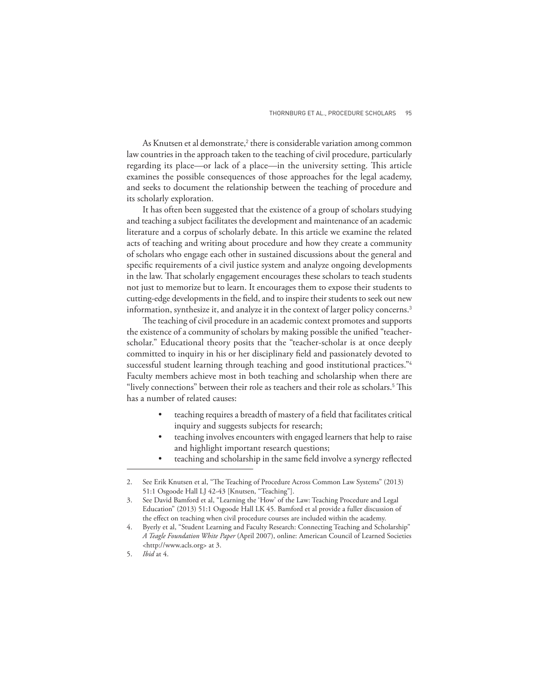As Knutsen et al demonstrate,<sup>2</sup> there is considerable variation among common law countries in the approach taken to the teaching of civil procedure, particularly regarding its place—or lack of a place—in the university setting. This article examines the possible consequences of those approaches for the legal academy, and seeks to document the relationship between the teaching of procedure and its scholarly exploration.

It has often been suggested that the existence of a group of scholars studying and teaching a subject facilitates the development and maintenance of an academic literature and a corpus of scholarly debate. In this article we examine the related acts of teaching and writing about procedure and how they create a community of scholars who engage each other in sustained discussions about the general and specific requirements of a civil justice system and analyze ongoing developments in the law. That scholarly engagement encourages these scholars to teach students not just to memorize but to learn. It encourages them to expose their students to cutting-edge developments in the field, and to inspire their students to seek out new information, synthesize it, and analyze it in the context of larger policy concerns.<sup>3</sup>

The teaching of civil procedure in an academic context promotes and supports the existence of a community of scholars by making possible the unified "teacherscholar." Educational theory posits that the "teacher-scholar is at once deeply committed to inquiry in his or her disciplinary field and passionately devoted to successful student learning through teaching and good institutional practices."4 Faculty members achieve most in both teaching and scholarship when there are "lively connections" between their role as teachers and their role as scholars.<sup>5</sup> This has a number of related causes:

- teaching requires a breadth of mastery of a field that facilitates critical inquiry and suggests subjects for research;
- teaching involves encounters with engaged learners that help to raise and highlight important research questions;
- teaching and scholarship in the same field involve a synergy reflected

See Erik Knutsen et al, "The Teaching of Procedure Across Common Law Systems" (2013) 51:1 Osgoode Hall LJ 42-43 [Knutsen, "Teaching"].

<sup>3.</sup> See David Bamford et al, "Learning the 'How' of the Law: Teaching Procedure and Legal Education" (2013) 51:1 Osgoode Hall LK 45. Bamford et al provide a fuller discussion of the effect on teaching when civil procedure courses are included within the academy.

Byerly et al, "Student Learning and Faculty Research: Connecting Teaching and Scholarship" *A Teagle Foundation White Paper* (April 2007), online: American Council of Learned Societies <http://www.acls.org> at 3.

<sup>5.</sup> *Ibid* at 4.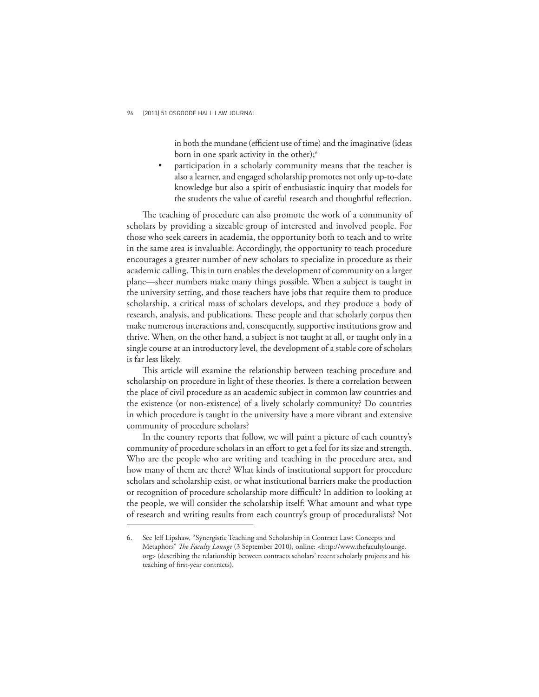in both the mundane (efficient use of time) and the imaginative (ideas born in one spark activity in the other);<sup>6</sup>

participation in a scholarly community means that the teacher is also a learner, and engaged scholarship promotes not only up-to-date knowledge but also a spirit of enthusiastic inquiry that models for the students the value of careful research and thoughtful reflection.

The teaching of procedure can also promote the work of a community of scholars by providing a sizeable group of interested and involved people. For those who seek careers in academia, the opportunity both to teach and to write in the same area is invaluable. Accordingly, the opportunity to teach procedure encourages a greater number of new scholars to specialize in procedure as their academic calling. This in turn enables the development of community on a larger plane—sheer numbers make many things possible. When a subject is taught in the university setting, and those teachers have jobs that require them to produce scholarship, a critical mass of scholars develops, and they produce a body of research, analysis, and publications. These people and that scholarly corpus then make numerous interactions and, consequently, supportive institutions grow and thrive. When, on the other hand, a subject is not taught at all, or taught only in a single course at an introductory level, the development of a stable core of scholars is far less likely.

This article will examine the relationship between teaching procedure and scholarship on procedure in light of these theories. Is there a correlation between the place of civil procedure as an academic subject in common law countries and the existence (or non-existence) of a lively scholarly community? Do countries in which procedure is taught in the university have a more vibrant and extensive community of procedure scholars?

In the country reports that follow, we will paint a picture of each country's community of procedure scholars in an effort to get a feel for its size and strength. Who are the people who are writing and teaching in the procedure area, and how many of them are there? What kinds of institutional support for procedure scholars and scholarship exist, or what institutional barriers make the production or recognition of procedure scholarship more difficult? In addition to looking at the people, we will consider the scholarship itself: What amount and what type of research and writing results from each country's group of proceduralists? Not

<sup>6.</sup> See Jeff Lipshaw, "Synergistic Teaching and Scholarship in Contract Law: Concepts and Metaphors" *The Faculty Lounge* (3 September 2010), online: <http://www.thefacultylounge. org> (describing the relationship between contracts scholars' recent scholarly projects and his teaching of first-year contracts).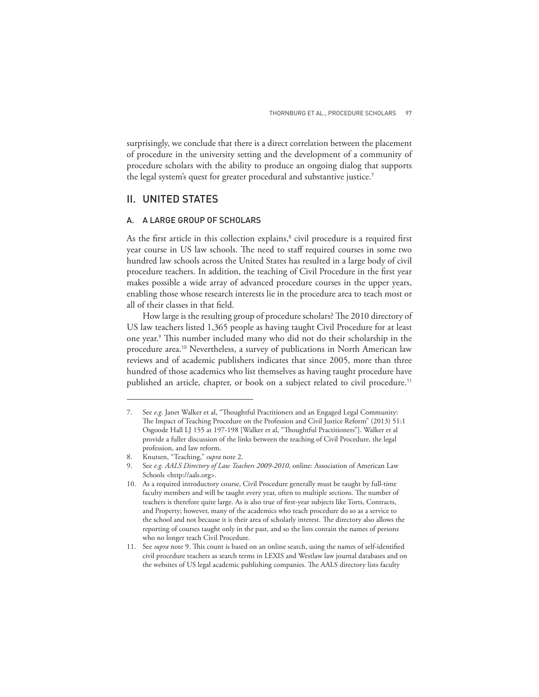surprisingly, we conclude that there is a direct correlation between the placement of procedure in the university setting and the development of a community of procedure scholars with the ability to produce an ongoing dialog that supports the legal system's quest for greater procedural and substantive justice.<sup>7</sup>

## II. UNITED STATES

#### A. A LARGE GROUP OF SCHOLARS

As the first article in this collection explains,<sup>8</sup> civil procedure is a required first year course in US law schools. The need to staff required courses in some two hundred law schools across the United States has resulted in a large body of civil procedure teachers. In addition, the teaching of Civil Procedure in the first year makes possible a wide array of advanced procedure courses in the upper years, enabling those whose research interests lie in the procedure area to teach most or all of their classes in that field.

How large is the resulting group of procedure scholars? The 2010 directory of US law teachers listed 1,365 people as having taught Civil Procedure for at least one year.<sup>9</sup> This number included many who did not do their scholarship in the procedure area.10 Nevertheless, a survey of publications in North American law reviews and of academic publishers indicates that since 2005, more than three hundred of those academics who list themselves as having taught procedure have published an article, chapter, or book on a subject related to civil procedure.<sup>11</sup>

<sup>7.</sup> See *e.g.* Janet Walker et al, "Thoughtful Practitioners and an Engaged Legal Community: The Impact of Teaching Procedure on the Profession and Civil Justice Reform" (2013) 51:1 Osgoode Hall LJ 155 at 197-198 [Walker et al, "Thoughtful Practitioners"]. Walker et al provide a fuller discussion of the links between the teaching of Civil Procedure, the legal profession, and law reform.

<sup>8.</sup> Knutsen, "Teaching," *supra* note 2.

<sup>9.</sup> See *e.g. AALS Directory of Law Teachers 2009-2010*, online: Association of American Law Schools <http://aals.org>.

<sup>10.</sup> As a required introductory course, Civil Procedure generally must be taught by full-time faculty members and will be taught every year, often to multiple sections. The number of teachers is therefore quite large. As is also true of first-year subjects like Torts, Contracts, and Property; however, many of the academics who teach procedure do so as a service to the school and not because it is their area of scholarly interest. The directory also allows the reporting of courses taught only in the past, and so the lists contain the names of persons who no longer teach Civil Procedure.

<sup>11.</sup> See *supra* note 9. This count is based on an online search, using the names of self-identified civil procedure teachers as search terms in LEXIS and Westlaw law journal databases and on the websites of US legal academic publishing companies. The AALS directory lists faculty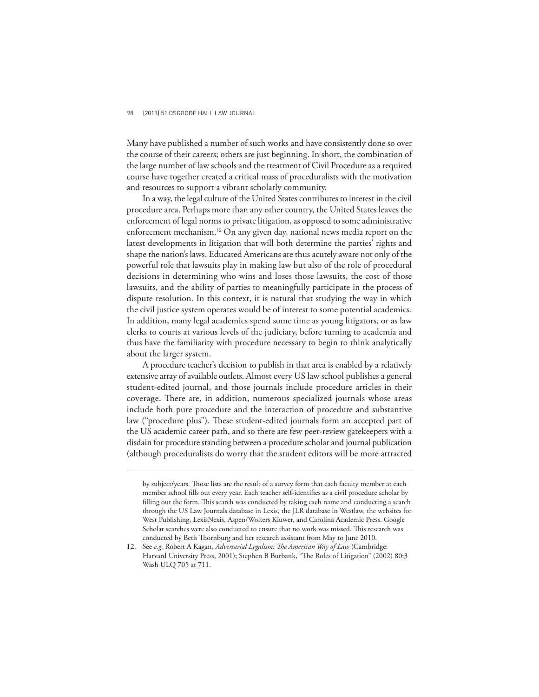Many have published a number of such works and have consistently done so over the course of their careers; others are just beginning. In short, the combination of the large number of law schools and the treatment of Civil Procedure as a required course have together created a critical mass of proceduralists with the motivation and resources to support a vibrant scholarly community.

In a way, the legal culture of the United States contributes to interest in the civil procedure area. Perhaps more than any other country, the United States leaves the enforcement of legal norms to private litigation, as opposed to some administrative enforcement mechanism.12 On any given day, national news media report on the latest developments in litigation that will both determine the parties' rights and shape the nation's laws. Educated Americans are thus acutely aware not only of the powerful role that lawsuits play in making law but also of the role of procedural decisions in determining who wins and loses those lawsuits, the cost of those lawsuits, and the ability of parties to meaningfully participate in the process of dispute resolution. In this context, it is natural that studying the way in which the civil justice system operates would be of interest to some potential academics. In addition, many legal academics spend some time as young litigators, or as law clerks to courts at various levels of the judiciary, before turning to academia and thus have the familiarity with procedure necessary to begin to think analytically about the larger system.

A procedure teacher's decision to publish in that area is enabled by a relatively extensive array of available outlets. Almost every US law school publishes a general student-edited journal, and those journals include procedure articles in their coverage. There are, in addition, numerous specialized journals whose areas include both pure procedure and the interaction of procedure and substantive law ("procedure plus"). These student-edited journals form an accepted part of the US academic career path, and so there are few peer-review gatekeepers with a disdain for procedure standing between a procedure scholar and journal publication (although proceduralists do worry that the student editors will be more attracted

by subject/years. Those lists are the result of a survey form that each faculty member at each member school fills out every year. Each teacher self-identifies as a civil procedure scholar by filling out the form. This search was conducted by taking each name and conducting a search through the US Law Journals database in Lexis, the JLR database in Westlaw, the websites for West Publishing, LexisNexis, Aspen/Wolters Kluwer, and Carolina Academic Press. Google Scholar searches were also conducted to ensure that no work was missed. This research was conducted by Beth Thornburg and her research assistant from May to June 2010.

<sup>12.</sup> See e.g. Robert A Kagan, Adversarial Legalism: The American Way of Law (Cambridge: Harvard University Press, 2001); Stephen B Burbank, "The Roles of Litigation" (2002) 80:3 Wash ULQ 705 at 711.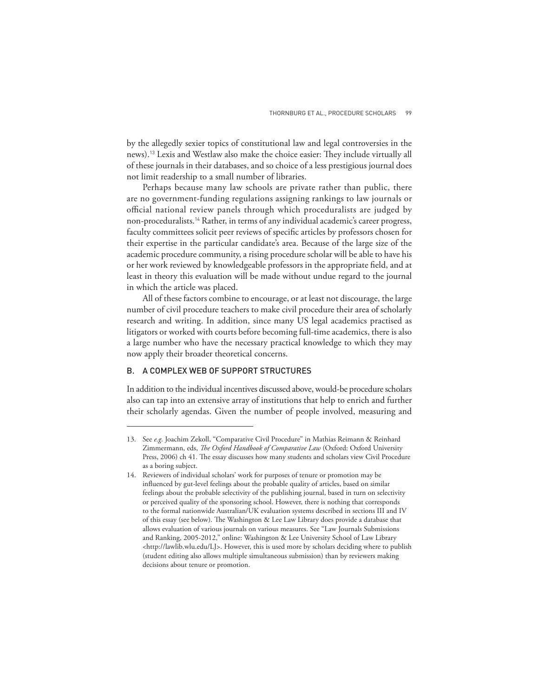by the allegedly sexier topics of constitutional law and legal controversies in the news).<sup>13</sup> Lexis and Westlaw also make the choice easier: They include virtually all of these journals in their databases, and so choice of a less prestigious journal does not limit readership to a small number of libraries.

Perhaps because many law schools are private rather than public, there are no government-funding regulations assigning rankings to law journals or official national review panels through which proceduralists are judged by non-proceduralists.14 Rather, in terms of any individual academic's career progress, faculty committees solicit peer reviews of specific articles by professors chosen for their expertise in the particular candidate's area. Because of the large size of the academic procedure community, a rising procedure scholar will be able to have his or her work reviewed by knowledgeable professors in the appropriate field, and at least in theory this evaluation will be made without undue regard to the journal in which the article was placed.

All of these factors combine to encourage, or at least not discourage, the large number of civil procedure teachers to make civil procedure their area of scholarly research and writing. In addition, since many US legal academics practised as litigators or worked with courts before becoming full-time academics, there is also a large number who have the necessary practical knowledge to which they may now apply their broader theoretical concerns.

## B. A COMPLEX WEB OF SUPPORT STRUCTURES

In addition to the individual incentives discussed above, would-be procedure scholars also can tap into an extensive array of institutions that help to enrich and further their scholarly agendas. Given the number of people involved, measuring and

<sup>13.</sup> See *e.g.* Joachim Zekoll, "Comparative Civil Procedure" in Mathias Reimann & Reinhard Zimmermann, eds, *The Oxford Handbook of Comparative Law* (Oxford: Oxford University Press, 2006) ch 41. The essay discusses how many students and scholars view Civil Procedure as a boring subject.

<sup>14.</sup> Reviewers of individual scholars' work for purposes of tenure or promotion may be influenced by gut-level feelings about the probable quality of articles, based on similar feelings about the probable selectivity of the publishing journal, based in turn on selectivity or perceived quality of the sponsoring school. However, there is nothing that corresponds to the formal nationwide Australian/UK evaluation systems described in sections III and IV of this essay (see below). The Washington & Lee Law Library does provide a database that allows evaluation of various journals on various measures. See "Law Journals Submissions and Ranking, 2005-2012," online: Washington & Lee University School of Law Library <http://lawlib.wlu.edu/LJ>. However, this is used more by scholars deciding where to publish (student editing also allows multiple simultaneous submission) than by reviewers making decisions about tenure or promotion.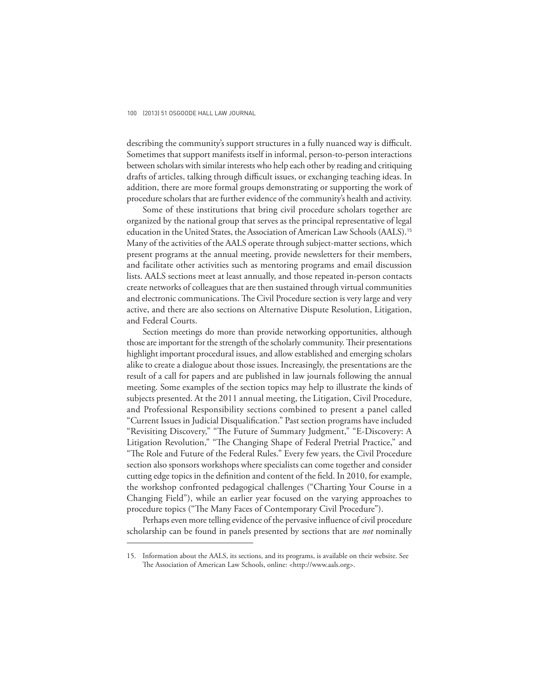describing the community's support structures in a fully nuanced way is difficult. Sometimes that support manifests itself in informal, person-to-person interactions between scholars with similar interests who help each other by reading and critiquing drafts of articles, talking through difficult issues, or exchanging teaching ideas. In addition, there are more formal groups demonstrating or supporting the work of procedure scholars that are further evidence of the community's health and activity.

Some of these institutions that bring civil procedure scholars together are organized by the national group that serves as the principal representative of legal education in the United States, the Association of American Law Schools (AALS).<sup>15</sup> Many of the activities of the AALS operate through subject-matter sections, which present programs at the annual meeting, provide newsletters for their members, and facilitate other activities such as mentoring programs and email discussion lists. AALS sections meet at least annually, and those repeated in-person contacts create networks of colleagues that are then sustained through virtual communities and electronic communications. The Civil Procedure section is very large and very active, and there are also sections on Alternative Dispute Resolution, Litigation, and Federal Courts.

Section meetings do more than provide networking opportunities, although those are important for the strength of the scholarly community. Their presentations highlight important procedural issues, and allow established and emerging scholars alike to create a dialogue about those issues. Increasingly, the presentations are the result of a call for papers and are published in law journals following the annual meeting. Some examples of the section topics may help to illustrate the kinds of subjects presented. At the 2011 annual meeting, the Litigation, Civil Procedure, and Professional Responsibility sections combined to present a panel called "Current Issues in Judicial Disqualification." Past section programs have included "Revisiting Discovery," "The Future of Summary Judgment," "E-Discovery: A Litigation Revolution," "The Changing Shape of Federal Pretrial Practice," and "The Role and Future of the Federal Rules." Every few years, the Civil Procedure section also sponsors workshops where specialists can come together and consider cutting edge topics in the definition and content of the field. In 2010, for example, the workshop confronted pedagogical challenges ("Charting Your Course in a Changing Field"), while an earlier year focused on the varying approaches to procedure topics ("The Many Faces of Contemporary Civil Procedure").

Perhaps even more telling evidence of the pervasive influence of civil procedure scholarship can be found in panels presented by sections that are *not* nominally

<sup>15.</sup> Information about the AALS, its sections, and its programs, is available on their website. See The Association of American Law Schools, online: <http://www.aals.org>.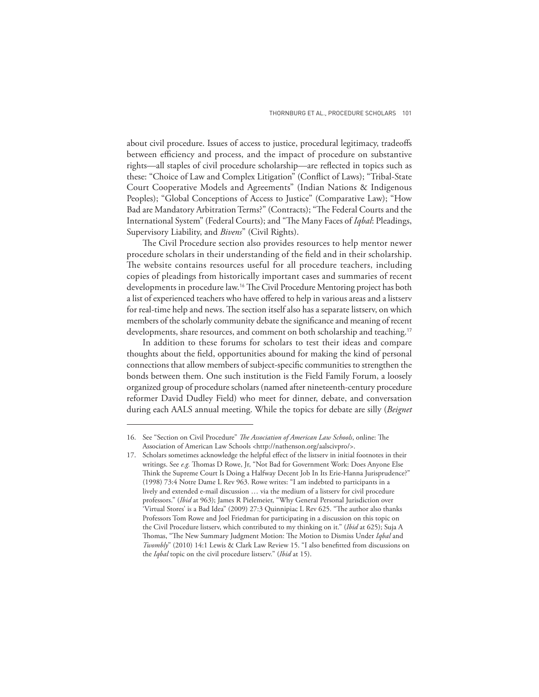about civil procedure. Issues of access to justice, procedural legitimacy, tradeoffs between efficiency and process, and the impact of procedure on substantive rights—all staples of civil procedure scholarship—are reflected in topics such as these: "Choice of Law and Complex Litigation" (Conflict of Laws); "Tribal-State Court Cooperative Models and Agreements" (Indian Nations & Indigenous Peoples); "Global Conceptions of Access to Justice" (Comparative Law); "How Bad are Mandatory Arbitration Terms?" (Contracts); "The Federal Courts and the International System" (Federal Courts); and "The Many Faces of *Iqbal*: Pleadings, Supervisory Liability, and *Bivens*" (Civil Rights).

The Civil Procedure section also provides resources to help mentor newer procedure scholars in their understanding of the field and in their scholarship. The website contains resources useful for all procedure teachers, including copies of pleadings from historically important cases and summaries of recent developments in procedure law.<sup>16</sup> The Civil Procedure Mentoring project has both a list of experienced teachers who have offered to help in various areas and a listserv for real-time help and news. The section itself also has a separate listserv, on which members of the scholarly community debate the significance and meaning of recent developments, share resources, and comment on both scholarship and teaching.<sup>17</sup>

In addition to these forums for scholars to test their ideas and compare thoughts about the field, opportunities abound for making the kind of personal connections that allow members of subject-specific communities to strengthen the bonds between them. One such institution is the Field Family Forum, a loosely organized group of procedure scholars (named after nineteenth-century procedure reformer David Dudley Field) who meet for dinner, debate, and conversation during each AALS annual meeting. While the topics for debate are silly (*Beignet* 

<sup>16.</sup> See "Section on Civil Procedure" *The Association of American Law Schools*, online: The Association of American Law Schools <http://nathenson.org/aalscivpro/>.

<sup>17.</sup> Scholars sometimes acknowledge the helpful effect of the listserv in initial footnotes in their writings. See e.g. Thomas D Rowe, Jr, "Not Bad for Government Work: Does Anyone Else Think the Supreme Court Is Doing a Halfway Decent Job In Its Erie-Hanna Jurisprudence?" (1998) 73:4 Notre Dame L Rev 963. Rowe writes: "I am indebted to participants in a lively and extended e-mail discussion … via the medium of a listserv for civil procedure professors." (*Ibid* at 963); James R Pielemeier, "Why General Personal Jurisdiction over 'Virtual Stores' is a Bad Idea" (2009) 27:3 Quinnipiac L Rev 625. "The author also thanks Professors Tom Rowe and Joel Friedman for participating in a discussion on this topic on the Civil Procedure listserv, which contributed to my thinking on it." (*Ibid* at 625); Suja A Thomas, "The New Summary Judgment Motion: The Motion to Dismiss Under *Iqbal* and *Twombly*" (2010) 14:1 Lewis & Clark Law Review 15. "I also benefitted from discussions on the *Iqbal* topic on the civil procedure listserv." (*Ibid* at 15).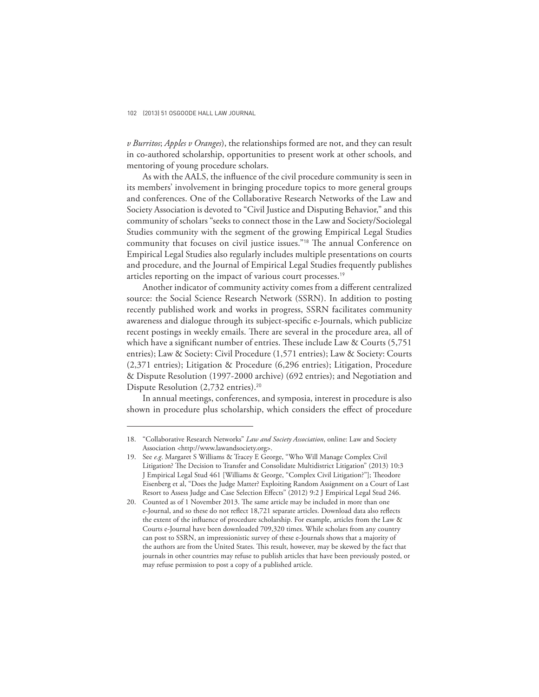*v Burritos*; *Apples v Oranges*), the relationships formed are not, and they can result in co-authored scholarship, opportunities to present work at other schools, and mentoring of young procedure scholars.

As with the AALS, the influence of the civil procedure community is seen in its members' involvement in bringing procedure topics to more general groups and conferences. One of the Collaborative Research Networks of the Law and Society Association is devoted to "Civil Justice and Disputing Behavior," and this community of scholars "seeks to connect those in the Law and Society/Sociolegal Studies community with the segment of the growing Empirical Legal Studies community that focuses on civil justice issues."<sup>18</sup> The annual Conference on Empirical Legal Studies also regularly includes multiple presentations on courts and procedure, and the Journal of Empirical Legal Studies frequently publishes articles reporting on the impact of various court processes.<sup>19</sup>

Another indicator of community activity comes from a different centralized source: the Social Science Research Network (SSRN). In addition to posting recently published work and works in progress, SSRN facilitates community awareness and dialogue through its subject-specific e-Journals, which publicize recent postings in weekly emails. There are several in the procedure area, all of which have a significant number of entries. These include Law & Courts  $(5,751)$ entries); Law & Society: Civil Procedure (1,571 entries); Law & Society: Courts (2,371 entries); Litigation & Procedure (6,296 entries); Litigation, Procedure & Dispute Resolution (1997-2000 archive) (692 entries); and Negotiation and Dispute Resolution (2,732 entries).<sup>20</sup>

In annual meetings, conferences, and symposia, interest in procedure is also shown in procedure plus scholarship, which considers the effect of procedure

<sup>18. &</sup>quot;Collaborative Research Networks" *Law and Society Association*, online: Law and Society Association <http://www.lawandsociety.org>.

<sup>19.</sup> See *e.g*. Margaret S Williams & Tracey E George, "Who Will Manage Complex Civil Litigation? The Decision to Transfer and Consolidate Multidistrict Litigation" (2013) 10:3 J Empirical Legal Stud 461 [Williams & George, "Complex Civil Litigation?"]; Theodore Eisenberg et al, "Does the Judge Matter? Exploiting Random Assignment on a Court of Last Resort to Assess Judge and Case Selection Effects" (2012) 9:2 J Empirical Legal Stud 246.

<sup>20.</sup> Counted as of 1 November 2013. The same article may be included in more than one e-Journal, and so these do not reflect 18,721 separate articles. Download data also reflects the extent of the influence of procedure scholarship. For example, articles from the Law & Courts e-Journal have been downloaded 709,320 times. While scholars from any country can post to SSRN, an impressionistic survey of these e-Journals shows that a majority of the authors are from the United States. This result, however, may be skewed by the fact that journals in other countries may refuse to publish articles that have been previously posted, or may refuse permission to post a copy of a published article.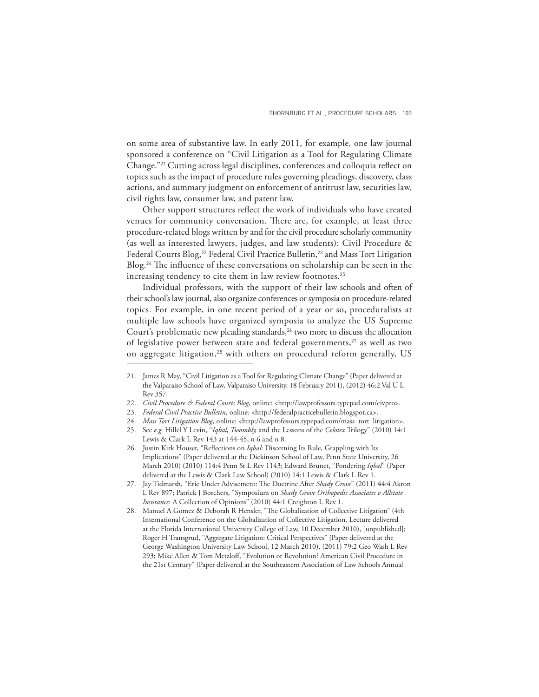on some area of substantive law. In early 2011, for example, one law journal sponsored a conference on "Civil Litigation as a Tool for Regulating Climate Change."<sup>21</sup> Cutting across legal disciplines, conferences and colloquia reflect on topics such as the impact of procedure rules governing pleadings, discovery, class actions, and summary judgment on enforcement of antitrust law, securities law, civil rights law, consumer law, and patent law.

Other support structures reflect the work of individuals who have created venues for community conversation. There are, for example, at least three procedure-related blogs written by and for the civil procedure scholarly community (as well as interested lawyers, judges, and law students): Civil Procedure & Federal Courts Blog,<sup>22</sup> Federal Civil Practice Bulletin,<sup>23</sup> and Mass Tort Litigation Blog.<sup>24</sup> The influence of these conversations on scholarship can be seen in the increasing tendency to cite them in law review footnotes.<sup>25</sup>

Individual professors, with the support of their law schools and often of their school's law journal, also organize conferences or symposia on procedure-related topics. For example, in one recent period of a year or so, proceduralists at multiple law schools have organized symposia to analyze the US Supreme Court's problematic new pleading standards, $26$  two more to discuss the allocation of legislative power between state and federal governments,<sup>27</sup> as well as two on aggregate litigation,<sup>28</sup> with others on procedural reform generally, US

<sup>21.</sup> James R May, "Civil Litigation as a Tool for Regulating Climate Change" (Paper delivered at the Valparaiso School of Law, Valparaiso University, 18 February 2011), (2012) 46:2 Val U L Rev 357.

<sup>22.</sup> *Civil Procedure & Federal Courts Blog*, online: <http://lawprofessors.typepad.com/civpro>.

<sup>23.</sup> *Federal Civil Practice Bulletin*, online: <http://federalpracticebulletin.blogspot.ca>.

<sup>24.</sup> *Mass Tort Litigation Blog*, online: <http://lawprofessors.typepad.com/mass\_tort\_litigation>.

<sup>25.</sup> See *e.g.* Hillel Y Levin, "*Iqbal, Twombly,* and the Lessons of the *Celotex* Trilogy" (2010) 14:1 Lewis & Clark L Rev 143 at 144-45, n 6 and n 8.

<sup>26.</sup> Justin Kirk Houser, "Reflections on *Iqbal*: Discerning Its Rule, Grappling with Its Implications" (Paper delivered at the Dickinson School of Law, Penn State University, 26 March 2010) (2010) 114:4 Penn St L Rev 1143; Edward Brunet, "Pondering *Iqbal*" (Paper delivered at the Lewis & Clark Law School) (2010) 14:1 Lewis & Clark L Rev 1.

<sup>27.</sup> Jay Tidmarsh, "Erie Under Advisement: The Doctrine After Shady Grove" (2011) 44:4 Akron L Rev 897; Patrick J Borchers, "Symposium on *Shady Grove Orthopedic Associates v Allstate Insurance*: A Collection of Opinions" (2010) 44:1 Creighton L Rev 1.

<sup>28.</sup> Manuel A Gomez & Deborah R Hensler, "The Globalization of Collective Litigation" (4th International Conference on the Globalization of Collective Litigation, Lecture delivered at the Florida International University College of Law, 10 December 2010), [unpublished]; Roger H Transgrud, "Aggregate Litigation: Critical Perspectives" (Paper delivered at the George Washington University Law School, 12 March 2010), (2011) 79:2 Geo Wash L Rev 293; Mike Allen & Tom Metzloff, "Evolution or Revolution? American Civil Procedure in the 21st Century" (Paper delivered at the Southeastern Association of Law Schools Annual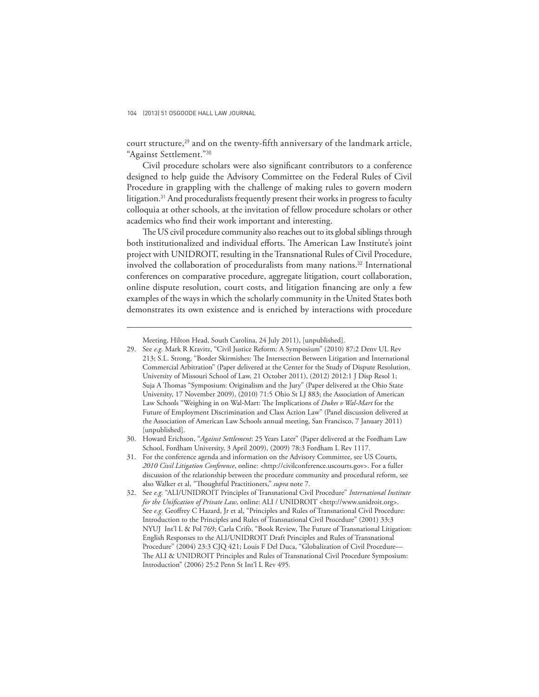court structure, $29$  and on the twenty-fifth anniversary of the landmark article, "Against Settlement."<sup>30</sup>

Civil procedure scholars were also significant contributors to a conference designed to help guide the Advisory Committee on the Federal Rules of Civil Procedure in grappling with the challenge of making rules to govern modern litigation.<sup>31</sup> And proceduralists frequently present their works in progress to faculty colloquia at other schools, at the invitation of fellow procedure scholars or other academics who find their work important and interesting.

The US civil procedure community also reaches out to its global siblings through both institutionalized and individual efforts. The American Law Institute's joint project with UNIDROIT, resulting in the Transnational Rules of Civil Procedure, involved the collaboration of proceduralists from many nations.<sup>32</sup> International conferences on comparative procedure, aggregate litigation, court collaboration, online dispute resolution, court costs, and litigation financing are only a few examples of the ways in which the scholarly community in the United States both demonstrates its own existence and is enriched by interactions with procedure

Meeting, Hilton Head, South Carolina, 24 July 2011), [unpublished].

<sup>29.</sup> See *e.g.* Mark R Kravitz, "Civil Justice Reform: A Symposium" (2010) 87:2 Denv UL Rev 213; S.L. Strong, "Border Skirmishes: The Intersection Between Litigation and International Commercial Arbitration" (Paper delivered at the Center for the Study of Dispute Resolution, University of Missouri School of Law, 21 October 2011), (2012) 2012:1 J Disp Resol 1; Suja A Thomas "Symposium: Originalism and the Jury" (Paper delivered at the Ohio State University, 17 November 2009), (2010) 71:5 Ohio St LJ 883; the Association of American Law Schools "Weighing in on Wal-Mart: The Implications of *Dukes v Wal-Mart* for the Future of Employment Discrimination and Class Action Law" (Panel discussion delivered at the Association of American Law Schools annual meeting, San Francisco, 7 January 2011) [unpublished].

<sup>30.</sup> Howard Erichson, "*Against Settlement*: 25 Years Later" (Paper delivered at the Fordham Law School, Fordham University, 3 April 2009), (2009) 78:3 Fordham L Rev 1117.

<sup>31.</sup> For the conference agenda and information on the Advisory Committee, see US Courts, *2010 Civil Litigation Conference*, online: <http://civilconference.uscourts.gov>. For a fuller discussion of the relationship between the procedure community and procedural reform, see also Walker et al, "Thoughtful Practitioners," *supra* note 7.

<sup>32.</sup> See *e.g.* "ALI/UNIDROIT Principles of Transnational Civil Procedure" *International Institute for the Unification of Private Law*, online: ALI / UNIDROIT <http://www.unidroit.org>. See e.g. Geoffrey C Hazard, Jr et al, "Principles and Rules of Transnational Civil Procedure: Introduction to the Principles and Rules of Transnational Civil Procedure" (2001) 33:3 NYUJ Int'l L & Pol 769; Carla Crifò, "Book Review, The Future of Transnational Litigation: English Responses to the ALI/UNIDROIT Draft Principles and Rules of Transnational Procedure" (2004) 23:3 CJQ 421; Louis F Del Duca, "Globalization of Civil Procedure— The ALI & UNIDROIT Principles and Rules of Transnational Civil Procedure Symposium: Introduction" (2006) 25:2 Penn St Int'l L Rev 495.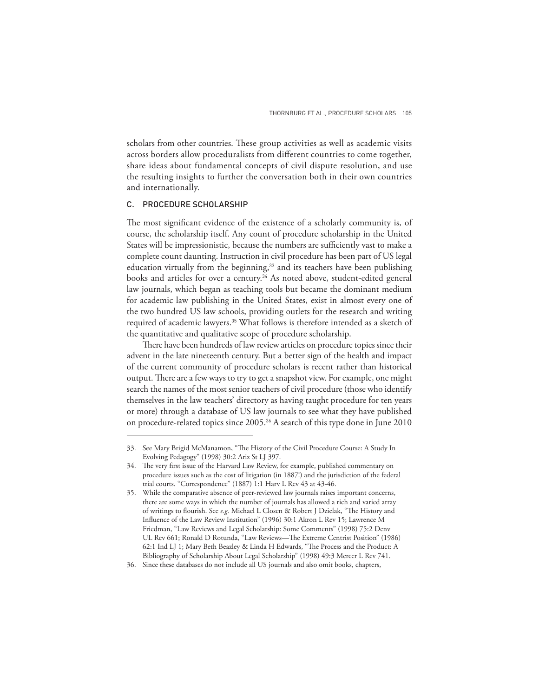scholars from other countries. These group activities as well as academic visits across borders allow proceduralists from different countries to come together, share ideas about fundamental concepts of civil dispute resolution, and use the resulting insights to further the conversation both in their own countries and internationally.

#### C. PROCEDURE SCHOLARSHIP

The most significant evidence of the existence of a scholarly community is, of course, the scholarship itself. Any count of procedure scholarship in the United States will be impressionistic, because the numbers are sufficiently vast to make a complete count daunting. Instruction in civil procedure has been part of US legal education virtually from the beginning,<sup>33</sup> and its teachers have been publishing books and articles for over a century.<sup>34</sup> As noted above, student-edited general law journals, which began as teaching tools but became the dominant medium for academic law publishing in the United States, exist in almost every one of the two hundred US law schools, providing outlets for the research and writing required of academic lawyers.35 What follows is therefore intended as a sketch of the quantitative and qualitative scope of procedure scholarship.

There have been hundreds of law review articles on procedure topics since their advent in the late nineteenth century. But a better sign of the health and impact of the current community of procedure scholars is recent rather than historical output. There are a few ways to try to get a snapshot view. For example, one might search the names of the most senior teachers of civil procedure (those who identify themselves in the law teachers' directory as having taught procedure for ten years or more) through a database of US law journals to see what they have published on procedure-related topics since 2005.<sup>36</sup> A search of this type done in June 2010

<sup>33.</sup> See Mary Brigid McManamon, "The History of the Civil Procedure Course: A Study In Evolving Pedagogy" (1998) 30:2 Ariz St LJ 397.

<sup>34.</sup> The very first issue of the Harvard Law Review, for example, published commentary on procedure issues such as the cost of litigation (in 1887!) and the jurisdiction of the federal trial courts. "Correspondence" (1887) 1:1 Harv L Rev 43 at 43-46.

<sup>35.</sup> While the comparative absence of peer-reviewed law journals raises important concerns, there are some ways in which the number of journals has allowed a rich and varied array of writings to flourish. See *e.g*. Michael L Closen & Robert J Dzielak, "The History and Influence of the Law Review Institution" (1996) 30:1 Akron L Rev 15; Lawrence M Friedman, "Law Reviews and Legal Scholarship: Some Comments" (1998) 75:2 Denv UL Rev 661; Ronald D Rotunda, "Law Reviews—The Extreme Centrist Position" (1986) 62:1 Ind LJ 1; Mary Beth Beazley & Linda H Edwards, "The Process and the Product: A Bibliography of Scholarship About Legal Scholarship" (1998) 49:3 Mercer L Rev 741.

<sup>36.</sup> Since these databases do not include all US journals and also omit books, chapters,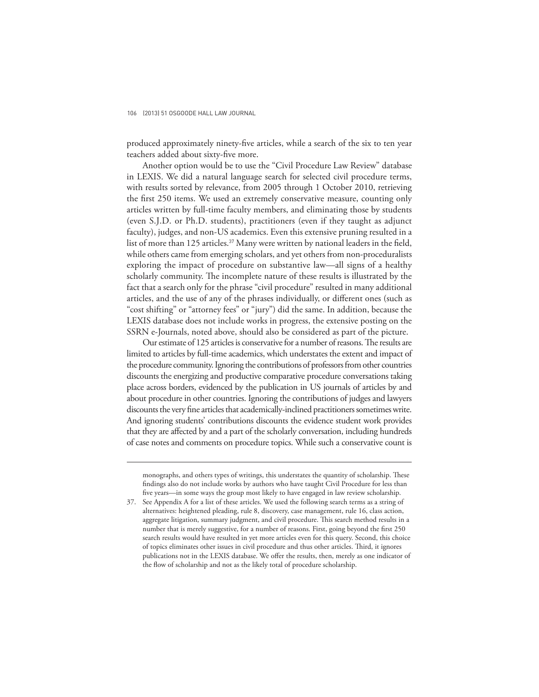produced approximately ninety-five articles, while a search of the six to ten year teachers added about sixty-five more.

Another option would be to use the "Civil Procedure Law Review" database in LEXIS. We did a natural language search for selected civil procedure terms, with results sorted by relevance, from 2005 through 1 October 2010, retrieving the first 250 items. We used an extremely conservative measure, counting only articles written by full-time faculty members, and eliminating those by students (even S.J.D. or Ph.D. students), practitioners (even if they taught as adjunct faculty), judges, and non-US academics. Even this extensive pruning resulted in a list of more than 125 articles.<sup>37</sup> Many were written by national leaders in the field, while others came from emerging scholars, and yet others from non-proceduralists exploring the impact of procedure on substantive law—all signs of a healthy scholarly community. The incomplete nature of these results is illustrated by the fact that a search only for the phrase "civil procedure" resulted in many additional articles, and the use of any of the phrases individually, or different ones (such as "cost shifting" or "attorney fees" or "jury") did the same. In addition, because the LEXIS database does not include works in progress, the extensive posting on the SSRN e-Journals, noted above, should also be considered as part of the picture.

Our estimate of 125 articles is conservative for a number of reasons. The results are limited to articles by full-time academics, which understates the extent and impact of the procedure community. Ignoring the contributions of professors from other countries discounts the energizing and productive comparative procedure conversations taking place across borders, evidenced by the publication in US journals of articles by and about procedure in other countries. Ignoring the contributions of judges and lawyers discounts the very fine articles that academically-inclined practitioners sometimes write. And ignoring students' contributions discounts the evidence student work provides that they are affected by and a part of the scholarly conversation, including hundreds of case notes and comments on procedure topics. While such a conservative count is

monographs, and others types of writings, this understates the quantity of scholarship. These findings also do not include works by authors who have taught Civil Procedure for less than five years—in some ways the group most likely to have engaged in law review scholarship.

<sup>37.</sup> See Appendix A for a list of these articles. We used the following search terms as a string of alternatives: heightened pleading, rule 8, discovery, case management, rule 16, class action, aggregate litigation, summary judgment, and civil procedure. This search method results in a number that is merely suggestive, for a number of reasons. First, going beyond the first 250 search results would have resulted in yet more articles even for this query. Second, this choice of topics eliminates other issues in civil procedure and thus other articles. Third, it ignores publications not in the LEXIS database. We offer the results, then, merely as one indicator of the flow of scholarship and not as the likely total of procedure scholarship.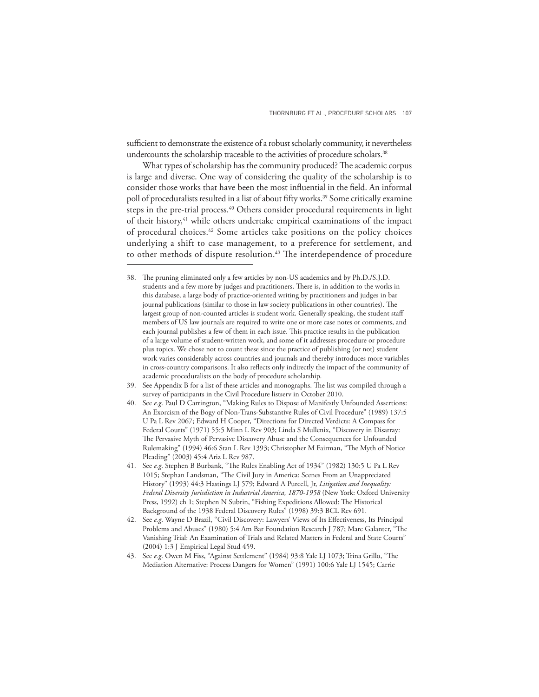sufficient to demonstrate the existence of a robust scholarly community, it nevertheless undercounts the scholarship traceable to the activities of procedure scholars.<sup>38</sup>

What types of scholarship has the community produced? The academic corpus is large and diverse. One way of considering the quality of the scholarship is to consider those works that have been the most influential in the field. An informal poll of proceduralists resulted in a list of about fifty works.<sup>39</sup> Some critically examine steps in the pre-trial process.<sup>40</sup> Others consider procedural requirements in light of their history,<sup>41</sup> while others undertake empirical examinations of the impact of procedural choices.42 Some articles take positions on the policy choices underlying a shift to case management, to a preference for settlement, and to other methods of dispute resolution.<sup>43</sup> The interdependence of procedure

43. See e.g. Owen M Fiss, "Against Settlement" (1984) 93:8 Yale LJ 1073; Trina Grillo, "The Mediation Alternative: Process Dangers for Women" (1991) 100:6 Yale LJ 1545; Carrie

<sup>38.</sup> The pruning eliminated only a few articles by non-US academics and by Ph.D./S.J.D. students and a few more by judges and practitioners. There is, in addition to the works in this database, a large body of practice-oriented writing by practitioners and judges in bar journal publications (similar to those in law society publications in other countries). The largest group of non-counted articles is student work. Generally speaking, the student staff members of US law journals are required to write one or more case notes or comments, and each journal publishes a few of them in each issue. This practice results in the publication of a large volume of student-written work, and some of it addresses procedure or procedure plus topics. We chose not to count these since the practice of publishing (or not) student work varies considerably across countries and journals and thereby introduces more variables in cross-country comparisons. It also reflects only indirectly the impact of the community of academic proceduralists on the body of procedure scholarship.

<sup>39.</sup> See Appendix B for a list of these articles and monographs. The list was compiled through a survey of participants in the Civil Procedure listserv in October 2010.

<sup>40.</sup> See *e.g*. Paul D Carrington, "Making Rules to Dispose of Manifestly Unfounded Assertions: An Exorcism of the Bogy of Non-Trans-Substantive Rules of Civil Procedure" (1989) 137:5 U Pa L Rev 2067; Edward H Cooper, "Directions for Directed Verdicts: A Compass for Federal Courts" (1971) 55:5 Minn L Rev 903; Linda S Mullenix, "Discovery in Disarray: The Pervasive Myth of Pervasive Discovery Abuse and the Consequences for Unfounded Rulemaking" (1994) 46:6 Stan L Rev 1393; Christopher M Fairman, "The Myth of Notice Pleading" (2003) 45:4 Ariz L Rev 987.

<sup>41.</sup> See *e.g*. Stephen B Burbank, "The Rules Enabling Act of 1934" (1982) 130:5 U Pa L Rev 1015; Stephan Landsman, "The Civil Jury in America: Scenes From an Unappreciated History" (1993) 44:3 Hastings LJ 579; Edward A Purcell, Jr, *Litigation and Inequality: Federal Diversity Jurisdiction in Industrial America, 1870-1958* (New York: Oxford University Press, 1992) ch 1; Stephen N Subrin, "Fishing Expeditions Allowed: The Historical Background of the 1938 Federal Discovery Rules" (1998) 39:3 BCL Rev 691.

<sup>42.</sup> See *e.g.* Wayne D Brazil, "Civil Discovery: Lawyers' Views of Its Effectiveness, Its Principal Problems and Abuses" (1980) 5:4 Am Bar Foundation Research J 787; Marc Galanter, "The Vanishing Trial: An Examination of Trials and Related Matters in Federal and State Courts" (2004) 1:3 J Empirical Legal Stud 459.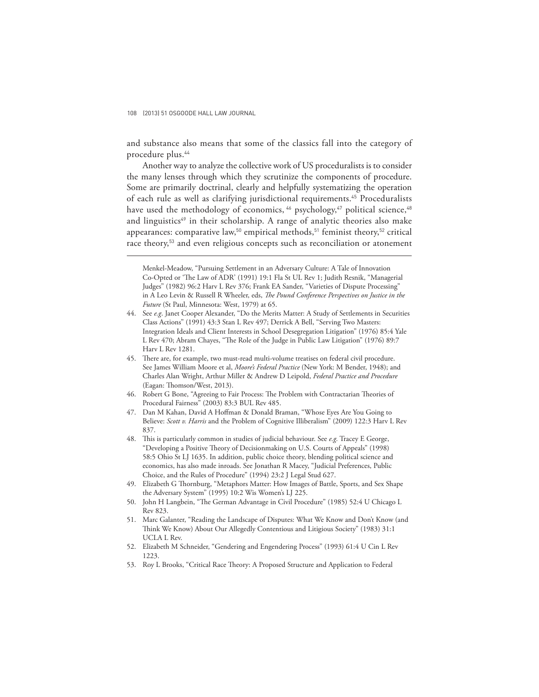and substance also means that some of the classics fall into the category of procedure plus.<sup>44</sup>

Another way to analyze the collective work of US proceduralists is to consider the many lenses through which they scrutinize the components of procedure. Some are primarily doctrinal, clearly and helpfully systematizing the operation of each rule as well as clarifying jurisdictional requirements.<sup>45</sup> Proceduralists have used the methodology of economics, <sup>46</sup> psychology,<sup>47</sup> political science, <sup>48</sup> and linguistics<sup>49</sup> in their scholarship. A range of analytic theories also make appearances: comparative law,<sup>50</sup> empirical methods,<sup>51</sup> feminist theory,<sup>52</sup> critical race theory,<sup>53</sup> and even religious concepts such as reconciliation or atonement

- 44. See *e.g*. Janet Cooper Alexander, "Do the Merits Matter: A Study of Settlements in Securities Class Actions" (1991) 43:3 Stan L Rev 497; Derrick A Bell, "Serving Two Masters: Integration Ideals and Client Interests in School Desegregation Litigation" (1976) 85:4 Yale L Rev 470; Abram Chayes, "The Role of the Judge in Public Law Litigation" (1976) 89:7 Harv L Rev 1281.
- 45. There are, for example, two must-read multi-volume treatises on federal civil procedure. See James William Moore et al, *Moore's Federal Practice* (New York: M Bender, 1948); and Charles Alan Wright, Arthur Miller & Andrew D Leipold, *Federal Practice and Procedure* (Eagan: Thomson/West, 2013).
- 46. Robert G Bone, "Agreeing to Fair Process: The Problem with Contractarian Theories of Procedural Fairness" (2003) 83:3 BUL Rev 485.
- 47. Dan M Kahan, David A Hoffman & Donald Braman, "Whose Eyes Are You Going to Believe: *Scott v. Harris* and the Problem of Cognitive Illiberalism" (2009) 122:3 Harv L Rev 837.
- 48. Th is is particularly common in studies of judicial behaviour. See *e.g.* Tracey E George, "Developing a Positive Theory of Decisionmaking on U.S. Courts of Appeals" (1998) 58:5 Ohio St LJ 1635. In addition, public choice theory, blending political science and economics, has also made inroads. See Jonathan R Macey, "Judicial Preferences, Public Choice, and the Rules of Procedure" (1994) 23:2 J Legal Stud 627.
- 49. Elizabeth G Thornburg, "Metaphors Matter: How Images of Battle, Sports, and Sex Shape the Adversary System" (1995) 10:2 Wis Women's LJ 225.
- 50. John H Langbein, "The German Advantage in Civil Procedure" (1985) 52:4 U Chicago L Rev 823.
- 51. Marc Galanter, "Reading the Landscape of Disputes: What We Know and Don't Know (and Think We Know) About Our Allegedly Contentious and Litigious Society" (1983) 31:1 UCLA L Rev.
- 52. Elizabeth M Schneider, "Gendering and Engendering Process" (1993) 61:4 U Cin L Rev 1223.
- 53. Roy L Brooks, "Critical Race Theory: A Proposed Structure and Application to Federal

Menkel-Meadow, "Pursuing Settlement in an Adversary Culture: A Tale of Innovation Co-Opted or 'The Law of ADR' (1991) 19:1 Fla St UL Rev 1; Judith Resnik, "Managerial Judges" (1982) 96:2 Harv L Rev 376; Frank EA Sander, "Varieties of Dispute Processing" in A Leo Levin & Russell R Wheeler, eds, *The Pound Conference Perspectives on Justice in the Future* (St Paul, Minnesota: West, 1979) at 65.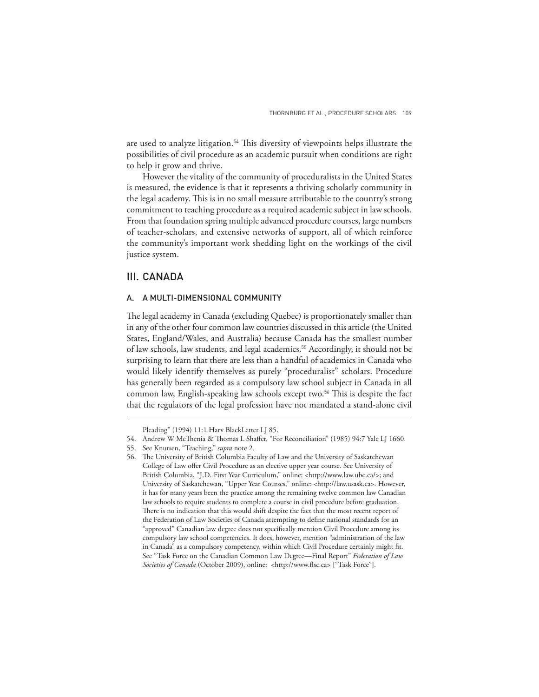are used to analyze litigation.<sup>54</sup> This diversity of viewpoints helps illustrate the possibilities of civil procedure as an academic pursuit when conditions are right to help it grow and thrive.

However the vitality of the community of proceduralists in the United States is measured, the evidence is that it represents a thriving scholarly community in the legal academy. This is in no small measure attributable to the country's strong commitment to teaching procedure as a required academic subject in law schools. From that foundation spring multiple advanced procedure courses, large numbers of teacher-scholars, and extensive networks of support, all of which reinforce the community's important work shedding light on the workings of the civil justice system.

## III. CANADA

#### A. A MULTI-DIMENSIONAL COMMUNITY

The legal academy in Canada (excluding Quebec) is proportionately smaller than in any of the other four common law countries discussed in this article (the United States, England/Wales, and Australia) because Canada has the smallest number of law schools, law students, and legal academics.55 Accordingly, it should not be surprising to learn that there are less than a handful of academics in Canada who would likely identify themselves as purely "proceduralist" scholars. Procedure has generally been regarded as a compulsory law school subject in Canada in all common law, English-speaking law schools except two.<sup>56</sup> This is despite the fact that the regulators of the legal profession have not mandated a stand-alone civil

Pleading" (1994) 11:1 Harv BlackLetter LJ 85.

<sup>54.</sup> Andrew W McThenia & Thomas L Shaffer, "For Reconciliation" (1985) 94:7 Yale LJ 1660.

<sup>55.</sup> See Knutsen, "Teaching," *supra* note 2.

<sup>56.</sup> The University of British Columbia Faculty of Law and the University of Saskatchewan College of Law offer Civil Procedure as an elective upper year course. See University of British Columbia, "J.D. First Year Curriculum," online: <http://www.law.ubc.ca/>; and University of Saskatchewan, "Upper Year Courses," online: <http://law.usask.ca>. However, it has for many years been the practice among the remaining twelve common law Canadian law schools to require students to complete a course in civil procedure before graduation. There is no indication that this would shift despite the fact that the most recent report of the Federation of Law Societies of Canada attempting to define national standards for an "approved" Canadian law degree does not specifically mention Civil Procedure among its compulsory law school competencies. It does, however, mention "administration of the law in Canada" as a compulsory competency, within which Civil Procedure certainly might fit. See "Task Force on the Canadian Common Law Degree—Final Report" *Federation of Law*  Societies of Canada (October 2009), online: <http://www.flsc.ca> ["Task Force"].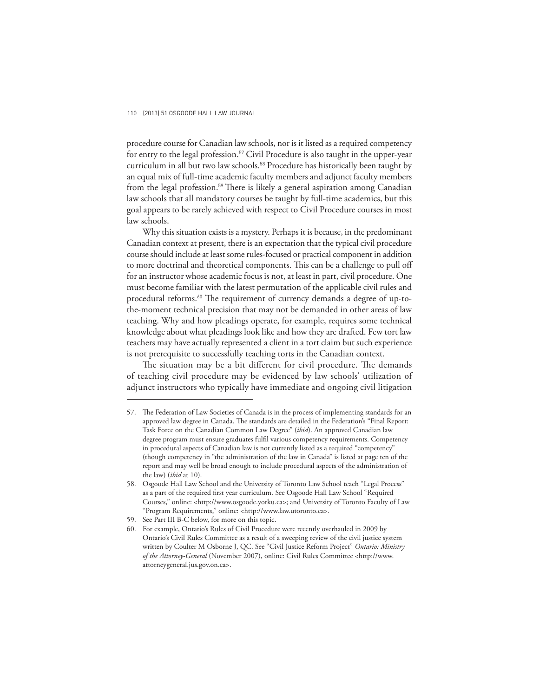procedure course for Canadian law schools, nor is it listed as a required competency for entry to the legal profession.<sup>57</sup> Civil Procedure is also taught in the upper-year curriculum in all but two law schools.<sup>58</sup> Procedure has historically been taught by an equal mix of full-time academic faculty members and adjunct faculty members from the legal profession.<sup>59</sup> There is likely a general aspiration among Canadian law schools that all mandatory courses be taught by full-time academics, but this goal appears to be rarely achieved with respect to Civil Procedure courses in most law schools.

Why this situation exists is a mystery. Perhaps it is because, in the predominant Canadian context at present, there is an expectation that the typical civil procedure course should include at least some rules-focused or practical component in addition to more doctrinal and theoretical components. This can be a challenge to pull off for an instructor whose academic focus is not, at least in part, civil procedure. One must become familiar with the latest permutation of the applicable civil rules and procedural reforms.<sup>60</sup> The requirement of currency demands a degree of up-tothe-moment technical precision that may not be demanded in other areas of law teaching. Why and how pleadings operate, for example, requires some technical knowledge about what pleadings look like and how they are drafted. Few tort law teachers may have actually represented a client in a tort claim but such experience is not prerequisite to successfully teaching torts in the Canadian context.

The situation may be a bit different for civil procedure. The demands of teaching civil procedure may be evidenced by law schools' utilization of adjunct instructors who typically have immediate and ongoing civil litigation

<sup>57.</sup> The Federation of Law Societies of Canada is in the process of implementing standards for an approved law degree in Canada. The standards are detailed in the Federation's "Final Report: Task Force on the Canadian Common Law Degree" (*ibid*). An approved Canadian law degree program must ensure graduates fulfi l various competency requirements. Competency in procedural aspects of Canadian law is not currently listed as a required "competency" (though competency in "the administration of the law in Canada" is listed at page ten of the report and may well be broad enough to include procedural aspects of the administration of the law) (*ibid* at 10).

<sup>58.</sup> Osgoode Hall Law School and the University of Toronto Law School teach "Legal Process" as a part of the required first year curriculum. See Osgoode Hall Law School "Required Courses," online: <http://www.osgoode.yorku.ca>; and University of Toronto Faculty of Law "Program Requirements," online: <http://www.law.utoronto.ca>.

<sup>59.</sup> See Part III B-C below, for more on this topic.

<sup>60.</sup> For example, Ontario's Rules of Civil Procedure were recently overhauled in 2009 by Ontario's Civil Rules Committee as a result of a sweeping review of the civil justice system written by Coulter M Osborne J, QC. See "Civil Justice Reform Project" *Ontario: Ministry of the Attorney-General* (November 2007), online: Civil Rules Committee <http://www. attorneygeneral.jus.gov.on.ca>.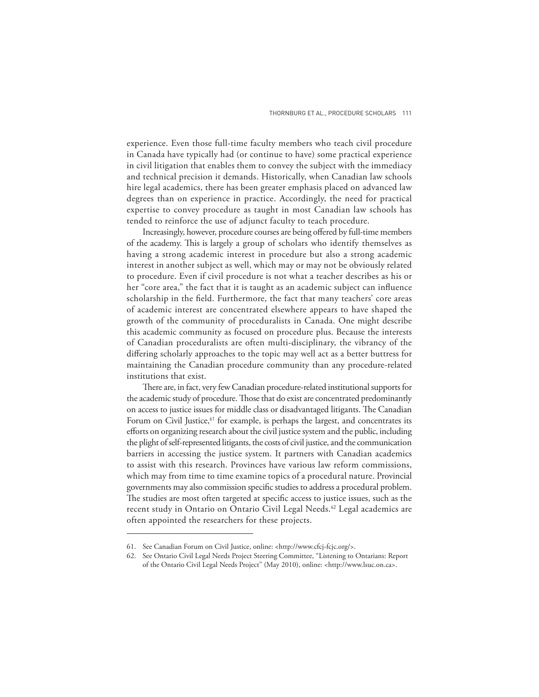experience. Even those full-time faculty members who teach civil procedure in Canada have typically had (or continue to have) some practical experience in civil litigation that enables them to convey the subject with the immediacy and technical precision it demands. Historically, when Canadian law schools hire legal academics, there has been greater emphasis placed on advanced law degrees than on experience in practice. Accordingly, the need for practical expertise to convey procedure as taught in most Canadian law schools has tended to reinforce the use of adjunct faculty to teach procedure.

Increasingly, however, procedure courses are being offered by full-time members of the academy. This is largely a group of scholars who identify themselves as having a strong academic interest in procedure but also a strong academic interest in another subject as well, which may or may not be obviously related to procedure. Even if civil procedure is not what a teacher describes as his or her "core area," the fact that it is taught as an academic subject can influence scholarship in the field. Furthermore, the fact that many teachers' core areas of academic interest are concentrated elsewhere appears to have shaped the growth of the community of proceduralists in Canada. One might describe this academic community as focused on procedure plus. Because the interests of Canadian proceduralists are often multi-disciplinary, the vibrancy of the differing scholarly approaches to the topic may well act as a better buttress for maintaining the Canadian procedure community than any procedure-related institutions that exist.

There are, in fact, very few Canadian procedure-related institutional supports for the academic study of procedure. Those that do exist are concentrated predominantly on access to justice issues for middle class or disadvantaged litigants. The Canadian Forum on Civil Justice,<sup>61</sup> for example, is perhaps the largest, and concentrates its efforts on organizing research about the civil justice system and the public, including the plight of self-represented litigants, the costs of civil justice, and the communication barriers in accessing the justice system. It partners with Canadian academics to assist with this research. Provinces have various law reform commissions, which may from time to time examine topics of a procedural nature. Provincial governments may also commission specific studies to address a procedural problem. The studies are most often targeted at specific access to justice issues, such as the recent study in Ontario on Ontario Civil Legal Needs.<sup>62</sup> Legal academics are often appointed the researchers for these projects.

<sup>61.</sup> See Canadian Forum on Civil Justice, online: <http://www.cfcj-fcjc.org/>.

<sup>62.</sup> See Ontario Civil Legal Needs Project Steering Committee, "Listening to Ontarians: Report of the Ontario Civil Legal Needs Project" (May 2010), online: <http://www.lsuc.on.ca>.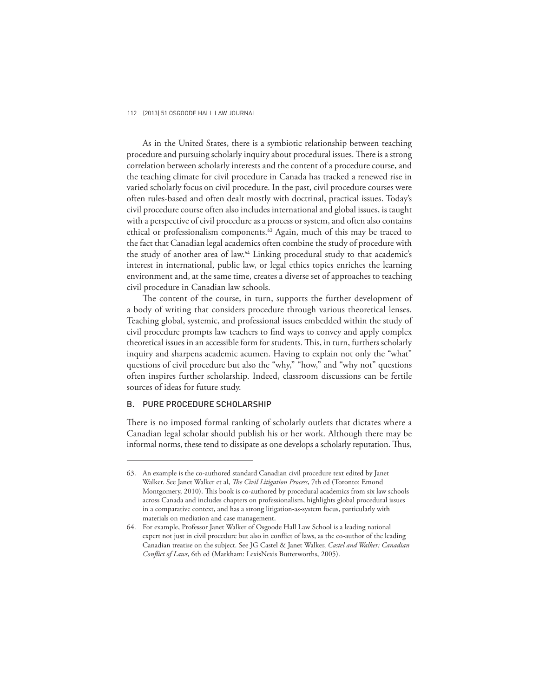As in the United States, there is a symbiotic relationship between teaching procedure and pursuing scholarly inquiry about procedural issues. There is a strong correlation between scholarly interests and the content of a procedure course, and the teaching climate for civil procedure in Canada has tracked a renewed rise in varied scholarly focus on civil procedure. In the past, civil procedure courses were often rules-based and often dealt mostly with doctrinal, practical issues. Today's civil procedure course often also includes international and global issues, is taught with a perspective of civil procedure as a process or system, and often also contains ethical or professionalism components.<sup>63</sup> Again, much of this may be traced to the fact that Canadian legal academics often combine the study of procedure with the study of another area of law.<sup>64</sup> Linking procedural study to that academic's interest in international, public law, or legal ethics topics enriches the learning environment and, at the same time, creates a diverse set of approaches to teaching civil procedure in Canadian law schools.

The content of the course, in turn, supports the further development of a body of writing that considers procedure through various theoretical lenses. Teaching global, systemic, and professional issues embedded within the study of civil procedure prompts law teachers to find ways to convey and apply complex theoretical issues in an accessible form for students. This, in turn, furthers scholarly inquiry and sharpens academic acumen. Having to explain not only the "what" questions of civil procedure but also the "why," "how," and "why not" questions often inspires further scholarship. Indeed, classroom discussions can be fertile sources of ideas for future study.

#### B. PURE PROCEDURE SCHOLARSHIP

There is no imposed formal ranking of scholarly outlets that dictates where a Canadian legal scholar should publish his or her work. Although there may be informal norms, these tend to dissipate as one develops a scholarly reputation. Thus,

<sup>63.</sup> An example is the co-authored standard Canadian civil procedure text edited by Janet Walker. See Janet Walker et al, *The Civil Litigation Process*, 7th ed (Toronto: Emond Montgomery, 2010). This book is co-authored by procedural academics from six law schools across Canada and includes chapters on professionalism, highlights global procedural issues in a comparative context, and has a strong litigation-as-system focus, particularly with materials on mediation and case management.

<sup>64.</sup> For example, Professor Janet Walker of Osgoode Hall Law School is a leading national expert not just in civil procedure but also in conflict of laws, as the co-author of the leading Canadian treatise on the subject. See JG Castel & Janet Walker, *Castel and Walker: Canadian Conflict of Laws*, 6th ed (Markham: LexisNexis Butterworths, 2005).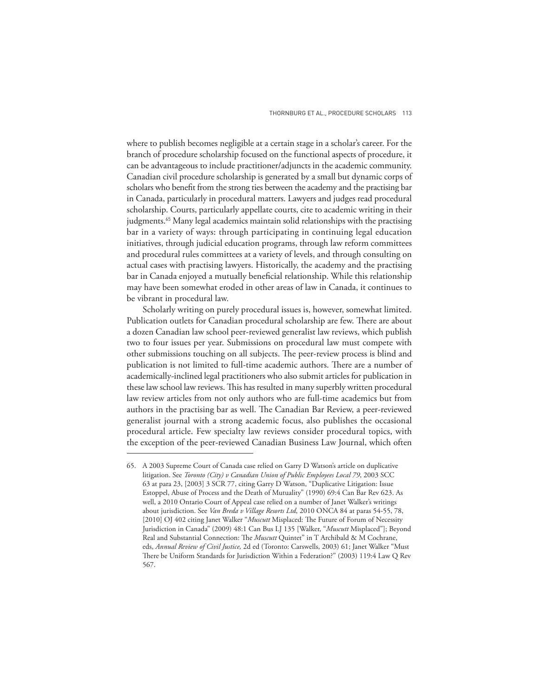where to publish becomes negligible at a certain stage in a scholar's career. For the branch of procedure scholarship focused on the functional aspects of procedure, it can be advantageous to include practitioner/adjuncts in the academic community. Canadian civil procedure scholarship is generated by a small but dynamic corps of scholars who benefit from the strong ties between the academy and the practising bar in Canada, particularly in procedural matters. Lawyers and judges read procedural scholarship. Courts, particularly appellate courts, cite to academic writing in their judgments.<sup>65</sup> Many legal academics maintain solid relationships with the practising bar in a variety of ways: through participating in continuing legal education initiatives, through judicial education programs, through law reform committees and procedural rules committees at a variety of levels, and through consulting on actual cases with practising lawyers. Historically, the academy and the practising bar in Canada enjoyed a mutually beneficial relationship. While this relationship may have been somewhat eroded in other areas of law in Canada, it continues to be vibrant in procedural law.

Scholarly writing on purely procedural issues is, however, somewhat limited. Publication outlets for Canadian procedural scholarship are few. There are about a dozen Canadian law school peer-reviewed generalist law reviews, which publish two to four issues per year. Submissions on procedural law must compete with other submissions touching on all subjects. The peer-review process is blind and publication is not limited to full-time academic authors. There are a number of academically-inclined legal practitioners who also submit articles for publication in these law school law reviews. This has resulted in many superbly written procedural law review articles from not only authors who are full-time academics but from authors in the practising bar as well. The Canadian Bar Review, a peer-reviewed generalist journal with a strong academic focus, also publishes the occasional procedural article. Few specialty law reviews consider procedural topics, with the exception of the peer-reviewed Canadian Business Law Journal, which often

<sup>65.</sup> A 2003 Supreme Court of Canada case relied on Garry D Watson's article on duplicative litigation. See *Toronto (City) v Canadian Union of Public Employees Local 79*, 2003 SCC 63 at para 23, [2003] 3 SCR 77, citing Garry D Watson, "Duplicative Litigation: Issue Estoppel, Abuse of Process and the Death of Mutuality" (1990) 69:4 Can Bar Rev 623. As well, a 2010 Ontario Court of Appeal case relied on a number of Janet Walker's writings about jurisdiction. See *Van Breda v Village Resorts Ltd*, 2010 ONCA 84 at paras 54-55, 78, [2010] OJ 402 citing Janet Walker "Muscutt Misplaced: The Future of Forum of Necessity Jurisdiction in Canada" (2009) 48:1 Can Bus LJ 135 [Walker, "*Muscutt* Misplaced"]; Beyond Real and Substantial Connection: The *Muscutt* Quintet" in T Archibald & M Cochrane, eds, *Annual Review of Civil Justice,* 2d ed (Toronto: Carswells, 2003) 61; Janet Walker "Must There be Uniform Standards for Jurisdiction Within a Federation?" (2003) 119:4 Law Q Rev 567.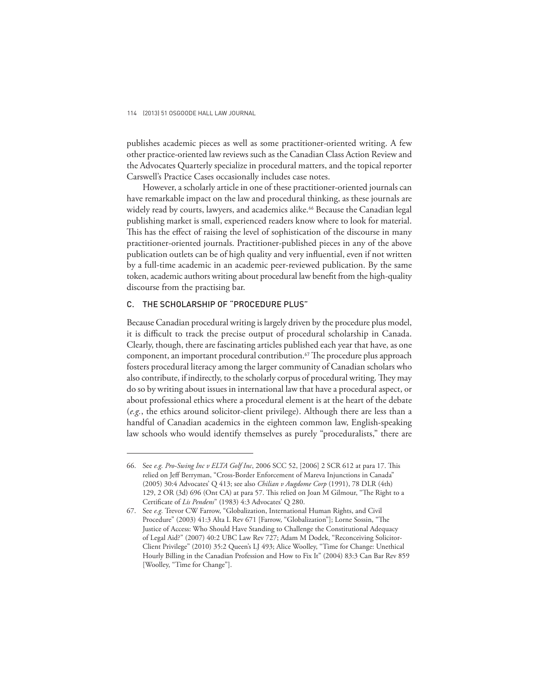publishes academic pieces as well as some practitioner-oriented writing. A few other practice-oriented law reviews such as the Canadian Class Action Review and the Advocates Quarterly specialize in procedural matters, and the topical reporter Carswell's Practice Cases occasionally includes case notes.

However, a scholarly article in one of these practitioner-oriented journals can have remarkable impact on the law and procedural thinking, as these journals are widely read by courts, lawyers, and academics alike.<sup>66</sup> Because the Canadian legal publishing market is small, experienced readers know where to look for material. This has the effect of raising the level of sophistication of the discourse in many practitioner-oriented journals. Practitioner-published pieces in any of the above publication outlets can be of high quality and very influential, even if not written by a full-time academic in an academic peer-reviewed publication. By the same token, academic authors writing about procedural law benefit from the high-quality discourse from the practising bar.

#### C. THE SCHOLARSHIP OF "PROCEDURE PLUS"

Because Canadian procedural writing is largely driven by the procedure plus model, it is difficult to track the precise output of procedural scholarship in Canada. Clearly, though, there are fascinating articles published each year that have, as one component, an important procedural contribution.<sup>67</sup> The procedure plus approach fosters procedural literacy among the larger community of Canadian scholars who also contribute, if indirectly, to the scholarly corpus of procedural writing. They may do so by writing about issues in international law that have a procedural aspect, or about professional ethics where a procedural element is at the heart of the debate (*e.g.*, the ethics around solicitor-client privilege). Although there are less than a handful of Canadian academics in the eighteen common law, English-speaking law schools who would identify themselves as purely "proceduralists," there are

<sup>66.</sup> See *e.g. Pro-Swing Inc v ELTA Golf Inc*, 2006 SCC 52, [2006] 2 SCR 612 at para 17. This relied on Jeff Berryman, "Cross-Border Enforcement of Mareva Injunctions in Canada" (2005) 30:4 Advocates' Q 413 ; see also *Chilian v Augdome Corp* (1991), 78 DLR (4th) 129, 2 OR (3d) 696 (Ont CA) at para 57. This relied on Joan M Gilmour, "The Right to a Certificate of *Lis Pendens*" (1983) 4:3 Advocates' Q 280.

<sup>67.</sup> See *e.g.* Trevor CW Farrow, "Globalization, International Human Rights, and Civil Procedure" (2003) 41:3 Alta L Rev 671 [Farrow, "Globalization"]; Lorne Sossin, "The Justice of Access: Who Should Have Standing to Challenge the Constitutional Adequacy of Legal Aid?" (2007) 40:2 UBC Law Rev 727; Adam M Dodek, "Reconceiving Solicitor-Client Privilege" (2010) 35:2 Queen's LJ 493; Alice Woolley, "Time for Change: Unethical Hourly Billing in the Canadian Profession and How to Fix It" (2004) 83:3 Can Bar Rev 859 [Woolley, "Time for Change"].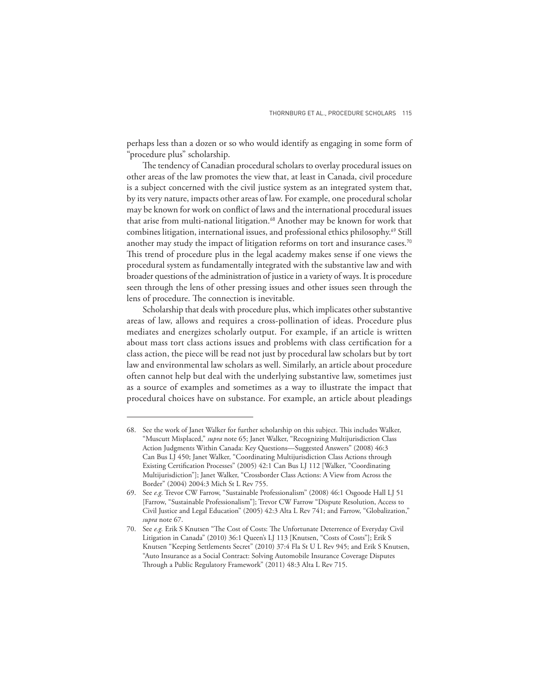perhaps less than a dozen or so who would identify as engaging in some form of "procedure plus" scholarship.

The tendency of Canadian procedural scholars to overlay procedural issues on other areas of the law promotes the view that, at least in Canada, civil procedure is a subject concerned with the civil justice system as an integrated system that, by its very nature, impacts other areas of law. For example, one procedural scholar may be known for work on conflict of laws and the international procedural issues that arise from multi-national litigation.<sup>68</sup> Another may be known for work that combines litigation, international issues, and professional ethics philosophy.<sup>69</sup> Still another may study the impact of litigation reforms on tort and insurance cases.<sup>70</sup> This trend of procedure plus in the legal academy makes sense if one views the procedural system as fundamentally integrated with the substantive law and with broader questions of the administration of justice in a variety of ways. It is procedure seen through the lens of other pressing issues and other issues seen through the lens of procedure. The connection is inevitable.

Scholarship that deals with procedure plus, which implicates other substantive areas of law, allows and requires a cross-pollination of ideas. Procedure plus mediates and energizes scholarly output. For example, if an article is written about mass tort class actions issues and problems with class certification for a class action, the piece will be read not just by procedural law scholars but by tort law and environmental law scholars as well. Similarly, an article about procedure often cannot help but deal with the underlying substantive law, sometimes just as a source of examples and sometimes as a way to illustrate the impact that procedural choices have on substance. For example, an article about pleadings

<sup>68.</sup> See the work of Janet Walker for further scholarship on this subject. This includes Walker, "Muscutt Misplaced," *supra* note 65; Janet Walker, "Recognizing Multijurisdiction Class Action Judgments Within Canada: Key Questions—Suggested Answers" (2008) 46:3 Can Bus LJ 450; Janet Walker, "Coordinating Multijurisdiction Class Actions through Existing Certification Processes" (2005) 42:1 Can Bus LJ 112 [Walker, "Coordinating Multijurisdiction"]; Janet Walker, "Crossborder Class Actions: A View from Across the Border" (2004) 2004:3 Mich St L Rev 755.

<sup>69.</sup> See *e.g.* Trevor CW Farrow, "Sustainable Professionalism" (2008) 46:1 Osgoode Hall LJ 51 [Farrow, "Sustainable Professionalism"]; Trevor CW Farrow "Dispute Resolution, Access to Civil Justice and Legal Education" (2005) 42:3 Alta L Rev 741; and Farrow, "Globalization," *supra* note 67.

<sup>70.</sup> See e.g. Erik S Knutsen "The Cost of Costs: The Unfortunate Deterrence of Everyday Civil Litigation in Canada" (2010) 36:1 Queen's LJ 113 [Knutsen, "Costs of Costs"]; Erik S Knutsen "Keeping Settlements Secret" (2010) 37:4 Fla St U L Rev 945; and Erik S Knutsen, "Auto Insurance as a Social Contract: Solving Automobile Insurance Coverage Disputes Through a Public Regulatory Framework" (2011) 48:3 Alta L Rev 715.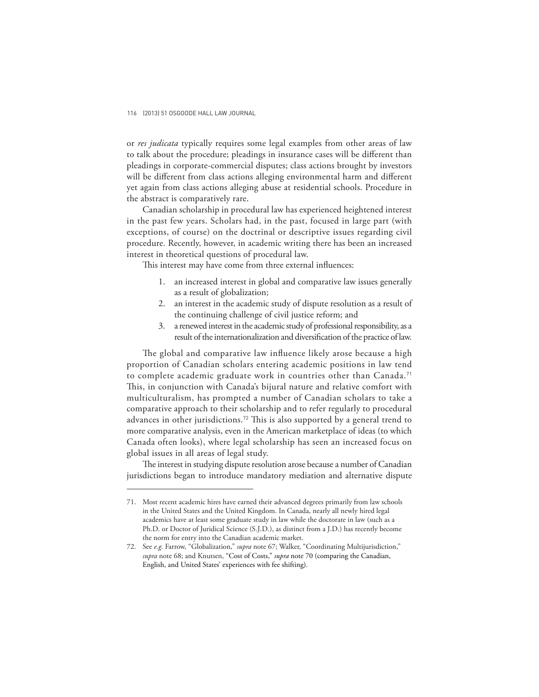or *res judicata* typically requires some legal examples from other areas of law to talk about the procedure; pleadings in insurance cases will be different than pleadings in corporate-commercial disputes; class actions brought by investors will be different from class actions alleging environmental harm and different yet again from class actions alleging abuse at residential schools. Procedure in the abstract is comparatively rare.

Canadian scholarship in procedural law has experienced heightened interest in the past few years. Scholars had, in the past, focused in large part (with exceptions, of course) on the doctrinal or descriptive issues regarding civil procedure. Recently, however, in academic writing there has been an increased interest in theoretical questions of procedural law.

This interest may have come from three external influences:

- 1. an increased interest in global and comparative law issues generally as a result of globalization;
- 2. an interest in the academic study of dispute resolution as a result of the continuing challenge of civil justice reform; and
- 3. a renewed interest in the academic study of professional responsibility, as a result of the internationalization and diversification of the practice of law.

The global and comparative law influence likely arose because a high proportion of Canadian scholars entering academic positions in law tend to complete academic graduate work in countries other than Canada.<sup>71</sup> This, in conjunction with Canada's bijural nature and relative comfort with multiculturalism, has prompted a number of Canadian scholars to take a comparative approach to their scholarship and to refer regularly to procedural advances in other jurisdictions.<sup>72</sup> This is also supported by a general trend to more comparative analysis, even in the American marketplace of ideas (to which Canada often looks), where legal scholarship has seen an increased focus on global issues in all areas of legal study.

The interest in studying dispute resolution arose because a number of Canadian jurisdictions began to introduce mandatory mediation and alternative dispute

<sup>71.</sup> Most recent academic hires have earned their advanced degrees primarily from law schools in the United States and the United Kingdom. In Canada, nearly all newly hired legal academics have at least some graduate study in law while the doctorate in law (such as a Ph.D. or Doctor of Juridical Science (S.J.D.), as distinct from a J.D.) has recently become the norm for entry into the Canadian academic market.

<sup>72.</sup> See *e.g.* Farrow, "Globalization," *supra* note 67; Walker, "Coordinating Multijurisdiction," *supra* note 68; and Knutsen, "Cost of Costs," *supra* note 70 (comparing the Canadian, English, and United States' experiences with fee shifting).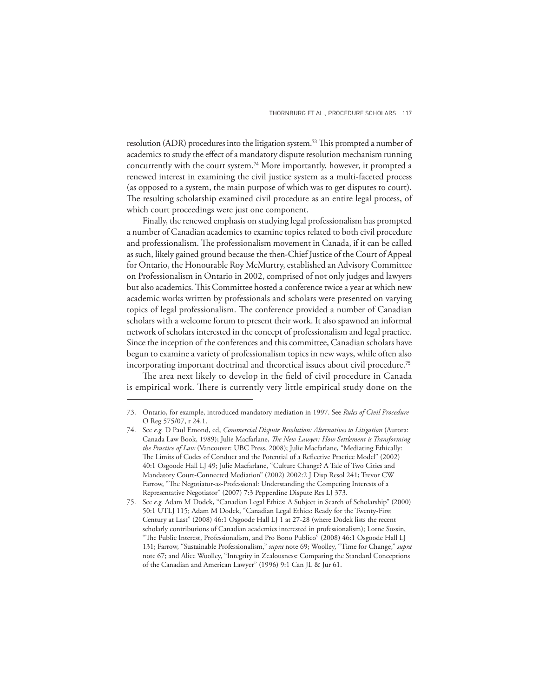resolution (ADR) procedures into the litigation system.<sup>73</sup> This prompted a number of academics to study the effect of a mandatory dispute resolution mechanism running concurrently with the court system.74 More importantly, however, it prompted a renewed interest in examining the civil justice system as a multi-faceted process (as opposed to a system, the main purpose of which was to get disputes to court). The resulting scholarship examined civil procedure as an entire legal process, of which court proceedings were just one component.

Finally, the renewed emphasis on studying legal professionalism has prompted a number of Canadian academics to examine topics related to both civil procedure and professionalism. The professionalism movement in Canada, if it can be called as such, likely gained ground because the then-Chief Justice of the Court of Appeal for Ontario, the Honourable Roy McMurtry, established an Advisory Committee on Professionalism in Ontario in 2002, comprised of not only judges and lawyers but also academics. This Committee hosted a conference twice a year at which new academic works written by professionals and scholars were presented on varying topics of legal professionalism. The conference provided a number of Canadian scholars with a welcome forum to present their work. It also spawned an informal network of scholars interested in the concept of professionalism and legal practice. Since the inception of the conferences and this committee, Canadian scholars have begun to examine a variety of professionalism topics in new ways, while often also incorporating important doctrinal and theoretical issues about civil procedure.<sup>75</sup>

The area next likely to develop in the field of civil procedure in Canada is empirical work. There is currently very little empirical study done on the

<sup>73.</sup> Ontario, for example, introduced mandatory mediation in 1997. See *Rules of Civil Procedure* O Reg 575/07, r 24.1.

<sup>74.</sup> See *e.g.* D Paul Emond, ed, *Commercial Dispute Resolution: Alternatives to Litigation* (Aurora: Canada Law Book, 1989); Julie Macfarlane, *The New Lawyer: How Settlement is Transforming the Practice of Law* (Vancouver: UBC Press, 2008); Julie Macfarlane, "Mediating Ethically: The Limits of Codes of Conduct and the Potential of a Reflective Practice Model" (2002) 40:1 Osgoode Hall LJ 49; Julie Macfarlane, "Culture Change? A Tale of Two Cities and Mandatory Court-Connected Mediation" (2002) 2002:2 J Disp Resol 241; Trevor CW Farrow, "The Negotiator-as-Professional: Understanding the Competing Interests of a Representative Negotiator" (2007) 7:3 Pepperdine Dispute Res LJ 373.

<sup>75.</sup> See *e.g.* Adam M Dodek, "Canadian Legal Ethics: A Subject in Search of Scholarship" (2000) 50:1 UTLJ 115; Adam M Dodek, "Canadian Legal Ethics: Ready for the Twenty-First Century at Last" (2008) 46:1 Osgoode Hall LJ 1 at 27-28 (where Dodek lists the recent scholarly contributions of Canadian academics interested in professionalism); Lorne Sossin, "The Public Interest, Professionalism, and Pro Bono Publico" (2008) 46:1 Osgoode Hall LJ 131; Farrow, "Sustainable Professionalism," *supra* note 69; Woolley, "Time for Change," *supra*  note 67; and Alice Woolley, "Integrity in Zealousness: Comparing the Standard Conceptions of the Canadian and American Lawyer" (1996) 9:1 Can JL & Jur 61.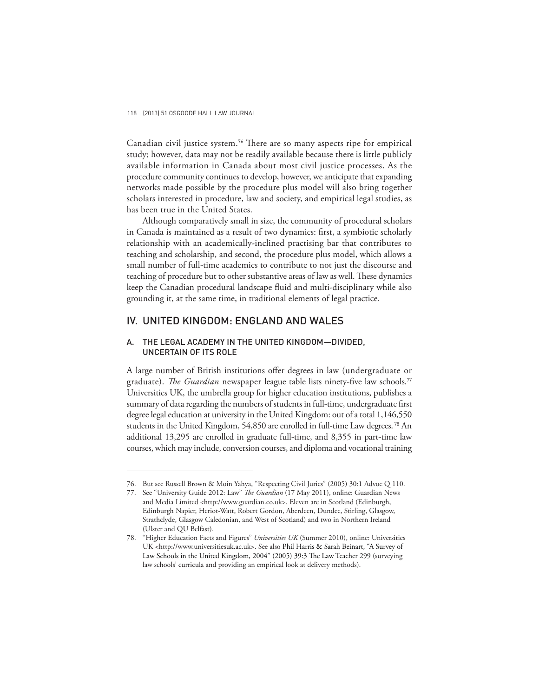Canadian civil justice system.<sup>76</sup> There are so many aspects ripe for empirical study; however, data may not be readily available because there is little publicly available information in Canada about most civil justice processes. As the procedure community continues to develop, however, we anticipate that expanding networks made possible by the procedure plus model will also bring together scholars interested in procedure, law and society, and empirical legal studies, as has been true in the United States.

Although comparatively small in size, the community of procedural scholars in Canada is maintained as a result of two dynamics: first, a symbiotic scholarly relationship with an academically-inclined practising bar that contributes to teaching and scholarship, and second, the procedure plus model, which allows a small number of full-time academics to contribute to not just the discourse and teaching of procedure but to other substantive areas of law as well. These dynamics keep the Canadian procedural landscape fluid and multi-disciplinary while also grounding it, at the same time, in traditional elements of legal practice.

## IV. UNITED KINGDOM: ENGLAND AND WALES

### A. THE LEGAL ACADEMY IN THE UNITED KINGDOM—DIVIDED, UNCERTAIN OF ITS ROLE

A large number of British institutions offer degrees in law (undergraduate or graduate). *The Guardian* newspaper league table lists ninety-five law schools.<sup>77</sup> Universities UK, the umbrella group for higher education institutions, publishes a summary of data regarding the numbers of students in full-time, undergraduate first degree legal education at university in the United Kingdom: out of a total 1,146,550 students in the United Kingdom, 54,850 are enrolled in full-time Law degrees. <sup>78</sup> An additional 13,295 are enrolled in graduate full-time, and 8,355 in part-time law courses, which may include, conversion courses, and diploma and vocational training

<sup>76.</sup> But see Russell Brown & Moin Yahya, "Respecting Civil Juries" (2005) 30:1 Advoc Q 110.

<sup>77.</sup> See "University Guide 2012: Law" *The Guardian* (17 May 2011), online: Guardian News and Media Limited <http://www.guardian.co.uk>. Eleven are in Scotland (Edinburgh, Edinburgh Napier, Heriot-Watt, Robert Gordon, Aberdeen, Dundee, Stirling, Glasgow, Strathclyde, Glasgow Caledonian, and West of Scotland) and two in Northern Ireland (Ulster and QU Belfast).

<sup>78. &</sup>quot;Higher Education Facts and Figures" *Universities UK* (Summer 2010), online: Universities UK <http://www.universitiesuk.ac.uk>. See also Phil Harris & Sarah Beinart, "A Survey of Law Schools in the United Kingdom, 2004" (2005) 39:3 The Law Teacher 299 (surveying law schools' curricula and providing an empirical look at delivery methods).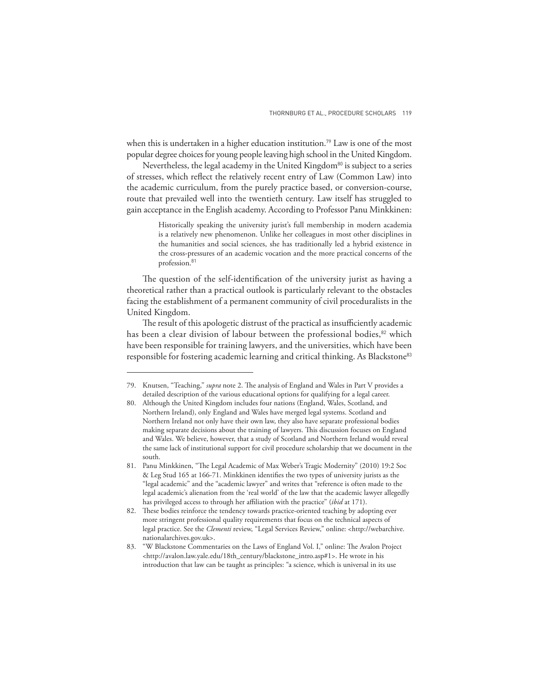when this is undertaken in a higher education institution.<sup>79</sup> Law is one of the most popular degree choices for young people leaving high school in the United Kingdom.

Nevertheless, the legal academy in the United Kingdom<sup>80</sup> is subject to a series of stresses, which reflect the relatively recent entry of Law (Common Law) into the academic curriculum, from the purely practice based, or conversion-course, route that prevailed well into the twentieth century. Law itself has struggled to gain acceptance in the English academy. According to Professor Panu Minkkinen:

> Historically speaking the university jurist's full membership in modern academia is a relatively new phenomenon. Unlike her colleagues in most other disciplines in the humanities and social sciences, she has traditionally led a hybrid existence in the cross-pressures of an academic vocation and the more practical concerns of the profession.<sup>81</sup>

The question of the self-identification of the university jurist as having a theoretical rather than a practical outlook is particularly relevant to the obstacles facing the establishment of a permanent community of civil proceduralists in the United Kingdom.

The result of this apologetic distrust of the practical as insufficiently academic has been a clear division of labour between the professional bodies,<sup>82</sup> which have been responsible for training lawyers, and the universities, which have been responsible for fostering academic learning and critical thinking. As Blackstone<sup>83</sup>

<sup>79.</sup> Knutsen, "Teaching," *supra* note 2. The analysis of England and Wales in Part V provides a detailed description of the various educational options for qualifying for a legal career.

<sup>80.</sup> Although the United Kingdom includes four nations (England, Wales, Scotland, and Northern Ireland), only England and Wales have merged legal systems. Scotland and Northern Ireland not only have their own law, they also have separate professional bodies making separate decisions about the training of lawyers. This discussion focuses on England and Wales. We believe, however, that a study of Scotland and Northern Ireland would reveal the same lack of institutional support for civil procedure scholarship that we document in the south.

<sup>81.</sup> Panu Minkkinen, "The Legal Academic of Max Weber's Tragic Modernity" (2010) 19:2 Soc & Leg Stud 165 at 166-71. Minkkinen identifies the two types of university jurists as the "legal academic" and the "academic lawyer" and writes that "reference is often made to the legal academic's alienation from the 'real world' of the law that the academic lawyer allegedly has privileged access to through her affiliation with the practice" (*ibid* at 171).

<sup>82.</sup> These bodies reinforce the tendency towards practice-oriented teaching by adopting ever more stringent professional quality requirements that focus on the technical aspects of legal practice. See the *Clementi* review, "Legal Services Review," online: <http://webarchive. nationalarchives.gov.uk>.

<sup>83. &</sup>quot;W Blackstone Commentaries on the Laws of England Vol. I," online: The Avalon Project <http://avalon.law.yale.edu/18th\_century/blackstone\_intro.asp#1>. He wrote in his introduction that law can be taught as principles: "a science, which is universal in its use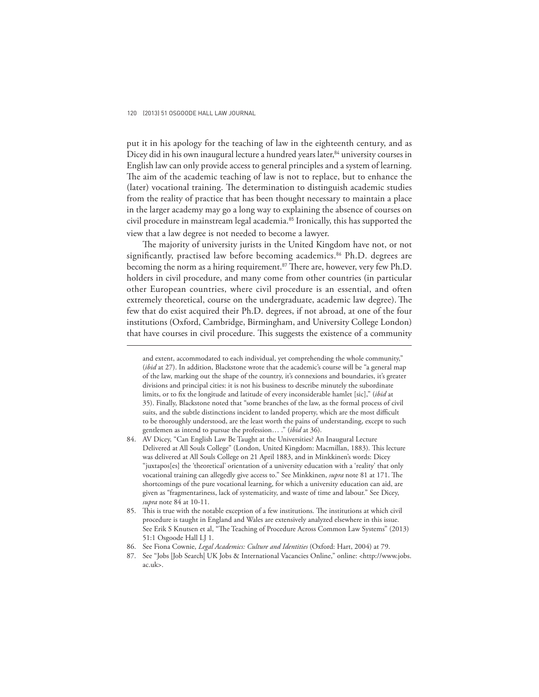put it in his apology for the teaching of law in the eighteenth century, and as Dicey did in his own inaugural lecture a hundred years later,<sup>84</sup> university courses in English law can only provide access to general principles and a system of learning. The aim of the academic teaching of law is not to replace, but to enhance the (later) vocational training. The determination to distinguish academic studies from the reality of practice that has been thought necessary to maintain a place in the larger academy may go a long way to explaining the absence of courses on civil procedure in mainstream legal academia.85 Ironically, this has supported the view that a law degree is not needed to become a lawyer.

The majority of university jurists in the United Kingdom have not, or not significantly, practised law before becoming academics.<sup>86</sup> Ph.D. degrees are becoming the norm as a hiring requirement.<sup>87</sup> There are, however, very few Ph.D. holders in civil procedure, and many come from other countries (in particular other European countries, where civil procedure is an essential, and often extremely theoretical, course on the undergraduate, academic law degree). The few that do exist acquired their Ph.D. degrees, if not abroad, at one of the four institutions (Oxford, Cambridge, Birmingham, and University College London) that have courses in civil procedure. This suggests the existence of a community

and extent, accommodated to each individual, yet comprehending the whole community," (*ibid* at 27). In addition, Blackstone wrote that the academic's course will be "a general map of the law, marking out the shape of the country, it's connexions and boundaries, it's greater divisions and principal cities: it is not his business to describe minutely the subordinate limits, or to fix the longitude and latitude of every inconsiderable hamlet [sic]," (*ibid* at 35). Finally, Blackstone noted that "some branches of the law, as the formal process of civil suits, and the subtle distinctions incident to landed property, which are the most difficult to be thoroughly understood, are the least worth the pains of understanding, except to such gentlemen as intend to pursue the profession… ." (*ibid* at 36).

<sup>84.</sup> AV Dicey, "Can English Law Be Taught at the Universities? An Inaugural Lecture Delivered at All Souls College" (London, United Kingdom: Macmillan, 1883). This lecture was delivered at All Souls College on 21 April 1883, and in Minkkinen's words: Dicey "juxtapos[es] the 'theoretical' orientation of a university education with a 'reality' that only vocational training can allegedly give access to." See Minkkinen, *supra* note 81 at 171. The shortcomings of the pure vocational learning, for which a university education can aid, are given as "fragmentariness, lack of systematicity, and waste of time and labour." See Dicey, *supra* note 84 at 10-11.

<sup>85.</sup> This is true with the notable exception of a few institutions. The institutions at which civil procedure is taught in England and Wales are extensively analyzed elsewhere in this issue. See Erik S Knutsen et al, "The Teaching of Procedure Across Common Law Systems" (2013) 51:1 Osgoode Hall LJ 1.

<sup>86.</sup> See Fiona Cownie, *Legal Academics: Culture and Identities* (Oxford: Hart, 2004) at 79.

<sup>87.</sup> See "Jobs |Job Search| UK Jobs & International Vacancies Online," online: <http://www.jobs. ac.uk>.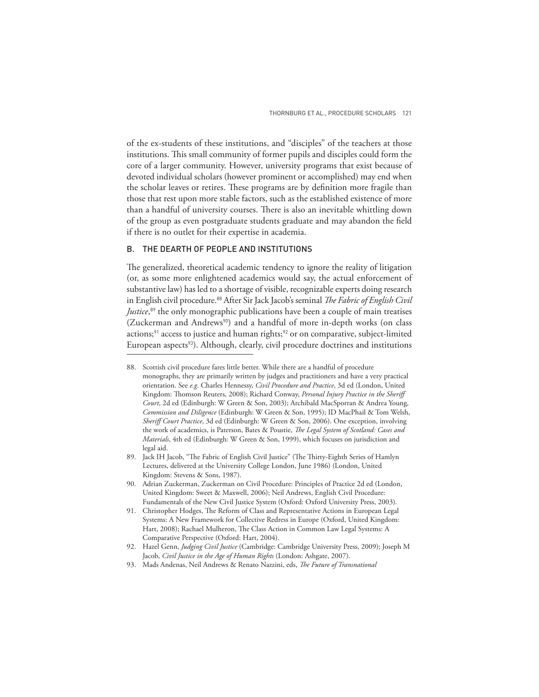of the ex-students of these institutions, and "disciples" of the teachers at those institutions. This small community of former pupils and disciples could form the core of a larger community. However, university programs that exist because of devoted individual scholars (however prominent or accomplished) may end when the scholar leaves or retires. These programs are by definition more fragile than those that rest upon more stable factors, such as the established existence of more than a handful of university courses. There is also an inevitable whittling down of the group as even postgraduate students graduate and may abandon the field if there is no outlet for their expertise in academia.

## B. THE DEARTH OF PEOPLE AND INSTITUTIONS

The generalized, theoretical academic tendency to ignore the reality of litigation (or, as some more enlightened academics would say, the actual enforcement of substantive law) has led to a shortage of visible, recognizable experts doing research in English civil procedure.<sup>88</sup> After Sir Jack Jacob's seminal *The Fabric of English Civil Justice*, <sup>89</sup> the only monographic publications have been a couple of main treatises (Zuckerman and Andrews<sup>90</sup>) and a handful of more in-depth works (on class actions; $91$  access to justice and human rights; $92$  or on comparative, subject-limited European aspects<sup>93</sup>). Although, clearly, civil procedure doctrines and institutions

<sup>88.</sup> Scottish civil procedure fares little better. While there are a handful of procedure monographs, they are primarily written by judges and practitioners and have a very practical orientation. See *e.g*. Charles Hennessy, *Civil Procedure and Practice*, 3d ed (London, United Kingdom: Thomson Reuters, 2008); Richard Conway, *Personal Injury Practice in the Sheriff Court*, 2d ed (Edinburgh: W Green & Son, 2003); Archibald MacSporran & Andrea Young, *Commission and Diligence* (Edinburgh: W Green & Son, 1995); ID MacPhail & Tom Welsh, *Sheriff Court Practice*, 3d ed (Edinburgh: W Green & Son, 2006). One exception, involving the work of academics, is Paterson, Bates & Poustie, *The Legal System of Scotland: Cases and Materials*, 4th ed (Edinburgh: W Green & Son, 1999), which focuses on jurisdiction and legal aid.

<sup>89.</sup> Jack IH Jacob, "The Fabric of English Civil Justice" (The Thirty-Eighth Series of Hamlyn Lectures, delivered at the University College London, June 1986) (London, United Kingdom: Stevens & Sons, 1987).

<sup>90.</sup> Adrian Zuckerman, Zuckerman on Civil Procedure: Principles of Practice 2d ed (London, United Kingdom: Sweet & Maxwell, 2006); Neil Andrews, English Civil Procedure: Fundamentals of the New Civil Justice System (Oxford: Oxford University Press, 2003).

<sup>91.</sup> Christopher Hodges, The Reform of Class and Representative Actions in European Legal Systems: A New Framework for Collective Redress in Europe (Oxford, United Kingdom: Hart, 2008); Rachael Mulheron, The Class Action in Common Law Legal Systems: A Comparative Perspective (Oxford: Hart, 2004).

<sup>92.</sup> Hazel Genn, *Judging Civil Justice* (Cambridge: Cambridge University Press, 2009); Joseph M Jacob, *Civil Justice in the Age of Human Rights* (London: Ashgate, 2007).

<sup>93.</sup> Mads Andenas, Neil Andrews & Renato Nazzini, eds, The Future of Transnational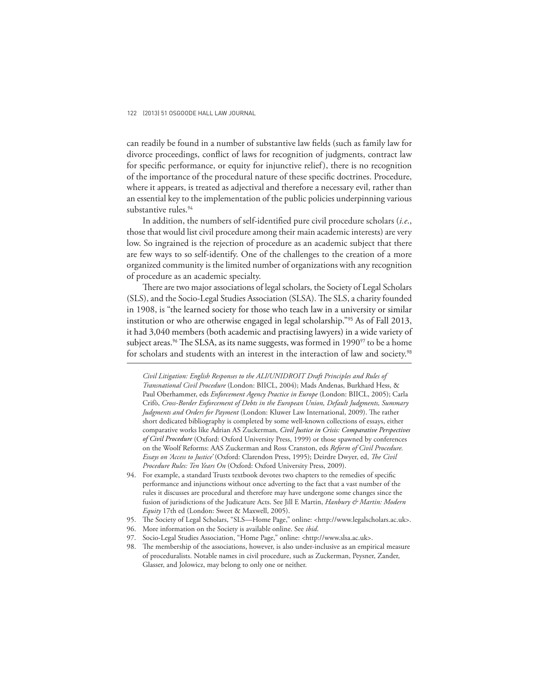can readily be found in a number of substantive law fields (such as family law for divorce proceedings, conflict of laws for recognition of judgments, contract law for specific performance, or equity for injunctive relief), there is no recognition of the importance of the procedural nature of these specific doctrines. Procedure, where it appears, is treated as adjectival and therefore a necessary evil, rather than an essential key to the implementation of the public policies underpinning various substantive rules.<sup>94</sup>

In addition, the numbers of self-identified pure civil procedure scholars (*i.e.*, those that would list civil procedure among their main academic interests) are very low. So ingrained is the rejection of procedure as an academic subject that there are few ways to so self-identify. One of the challenges to the creation of a more organized community is the limited number of organizations with any recognition of procedure as an academic specialty.

There are two major associations of legal scholars, the Society of Legal Scholars (SLS), and the Socio-Legal Studies Association (SLSA). The SLS, a charity founded in 1908, is "the learned society for those who teach law in a university or similar institution or who are otherwise engaged in legal scholarship."95 As of Fall 2013, it had 3,040 members (both academic and practising lawyers) in a wide variety of subject areas.<sup>96</sup> The SLSA, as its name suggests, was formed in 1990<sup>97</sup> to be a home for scholars and students with an interest in the interaction of law and society.<sup>98</sup>

- 95. The Society of Legal Scholars, "SLS-Home Page," online: <http://www.legalscholars.ac.uk>.
- 96. More information on the Society is available online. See *ibid*.
- 97. Socio-Legal Studies Association, "Home Page," online: <http://www.slsa.ac.uk>.

*Civil Litigation: English Responses to the ALI/UNIDROIT Draft Principles and Rules of Transnational Civil Procedure* (London: BIICL, 2004); Mads Andenas, Burkhard Hess, & Paul Oberhammer, eds *Enforcement Agency Practice in Europe* (London: BIICL, 2005); Carla Crifò, *Cross-Border Enforcement of Debts in the European Union, Default Judgments, Summary*  Judgments and Orders for Payment (London: Kluwer Law International, 2009). The rather short dedicated bibliography is completed by some well-known collections of essays, either comparative works like Adrian AS Zuckerman, *Civil Justice in Crisis: Comparative Perspectives of Civil Procedure* (Oxford: Oxford University Press, 1999) or those spawned by conferences on the Woolf Reforms: AAS Zuckerman and Ross Cranston, eds *Reform of Civil Procedure. Essays on 'Access to Justice'* (Oxford: Clarendon Press, 1995); Deirdre Dwyer, ed, The Civil *Procedure Rules: Ten Years On* (Oxford: Oxford University Press, 2009).

<sup>94.</sup> For example, a standard Trusts textbook devotes two chapters to the remedies of specific performance and injunctions without once adverting to the fact that a vast number of the rules it discusses are procedural and therefore may have undergone some changes since the fusion of jurisdictions of the Judicature Acts. See Jill E Martin, *Hanbury & Martin: Modern Equity* 17th ed (London: Sweet & Maxwell, 2005).

<sup>98.</sup> The membership of the associations, however, is also under-inclusive as an empirical measure of proceduralists. Notable names in civil procedure, such as Zuckerman, Peysner, Zander, Glasser, and Jolowicz, may belong to only one or neither.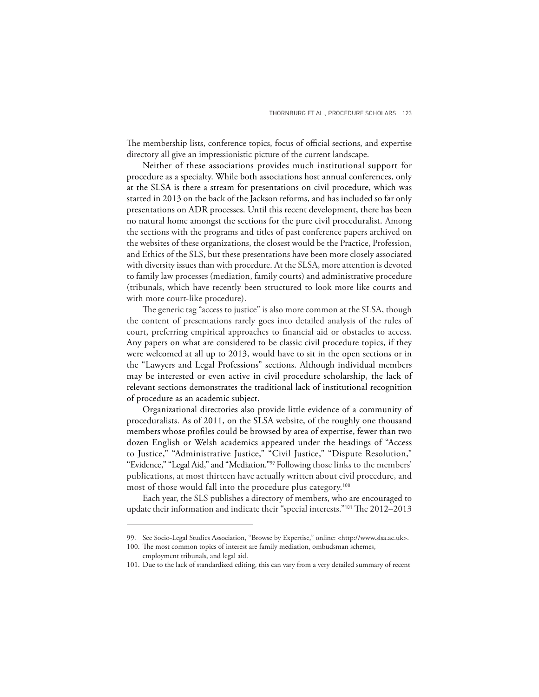The membership lists, conference topics, focus of official sections, and expertise directory all give an impressionistic picture of the current landscape.

Neither of these associations provides much institutional support for procedure as a specialty. While both associations host annual conferences, only at the SLSA is there a stream for presentations on civil procedure, which was started in 2013 on the back of the Jackson reforms, and has included so far only presentations on ADR processes. Until this recent development, there has been no natural home amongst the sections for the pure civil proceduralist. Among the sections with the programs and titles of past conference papers archived on the websites of these organizations, the closest would be the Practice, Profession, and Ethics of the SLS, but these presentations have been more closely associated with diversity issues than with procedure. At the SLSA, more attention is devoted to family law processes (mediation, family courts) and administrative procedure (tribunals, which have recently been structured to look more like courts and with more court-like procedure).

The generic tag "access to justice" is also more common at the SLSA, though the content of presentations rarely goes into detailed analysis of the rules of court, preferring empirical approaches to financial aid or obstacles to access. Any papers on what are considered to be classic civil procedure topics, if they were welcomed at all up to 2013, would have to sit in the open sections or in the "Lawyers and Legal Professions" sections. Although individual members may be interested or even active in civil procedure scholarship, the lack of relevant sections demonstrates the traditional lack of institutional recognition of procedure as an academic subject.

Organizational directories also provide little evidence of a community of proceduralists. As of 2011, on the SLSA website, of the roughly one thousand members whose profiles could be browsed by area of expertise, fewer than two dozen English or Welsh academics appeared under the headings of "Access to Justice," "Administrative Justice," "Civil Justice," "Dispute Resolution," "Evidence," "Legal Aid," and "Mediation."99 Following those links to the members' publications, at most thirteen have actually written about civil procedure, and most of those would fall into the procedure plus category.<sup>100</sup>

Each year, the SLS publishes a directory of members, who are encouraged to update their information and indicate their "special interests."<sup>101</sup> The 2012-2013

<sup>99.</sup> See Socio-Legal Studies Association, "Browse by Expertise," online: <http://www.slsa.ac.uk>.

<sup>100.</sup> The most common topics of interest are family mediation, ombudsman schemes,

employment tribunals, and legal aid.

<sup>101.</sup> Due to the lack of standardized editing, this can vary from a very detailed summary of recent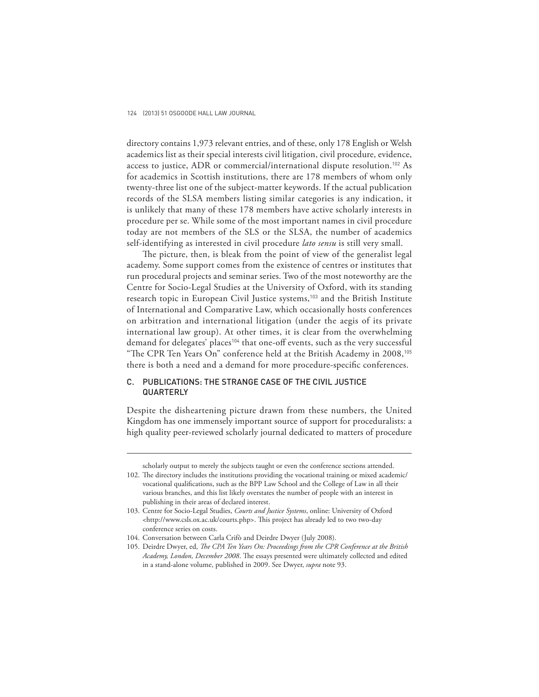directory contains 1,973 relevant entries, and of these, only 178 English or Welsh academics list as their special interests civil litigation, civil procedure, evidence, access to justice, ADR or commercial/international dispute resolution.102 As for academics in Scottish institutions, there are 178 members of whom only twenty-three list one of the subject-matter keywords. If the actual publication records of the SLSA members listing similar categories is any indication, it is unlikely that many of these 178 members have active scholarly interests in procedure per se. While some of the most important names in civil procedure today are not members of the SLS or the SLSA, the number of academics self-identifying as interested in civil procedure *lato sensu* is still very small.

The picture, then, is bleak from the point of view of the generalist legal academy. Some support comes from the existence of centres or institutes that run procedural projects and seminar series. Two of the most noteworthy are the Centre for Socio-Legal Studies at the University of Oxford, with its standing research topic in European Civil Justice systems,<sup>103</sup> and the British Institute of International and Comparative Law, which occasionally hosts conferences on arbitration and international litigation (under the aegis of its private international law group). At other times, it is clear from the overwhelming demand for delegates' places<sup>104</sup> that one-off events, such as the very successful "The CPR Ten Years On" conference held at the British Academy in 2008,<sup>105</sup> there is both a need and a demand for more procedure-specific conferences.

## C. PUBLICATIONS: THE STRANGE CASE OF THE CIVIL JUSTICE **QUARTERLY**

Despite the disheartening picture drawn from these numbers, the United Kingdom has one immensely important source of support for proceduralists: a high quality peer-reviewed scholarly journal dedicated to matters of procedure

scholarly output to merely the subjects taught or even the conference sections attended.

<sup>102.</sup> The directory includes the institutions providing the vocational training or mixed academic/ vocational qualifications, such as the BPP Law School and the College of Law in all their various branches, and this list likely overstates the number of people with an interest in publishing in their areas of declared interest.

<sup>103.</sup> Centre for Socio-Legal Studies, *Courts and Justice Systems*, online: University of Oxford <http://www.csls.ox.ac.uk/courts.php>. This project has already led to two two-day conference series on costs.

<sup>104.</sup> Conversation between Carla Crifò and Deirdre Dwyer (July 2008).

<sup>105.</sup> Deirdre Dwyer, ed, *The CPA Ten Years On: Proceedings from the CPR Conference at the British* Academy, London, December 2008. The essays presented were ultimately collected and edited in a stand-alone volume, published in 2009. See Dwyer, *supra* note 93.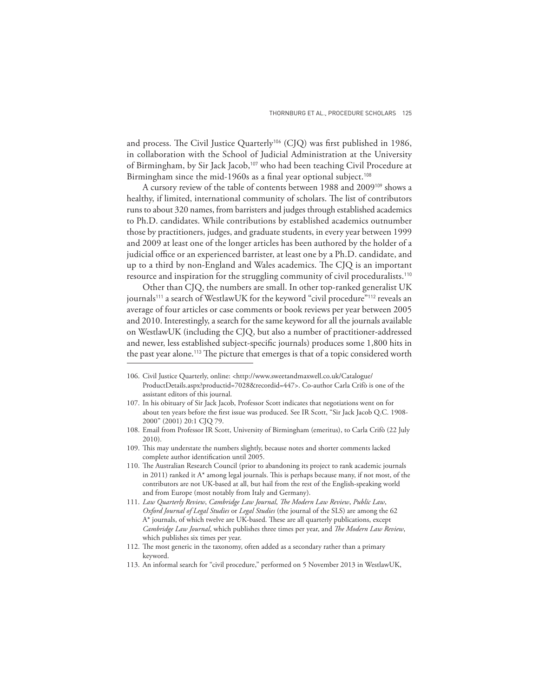and process. The Civil Justice Quarterly<sup>106</sup> (CJQ) was first published in 1986, in collaboration with the School of Judicial Administration at the University of Birmingham, by Sir Jack Jacob,<sup>107</sup> who had been teaching Civil Procedure at Birmingham since the mid-1960s as a final year optional subject.<sup>108</sup>

A cursory review of the table of contents between 1988 and 2009109 shows a healthy, if limited, international community of scholars. The list of contributors runs to about 320 names, from barristers and judges through established academics to Ph.D. candidates. While contributions by established academics outnumber those by practitioners, judges, and graduate students, in every year between 1999 and 2009 at least one of the longer articles has been authored by the holder of a judicial office or an experienced barrister, at least one by a Ph.D. candidate, and up to a third by non-England and Wales academics. The CJQ is an important resource and inspiration for the struggling community of civil proceduralists.<sup>110</sup>

Other than CJQ, the numbers are small. In other top-ranked generalist UK journals<sup>111</sup> a search of WestlawUK for the keyword "civil procedure"<sup>112</sup> reveals an average of four articles or case comments or book reviews per year between 2005 and 2010. Interestingly, a search for the same keyword for all the journals available on WestlawUK (including the CJQ, but also a number of practitioner-addressed and newer, less established subject-specific journals) produces some 1,800 hits in the past year alone.<sup>113</sup> The picture that emerges is that of a topic considered worth

109. This may understate the numbers slightly, because notes and shorter comments lacked complete author identification until 2005.

<sup>106.</sup> Civil Justice Quarterly, online: <http://www.sweetandmaxwell.co.uk/Catalogue/ ProductDetails.aspx?productid=7028&recordid=447>. Co-author Carla Crifò is one of the assistant editors of this journal.

<sup>107.</sup> In his obituary of Sir Jack Jacob, Professor Scott indicates that negotiations went on for about ten years before the first issue was produced. See IR Scott, "Sir Jack Jacob Q.C. 1908-2000" (2001) 20:1 CJQ 79.

<sup>108.</sup> Email from Professor IR Scott, University of Birmingham (emeritus), to Carla Crifò (22 July 2010).

<sup>110.</sup> The Australian Research Council (prior to abandoning its project to rank academic journals in 2011) ranked it  $A^*$  among legal journals. This is perhaps because many, if not most, of the contributors are not UK-based at all, but hail from the rest of the English-speaking world and from Europe (most notably from Italy and Germany).

<sup>111.</sup> *Law Quarterly Review*, *Cambridge Law Journal*, *Th e Modern Law Review*, *Public Law*, *Oxford Journal of Legal Studies* or *Legal Studies* (the journal of the SLS) are among the 62 A\* journals, of which twelve are UK-based. These are all quarterly publications, except *Cambridge Law Journal*, which publishes three times per year, and *The Modern Law Review*, which publishes six times per year.

<sup>112.</sup> The most generic in the taxonomy, often added as a secondary rather than a primary keyword.

<sup>113.</sup> An informal search for "civil procedure," performed on 5 November 2013 in WestlawUK,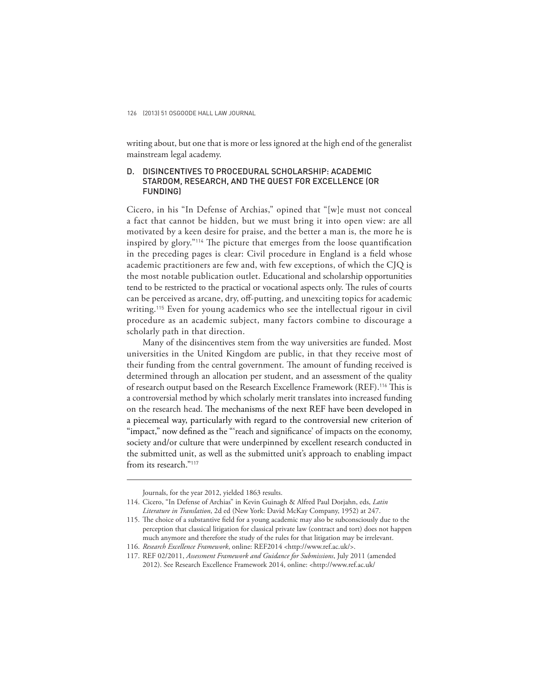writing about, but one that is more or less ignored at the high end of the generalist mainstream legal academy.

### D. DISINCENTIVES TO PROCEDURAL SCHOLARSHIP: ACADEMIC STARDOM, RESEARCH, AND THE QUEST FOR EXCELLENCE (OR FUNDING)

Cicero, in his "In Defense of Archias," opined that "[w]e must not conceal a fact that cannot be hidden, but we must bring it into open view: are all motivated by a keen desire for praise, and the better a man is, the more he is inspired by glory."<sup>114</sup> The picture that emerges from the loose quantification in the preceding pages is clear: Civil procedure in England is a field whose academic practitioners are few and, with few exceptions, of which the CJQ is the most notable publication outlet. Educational and scholarship opportunities tend to be restricted to the practical or vocational aspects only. The rules of courts can be perceived as arcane, dry, off -putting, and unexciting topics for academic writing.115 Even for young academics who see the intellectual rigour in civil procedure as an academic subject, many factors combine to discourage a scholarly path in that direction.

Many of the disincentives stem from the way universities are funded. Most universities in the United Kingdom are public, in that they receive most of their funding from the central government. The amount of funding received is determined through an allocation per student, and an assessment of the quality of research output based on the Research Excellence Framework (REF).<sup>116</sup> This is a controversial method by which scholarly merit translates into increased funding on the research head. The mechanisms of the next REF have been developed in a piecemeal way, particularly with regard to the controversial new criterion of "impact," now defined as the "'reach and significance' of impacts on the economy, society and/or culture that were underpinned by excellent research conducted in the submitted unit, as well as the submitted unit's approach to enabling impact from its research."<sup>117</sup>

Journals, for the year 2012, yielded 1863 results.

<sup>114.</sup> Cicero, "In Defense of Archias" in Kevin Guinagh & Alfred Paul Dorjahn, eds, *Latin Literature in Translation*, 2d ed (New York: David McKay Company, 1952) at 247.

<sup>115.</sup> The choice of a substantive field for a young academic may also be subconsciously due to the perception that classical litigation for classical private law (contract and tort) does not happen much anymore and therefore the study of the rules for that litigation may be irrelevant.

<sup>116.</sup> *Research Excellence Framework*, online: REF2014 <http://www.ref.ac.uk/>.

<sup>117.</sup> REF 02/2011, *Assessment Framework and Guidance for Submissions*, July 2011 (amended 2012). See Research Excellence Framework 2014, online: <http://www.ref.ac.uk/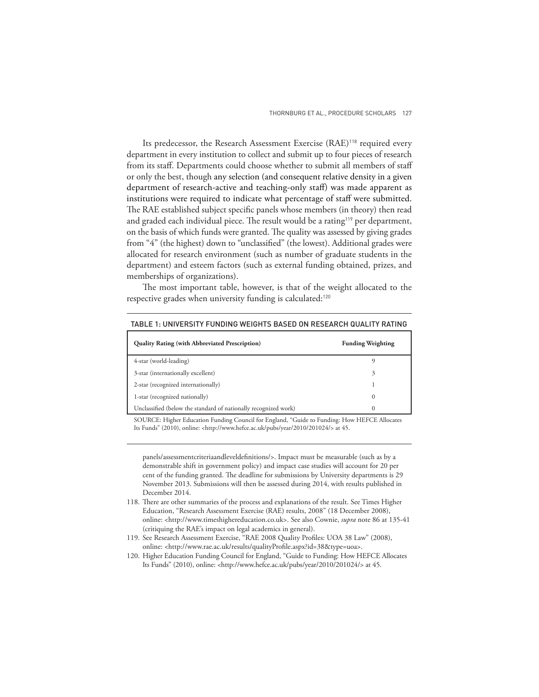Its predecessor, the Research Assessment Exercise (RAE)<sup>118</sup> required every department in every institution to collect and submit up to four pieces of research from its staff. Departments could choose whether to submit all members of staff or only the best, though any selection (and consequent relative density in a given department of research-active and teaching-only staff) was made apparent as institutions were required to indicate what percentage of staff were submitted. The RAE established subject specific panels whose members (in theory) then read and graded each individual piece. The result would be a rating<sup>119</sup> per department, on the basis of which funds were granted. The quality was assessed by giving grades from "4" (the highest) down to "unclassified" (the lowest). Additional grades were allocated for research environment (such as number of graduate students in the department) and esteem factors (such as external funding obtained, prizes, and memberships of organizations).

The most important table, however, is that of the weight allocated to the respective grades when university funding is calculated:<sup>120</sup>

| <b>Quality Rating (with Abbreviated Prescription)</b>           | <b>Funding Weighting</b> |
|-----------------------------------------------------------------|--------------------------|
| 4-star (world-leading)                                          |                          |
| 3-star (internationally excellent)                              | 3                        |
| 2-star (recognized internationally)                             |                          |
| 1-star (recognized nationally)                                  | $\theta$                 |
| Unclassified (below the standard of nationally recognized work) | 0                        |

TABLE 1: UNIVERSITY FUNDING WEIGHTS BASED ON RESEARCH QUALITY RATING

SOURCE: Higher Education Funding Council for England, "Guide to Funding: How HEFCE Allocates Its Funds" (2010), online: <http://www.hefce.ac.uk/pubs/year/2010/201024/> at 45.

panels/assessmentcriteriaandleveldefinitions/>. Impact must be measurable (such as by a demonstrable shift in government policy) and impact case studies will account for 20 per cent of the funding granted. The deadline for submissions by University departments is 29 November 2013. Submissions will then be assessed during 2014, with results published in December 2014.

- 118. There are other summaries of the process and explanations of the result. See Times Higher Education, "Research Assessment Exercise (RAE) results, 2008" (18 December 2008), online: <http://www.timeshighereducation.co.uk>. See also Cownie, *supra* note 86 at 135-41 (critiquing the RAE's impact on legal academics in general).
- 119. See Research Assessment Exercise, "RAE 2008 Quality Profiles: UOA 38 Law" (2008), online: <http://www.rae.ac.uk/results/qualityProfile.aspx?id=38&type=uoa>.
- 120. Higher Education Funding Council for England, "Guide to Funding: How HEFCE Allocates Its Funds" (2010), online: <http://www.hefce.ac.uk/pubs/year/2010/201024/> at 45.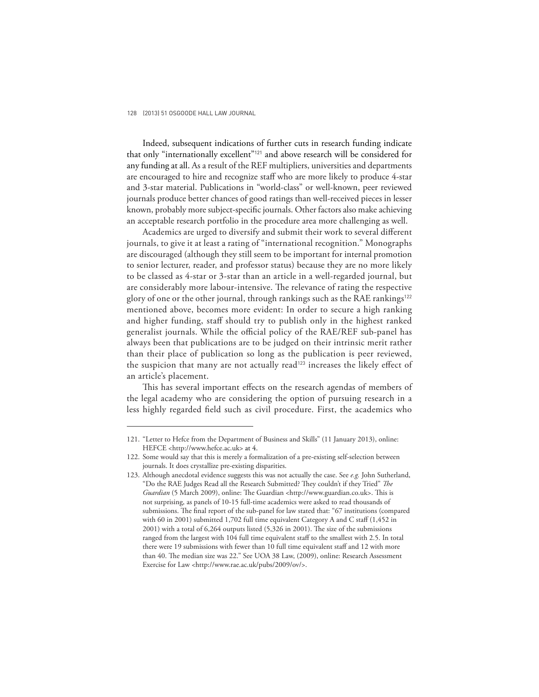Indeed, subsequent indications of further cuts in research funding indicate that only "internationally excellent"121 and above research will be considered for any funding at all. As a result of the REF multipliers, universities and departments are encouraged to hire and recognize staff who are more likely to produce 4-star and 3-star material. Publications in "world-class" or well-known, peer reviewed journals produce better chances of good ratings than well-received pieces in lesser known, probably more subject-specific journals. Other factors also make achieving an acceptable research portfolio in the procedure area more challenging as well.

Academics are urged to diversify and submit their work to several different journals, to give it at least a rating of "international recognition." Monographs are discouraged (although they still seem to be important for internal promotion to senior lecturer, reader, and professor status) because they are no more likely to be classed as 4-star or 3-star than an article in a well-regarded journal, but are considerably more labour-intensive. The relevance of rating the respective glory of one or the other journal, through rankings such as the RAE rankings<sup>122</sup> mentioned above, becomes more evident: In order to secure a high ranking and higher funding, staff should try to publish only in the highest ranked generalist journals. While the official policy of the RAE/REF sub-panel has always been that publications are to be judged on their intrinsic merit rather than their place of publication so long as the publication is peer reviewed, the suspicion that many are not actually read<sup>123</sup> increases the likely effect of an article's placement.

This has several important effects on the research agendas of members of the legal academy who are considering the option of pursuing research in a less highly regarded field such as civil procedure. First, the academics who

<sup>121. &</sup>quot;Letter to Hefce from the Department of Business and Skills" (11 January 2013), online: HEFCE <http://www.hefce.ac.uk> at 4.

<sup>122.</sup> Some would say that this is merely a formalization of a pre-existing self-selection between journals. It does crystallize pre-existing disparities.

<sup>123.</sup> Although anecdotal evidence suggests this was not actually the case. See *e.g.* John Sutherland, "Do the RAE Judges Read all the Research Submitted? They couldn't if they Tried" *The Guardian* (5 March 2009), online: The Guardian <http://www.guardian.co.uk>. This is not surprising, as panels of 10-15 full-time academics were asked to read thousands of submissions. The final report of the sub-panel for law stated that: "67 institutions (compared with 60 in 2001) submitted 1,702 full time equivalent Category A and C staff (1,452 in  $2001$ ) with a total of  $6,264$  outputs listed  $(5,326)$  in 2001). The size of the submissions ranged from the largest with 104 full time equivalent staff to the smallest with 2.5. In total there were 19 submissions with fewer than 10 full time equivalent staff and 12 with more than 40. The median size was 22." See UOA 38 Law, (2009), online: Research Assessment Exercise for Law <http://www.rae.ac.uk/pubs/2009/ov/>.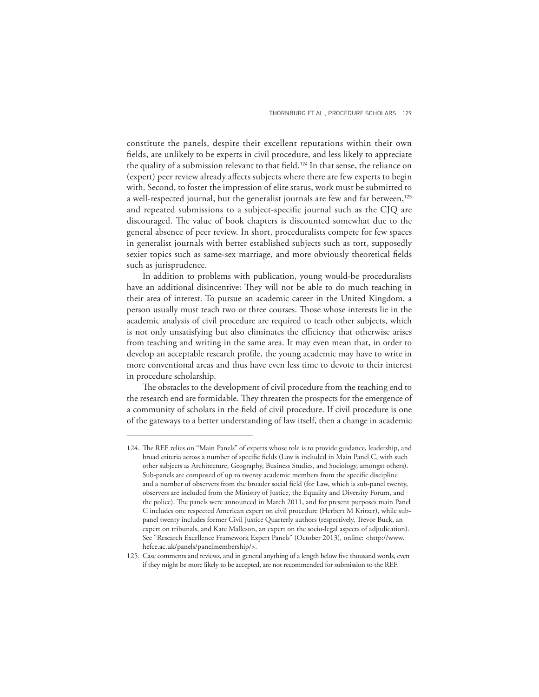constitute the panels, despite their excellent reputations within their own fields, are unlikely to be experts in civil procedure, and less likely to appreciate the quality of a submission relevant to that field.<sup>124</sup> In that sense, the reliance on (expert) peer review already affects subjects where there are few experts to begin with. Second, to foster the impression of elite status, work must be submitted to a well-respected journal, but the generalist journals are few and far between,<sup>125</sup> and repeated submissions to a subject-specific journal such as the CJQ are discouraged. The value of book chapters is discounted somewhat due to the general absence of peer review. In short, proceduralists compete for few spaces in generalist journals with better established subjects such as tort, supposedly sexier topics such as same-sex marriage, and more obviously theoretical fields such as jurisprudence.

In addition to problems with publication, young would-be proceduralists have an additional disincentive: They will not be able to do much teaching in their area of interest. To pursue an academic career in the United Kingdom, a person usually must teach two or three courses. Those whose interests lie in the academic analysis of civil procedure are required to teach other subjects, which is not only unsatisfying but also eliminates the efficiency that otherwise arises from teaching and writing in the same area. It may even mean that, in order to develop an acceptable research profile, the young academic may have to write in more conventional areas and thus have even less time to devote to their interest in procedure scholarship.

The obstacles to the development of civil procedure from the teaching end to the research end are formidable. They threaten the prospects for the emergence of a community of scholars in the field of civil procedure. If civil procedure is one of the gateways to a better understanding of law itself, then a change in academic

<sup>124.</sup> The REF relies on "Main Panels" of experts whose role is to provide guidance, leadership, and broad criteria across a number of specific fields (Law is included in Main Panel C, with such other subjects as Architecture, Geography, Business Studies, and Sociology, amongst others). Sub-panels are composed of up to twenty academic members from the specific discipline and a number of observers from the broader social field (for Law, which is sub-panel twenty, observers are included from the Ministry of Justice, the Equality and Diversity Forum, and the police). The panels were announced in March 2011, and for present purposes main Panel C includes one respected American expert on civil procedure (Herbert M Kritzer), while subpanel twenty includes former Civil Justice Quarterly authors (respectively, Trevor Buck, an expert on tribunals, and Kate Malleson, an expert on the socio-legal aspects of adjudication). See "Research Excellence Framework Expert Panels" (October 2013), online: <http://www. hefce.ac.uk/panels/panelmembership/>.

<sup>125.</sup> Case comments and reviews, and in general anything of a length below five thousand words, even if they might be more likely to be accepted, are not recommended for submission to the REF.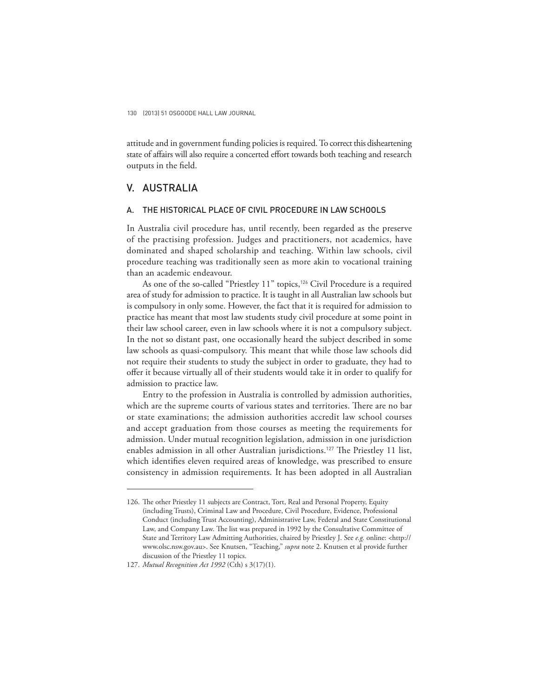attitude and in government funding policies is required. To correct this disheartening state of affairs will also require a concerted effort towards both teaching and research outputs in the field.

## V. AUSTRALIA

#### A. THE HISTORICAL PLACE OF CIVIL PROCEDURE IN LAW SCHOOLS

In Australia civil procedure has, until recently, been regarded as the preserve of the practising profession. Judges and practitioners, not academics, have dominated and shaped scholarship and teaching. Within law schools, civil procedure teaching was traditionally seen as more akin to vocational training than an academic endeavour.

As one of the so-called "Priestley 11" topics,<sup>126</sup> Civil Procedure is a required area of study for admission to practice. It is taught in all Australian law schools but is compulsory in only some. However, the fact that it is required for admission to practice has meant that most law students study civil procedure at some point in their law school career, even in law schools where it is not a compulsory subject. In the not so distant past, one occasionally heard the subject described in some law schools as quasi-compulsory. This meant that while those law schools did not require their students to study the subject in order to graduate, they had to offer it because virtually all of their students would take it in order to qualify for admission to practice law.

Entry to the profession in Australia is controlled by admission authorities, which are the supreme courts of various states and territories. There are no bar or state examinations; the admission authorities accredit law school courses and accept graduation from those courses as meeting the requirements for admission. Under mutual recognition legislation, admission in one jurisdiction enables admission in all other Australian jurisdictions.<sup>127</sup> The Priestley 11 list, which identifies eleven required areas of knowledge, was prescribed to ensure consistency in admission requirements. It has been adopted in all Australian

<sup>126.</sup> The other Priestley 11 subjects are Contract, Tort, Real and Personal Property, Equity (including Trusts), Criminal Law and Procedure, Civil Procedure, Evidence, Professional Conduct (including Trust Accounting), Administrative Law, Federal and State Constitutional Law, and Company Law. The list was prepared in 1992 by the Consultative Committee of State and Territory Law Admitting Authorities, chaired by Priestley J. See *e.g.* online: <http:// www.olsc.nsw.gov.au>. See Knutsen, "Teaching," *supra* note 2. Knutsen et al provide further discussion of the Priestley 11 topics.

<sup>127.</sup> *Mutual Recognition Act 1992* (Cth) s 3(17)(1).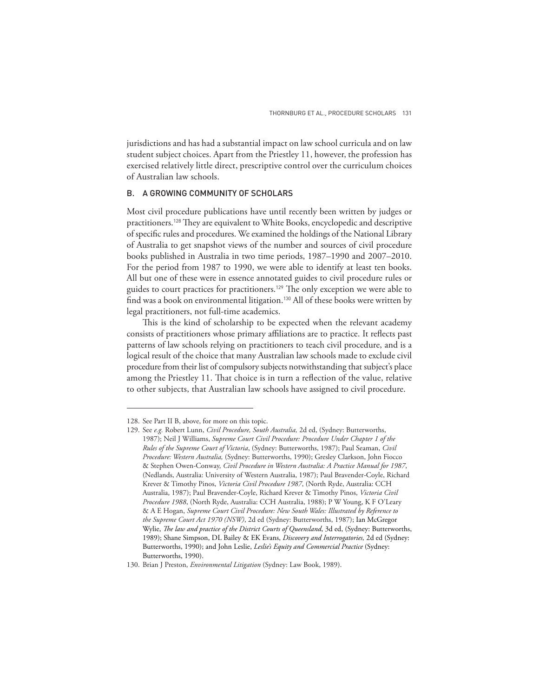jurisdictions and has had a substantial impact on law school curricula and on law student subject choices. Apart from the Priestley 11, however, the profession has exercised relatively little direct, prescriptive control over the curriculum choices of Australian law schools.

### B. A GROWING COMMUNITY OF SCHOLARS

Most civil procedure publications have until recently been written by judges or practitioners.<sup>128</sup> They are equivalent to White Books, encyclopedic and descriptive of specific rules and procedures. We examined the holdings of the National Library of Australia to get snapshot views of the number and sources of civil procedure books published in Australia in two time periods, 1987–1990 and 2007–2010. For the period from 1987 to 1990, we were able to identify at least ten books. All but one of these were in essence annotated guides to civil procedure rules or guides to court practices for practitioners.<sup>129</sup> The only exception we were able to find was a book on environmental litigation.<sup>130</sup> All of these books were written by legal practitioners, not full-time academics.

This is the kind of scholarship to be expected when the relevant academy consists of practitioners whose primary affiliations are to practice. It reflects past patterns of law schools relying on practitioners to teach civil procedure, and is a logical result of the choice that many Australian law schools made to exclude civil procedure from their list of compulsory subjects notwithstanding that subject's place among the Priestley 11. That choice is in turn a reflection of the value, relative to other subjects, that Australian law schools have assigned to civil procedure.

<sup>128.</sup> See Part II B, above, for more on this topic.

<sup>129.</sup> See *e.g.* Robert Lunn, *Civil Procedure, South Australia,* 2d ed, (Sydney: Butterworths, 1987); Neil J Williams, *Supreme Court Civil Procedure: Procedure Under Chapter 1 of the Rules of the Supreme Court of Victoria*, (Sydney: Butterworths, 1987); Paul Seaman, *Civil Procedure: Western Australia,* (Sydney: Butterworths, 1990); Gresley Clarkson, John Fiocco & Stephen Owen-Conway, *Civil Procedure in Western Australia: A Practice Manual for 1987*, (Nedlands, Australia: University of Western Australia, 1987); Paul Bravender-Coyle, Richard Krever & Timothy Pinos, *Victoria Civil Procedure 1987*, (North Ryde, Australia: CCH Australia, 1987); Paul Bravender-Coyle, Richard Krever & Timothy Pinos, *Victoria Civil Procedure 1988*, (North Ryde, Australia: CCH Australia, 1988); P W Young, K F O'Leary & A E Hogan, *Supreme Court Civil Procedure: New South Wales: Illustrated by Reference to the Supreme Court Act 1970 (NSW)*, 2d ed (Sydney: Butterworths, 1987); Ian McGregor Wylie, *The law and practice of the District Courts of Queensland*, 3d ed, (Sydney: Butterworths, 1989); Shane Simpson, DL Bailey & EK Evans, *Discovery and Interrogatories,* 2d ed (Sydney: Butterworths, 1990); and John Leslie, *Leslie's Equity and Commercial Practice* (Sydney: Butterworths, 1990).

<sup>130.</sup> Brian J Preston, *Environmental Litigation* (Sydney: Law Book, 1989).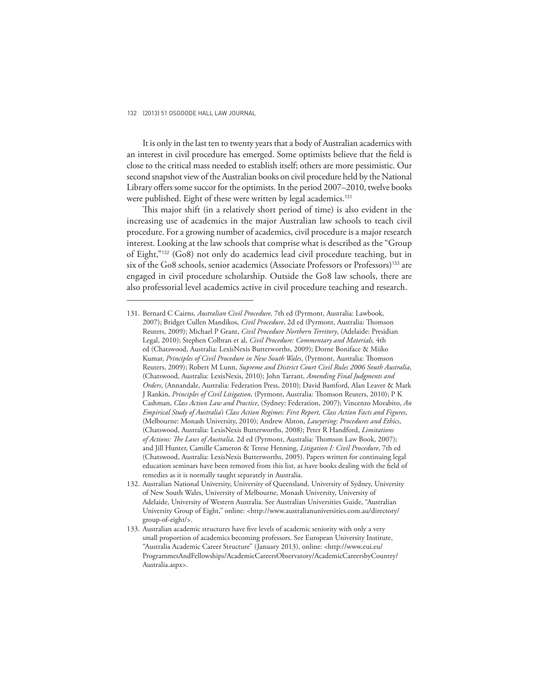It is only in the last ten to twenty years that a body of Australian academics with an interest in civil procedure has emerged. Some optimists believe that the field is close to the critical mass needed to establish itself; others are more pessimistic. Our second snapshot view of the Australian books on civil procedure held by the National Library offers some succor for the optimists. In the period 2007–2010, twelve books were published. Eight of these were written by legal academics.<sup>131</sup>

This major shift (in a relatively short period of time) is also evident in the increasing use of academics in the major Australian law schools to teach civil procedure. For a growing number of academics, civil procedure is a major research interest. Looking at the law schools that comprise what is described as the "Group of Eight,"132 (Go8) not only do academics lead civil procedure teaching, but in six of the Go8 schools, senior academics (Associate Professors or Professors)133 are engaged in civil procedure scholarship. Outside the Go8 law schools, there are also professorial level academics active in civil procedure teaching and research.

<sup>131.</sup> Bernard C Cairns, *Australian Civil Procedure,* 7th ed (Pyrmont, Australia: Lawbook, 2007); Bridget Cullen Mandikos, *Civil Procedure*, 2d ed (Pyrmont, Australia: Thomson Reuters, 2009); Michael P Grant, *Civil Procedure Northern Territory*, (Adelaide: Presidian Legal, 2010); Stephen Colbran et al, *Civil Procedure: Commentary and Materials,* 4th ed (Chatswood, Australia: LexisNexis Butterworths, 2009); Dorne Boniface & Miiko Kumar, *Principles of Civil Procedure in New South Wales*, (Pyrmont, Australia: Thomson Reuters, 2009); Robert M Lunn, *Supreme and District Court Civil Rules 2006 South Australia*, (Chatswood, Australia: LexisNexis, 2010); John Tarrant, *Amending Final Judgments and Orders*, (Annandale, Australia: Federation Press, 2010); David Bamford, Alan Leaver & Mark J Rankin, *Principles of Civil Litigation*, (Pyrmont, Australia: Thomson Reuters, 2010); P K Cashman, *Class Action Law and Practice*, (Sydney: Federation, 2007); Vincenzo Morabito, *An Empirical Study of Australia's Class Action Regimes: First Report, Class Action Facts and Figures*, (Melbourne: Monash University, 2010); Andrew Alston, *Lawyering: Procedures and Ethics*, (Chatswood, Australia: LexisNexis Butterworths, 2008); Peter R Handford, *Limitations*  of Actions: The Laws of Australia, 2d ed (Pyrmont, Australia: Thomson Law Book, 2007); and Jill Hunter, Camille Cameron & Terese Henning, *Litigation I: Civil Procedure*, 7th ed (Chatswood, Australia: LexisNexis Butterworths, 2005). Papers written for continuing legal education seminars have been removed from this list, as have books dealing with the field of remedies as it is normally taught separately in Australia.

<sup>132.</sup> Australian National University, University of Queensland, University of Sydney, University of New South Wales, University of Melbourne, Monash University, University of Adelaide, University of Western Australia. See Australian Universities Guide, "Australian University Group of Eight," online: <http://www.australianuniversities.com.au/directory/ group-of-eight/>.

<sup>133.</sup> Australian academic structures have five levels of academic seniority with only a very small proportion of academics becoming professors. See European University Institute, "Australia Academic Career Structure" (January 2013), online: <http://www.eui.eu/ ProgrammesAndFellowships/AcademicCareersObservatory/AcademicCareersbyCountry/ Australia.aspx>.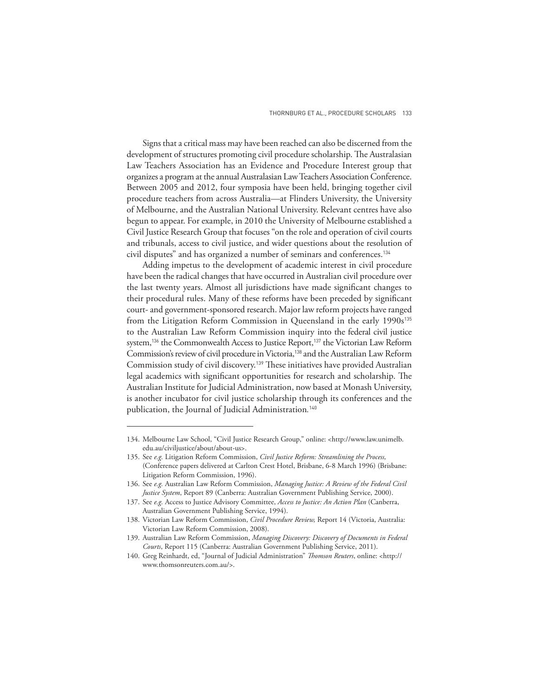Signs that a critical mass may have been reached can also be discerned from the development of structures promoting civil procedure scholarship. The Australasian Law Teachers Association has an Evidence and Procedure Interest group that organizes a program at the annual Australasian Law Teachers Association Conference. Between 2005 and 2012, four symposia have been held, bringing together civil procedure teachers from across Australia—at Flinders University, the University of Melbourne, and the Australian National University. Relevant centres have also begun to appear. For example, in 2010 the University of Melbourne established a Civil Justice Research Group that focuses "on the role and operation of civil courts and tribunals, access to civil justice, and wider questions about the resolution of civil disputes" and has organized a number of seminars and conferences.<sup>134</sup>

Adding impetus to the development of academic interest in civil procedure have been the radical changes that have occurred in Australian civil procedure over the last twenty years. Almost all jurisdictions have made significant changes to their procedural rules. Many of these reforms have been preceded by significant court- and government-sponsored research. Major law reform projects have ranged from the Litigation Reform Commission in Queensland in the early 1990s<sup>135</sup> to the Australian Law Reform Commission inquiry into the federal civil justice system,<sup>136</sup> the Commonwealth Access to Justice Report,<sup>137</sup> the Victorian Law Reform Commission's review of civil procedure in Victoria,138 and the Australian Law Reform Commission study of civil discovery.<sup>139</sup> These initiatives have provided Australian legal academics with significant opportunities for research and scholarship. The Australian Institute for Judicial Administration, now based at Monash University, is another incubator for civil justice scholarship through its conferences and the publication, the Journal of Judicial Administration*.* 140

<sup>134.</sup> Melbourne Law School, "Civil Justice Research Group," online: <http://www.law.unimelb. edu.au/civiljustice/about/about-us>.

<sup>135.</sup> See *e.g.* Litigation Reform Commission, *Civil Justice Reform: Streamlining the Process,* (Conference papers delivered at Carlton Crest Hotel, Brisbane, 6-8 March 1996) (Brisbane: Litigation Reform Commission, 1996).

<sup>136.</sup> See *e.g.* Australian Law Reform Commission, *Managing Justice: A Review of the Federal Civil Justice System*, Report 89 (Canberra: Australian Government Publishing Service, 2000).

<sup>137.</sup> See *e.g.* Access to Justice Advisory Committee, *Access to Justice: An Action Plan* (Canberra, Australian Government Publishing Service, 1994).

<sup>138.</sup> Victorian Law Reform Commission, *Civil Procedure Review,* Report 14 (Victoria, Australia: Victorian Law Reform Commission, 2008).

<sup>139.</sup> Australian Law Reform Commission, *Managing Discovery: Discovery of Documents in Federal Courts*, Report 115 (Canberra: Australian Government Publishing Service, 2011).

<sup>140.</sup> Greg Reinhardt, ed, "Journal of Judicial Administration" *Thomson Reuters*, online: <http:// www.thomsonreuters.com.au/>.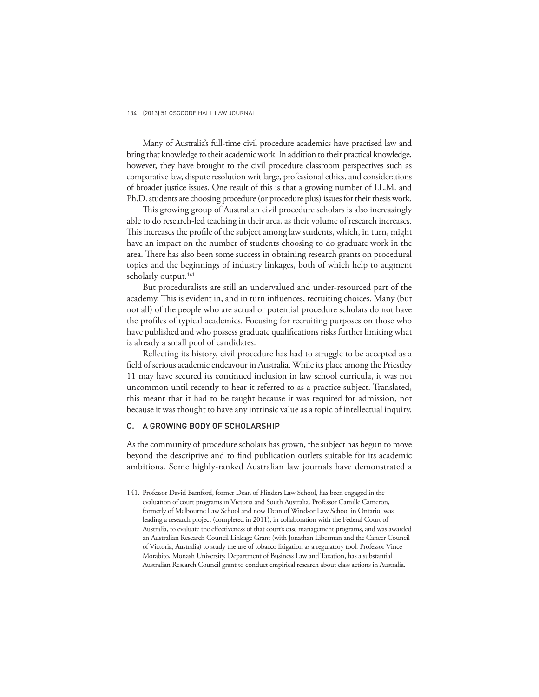Many of Australia's full-time civil procedure academics have practised law and bring that knowledge to their academic work. In addition to their practical knowledge, however, they have brought to the civil procedure classroom perspectives such as comparative law, dispute resolution writ large, professional ethics, and considerations of broader justice issues. One result of this is that a growing number of LL.M. and Ph.D. students are choosing procedure (or procedure plus) issues for their thesis work.

This growing group of Australian civil procedure scholars is also increasingly able to do research-led teaching in their area, as their volume of research increases. This increases the profile of the subject among law students, which, in turn, might have an impact on the number of students choosing to do graduate work in the area. There has also been some success in obtaining research grants on procedural topics and the beginnings of industry linkages, both of which help to augment scholarly output.<sup>141</sup>

But proceduralists are still an undervalued and under-resourced part of the academy. This is evident in, and in turn influences, recruiting choices. Many (but not all) of the people who are actual or potential procedure scholars do not have the profiles of typical academics. Focusing for recruiting purposes on those who have published and who possess graduate qualifications risks further limiting what is already a small pool of candidates.

Reflecting its history, civil procedure has had to struggle to be accepted as a field of serious academic endeavour in Australia. While its place among the Priestley 11 may have secured its continued inclusion in law school curricula, it was not uncommon until recently to hear it referred to as a practice subject. Translated, this meant that it had to be taught because it was required for admission, not because it was thought to have any intrinsic value as a topic of intellectual inquiry.

### C. A GROWING BODY OF SCHOLARSHIP

As the community of procedure scholars has grown, the subject has begun to move beyond the descriptive and to find publication outlets suitable for its academic ambitions. Some highly-ranked Australian law journals have demonstrated a

<sup>141.</sup> Professor David Bamford, former Dean of Flinders Law School, has been engaged in the evaluation of court programs in Victoria and South Australia. Professor Camille Cameron, formerly of Melbourne Law School and now Dean of Windsor Law School in Ontario, was leading a research project (completed in 2011), in collaboration with the Federal Court of Australia, to evaluate the effectiveness of that court's case management programs, and was awarded an Australian Research Council Linkage Grant (with Jonathan Liberman and the Cancer Council of Victoria, Australia) to study the use of tobacco litigation as a regulatory tool. Professor Vince Morabito, Monash University, Department of Business Law and Taxation, has a substantial Australian Research Council grant to conduct empirical research about class actions in Australia.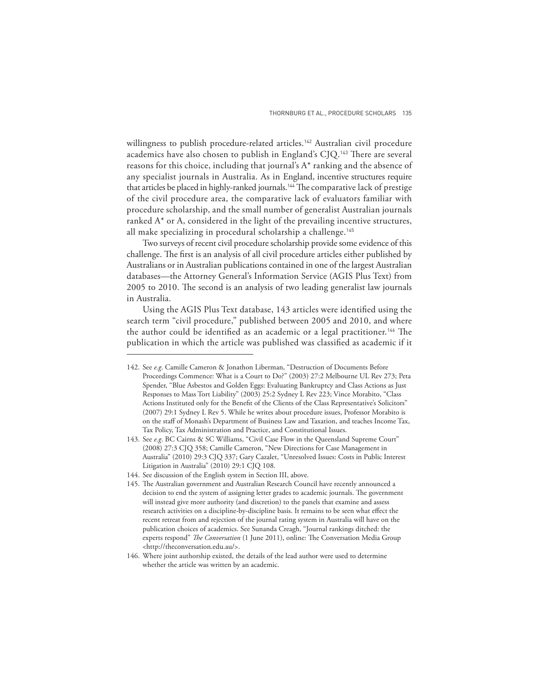willingness to publish procedure-related articles.<sup>142</sup> Australian civil procedure academics have also chosen to publish in England's CJQ.<sup>143</sup> There are several reasons for this choice, including that journal's A\* ranking and the absence of any specialist journals in Australia. As in England, incentive structures require that articles be placed in highly-ranked journals.<sup>144</sup> The comparative lack of prestige of the civil procedure area, the comparative lack of evaluators familiar with procedure scholarship, and the small number of generalist Australian journals ranked A\* or A, considered in the light of the prevailing incentive structures, all make specializing in procedural scholarship a challenge.<sup>145</sup>

Two surveys of recent civil procedure scholarship provide some evidence of this challenge. The first is an analysis of all civil procedure articles either published by Australians or in Australian publications contained in one of the largest Australian databases—the Attorney General's Information Service (AGIS Plus Text) from 2005 to 2010. The second is an analysis of two leading generalist law journals in Australia.

Using the AGIS Plus Text database, 143 articles were identified using the search term "civil procedure," published between 2005 and 2010, and where the author could be identified as an academic or a legal practitioner.<sup>146</sup> The publication in which the article was published was classified as academic if it

<sup>142.</sup> See *e.g*. Camille Cameron & Jonathon Liberman, "Destruction of Documents Before Proceedings Commence: What is a Court to Do?" (2003) 27:2 Melbourne UL Rev 273; Peta Spender, "Blue Asbestos and Golden Eggs: Evaluating Bankruptcy and Class Actions as Just Responses to Mass Tort Liability" (2003) 25:2 Sydney L Rev 223; Vince Morabito, "Class Actions Instituted only for the Benefit of the Clients of the Class Representative's Solicitors" (2007) 29:1 Sydney L Rev 5. While he writes about procedure issues, Professor Morabito is on the staff of Monash's Department of Business Law and Taxation, and teaches Income Tax, Tax Policy, Tax Administration and Practice, and Constitutional Issues.

<sup>143.</sup> See *e.g*. BC Cairns & SC Williams, "Civil Case Flow in the Queensland Supreme Court" (2008) 27:3 CJQ 358; Camille Cameron, "New Directions for Case Management in Australia" (2010) 29:3 CJQ 337; Gary Cazalet, "Unresolved Issues: Costs in Public Interest Litigation in Australia" (2010) 29:1 CJQ 108.

<sup>144.</sup> See discussion of the English system in Section III, above.

<sup>145.</sup> The Australian government and Australian Research Council have recently announced a decision to end the system of assigning letter grades to academic journals. The government will instead give more authority (and discretion) to the panels that examine and assess research activities on a discipline-by-discipline basis. It remains to be seen what effect the recent retreat from and rejection of the journal rating system in Australia will have on the publication choices of academics. See Sunanda Creagh, "Journal rankings ditched: the experts respond" *The Conversation* (1 June 2011), online: The Conversation Media Group <http://theconversation.edu.au/>.

<sup>146.</sup> Where joint authorship existed, the details of the lead author were used to determine whether the article was written by an academic.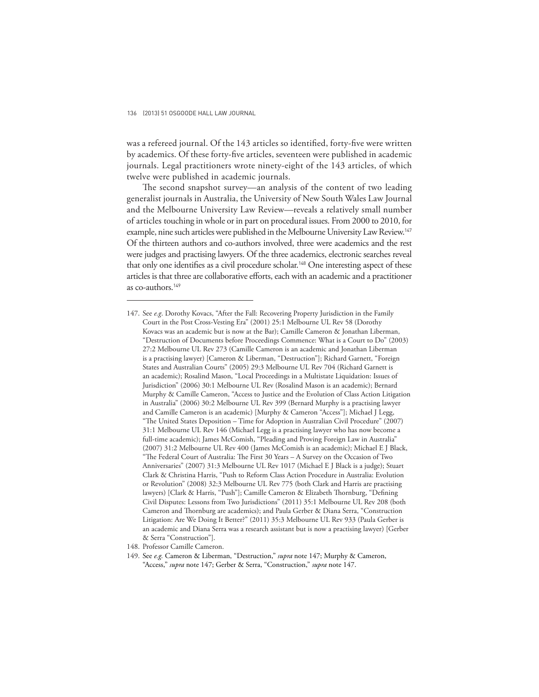was a refereed journal. Of the 143 articles so identified, forty-five were written by academics. Of these forty-five articles, seventeen were published in academic journals. Legal practitioners wrote ninety-eight of the 143 articles, of which twelve were published in academic journals.

The second snapshot survey—an analysis of the content of two leading generalist journals in Australia, the University of New South Wales Law Journal and the Melbourne University Law Review—reveals a relatively small number of articles touching in whole or in part on procedural issues. From 2000 to 2010, for example, nine such articles were published in the Melbourne University Law Review.<sup>147</sup> Of the thirteen authors and co-authors involved, three were academics and the rest were judges and practising lawyers. Of the three academics, electronic searches reveal that only one identifies as a civil procedure scholar.<sup>148</sup> One interesting aspect of these articles is that three are collaborative efforts, each with an academic and a practitioner as co-authors.<sup>149</sup>

148. Professor Camille Cameron.

<sup>147.</sup> See *e.g*. Dorothy Kovacs, "After the Fall: Recovering Property Jurisdiction in the Family Court in the Post Cross-Vesting Era" (2001) 25:1 Melbourne UL Rev 58 (Dorothy Kovacs was an academic but is now at the Bar); Camille Cameron & Jonathan Liberman, "Destruction of Documents before Proceedings Commence: What is a Court to Do" (2003) 27:2 Melbourne UL Rev 273 (Camille Cameron is an academic and Jonathan Liberman is a practising lawyer) [Cameron & Liberman, "Destruction"]; Richard Garnett, "Foreign States and Australian Courts" (2005) 29:3 Melbourne UL Rev 704 (Richard Garnett is an academic); Rosalind Mason, "Local Proceedings in a Multistate Liquidation: Issues of Jurisdiction" (2006) 30:1 Melbourne UL Rev (Rosalind Mason is an academic); Bernard Murphy & Camille Cameron, "Access to Justice and the Evolution of Class Action Litigation in Australia" (2006) 30:2 Melbourne UL Rev 399 (Bernard Murphy is a practising lawyer and Camille Cameron is an academic) [Murphy & Cameron "Access"]; Michael J Legg, "The United States Deposition - Time for Adoption in Australian Civil Procedure" (2007) 31:1 Melbourne UL Rev 146 (Michael Legg is a practising lawyer who has now become a full-time academic); James McComish, "Pleading and Proving Foreign Law in Australia" (2007) 31:2 Melbourne UL Rev 400 (James McComish is an academic); Michael E J Black, "The Federal Court of Australia: The First 30 Years - A Survey on the Occasion of Two Anniversaries" (2007) 31:3 Melbourne UL Rev 1017 (Michael E J Black is a judge); Stuart Clark & Christina Harris, "Push to Reform Class Action Procedure in Australia: Evolution or Revolution" (2008) 32:3 Melbourne UL Rev 775 (both Clark and Harris are practising lawyers) [Clark & Harris, "Push"]; Camille Cameron & Elizabeth Thornburg, "Defining Civil Disputes: Lessons from Two Jurisdictions" (2011) 35:1 Melbourne UL Rev 208 (both Cameron and Thornburg are academics); and Paula Gerber & Diana Serra, "Construction Litigation: Are We Doing It Better?" (2011) 35:3 Melbourne UL Rev 933 (Paula Gerber is an academic and Diana Serra was a research assistant but is now a practising lawyer) [Gerber & Serra "Construction"].

<sup>149.</sup> See *e.g.* Cameron & Liberman, "Destruction," *supra* note 147; Murphy & Cameron, "Access," *supra* note 147; Gerber & Serra, "Construction," *supra* note 147.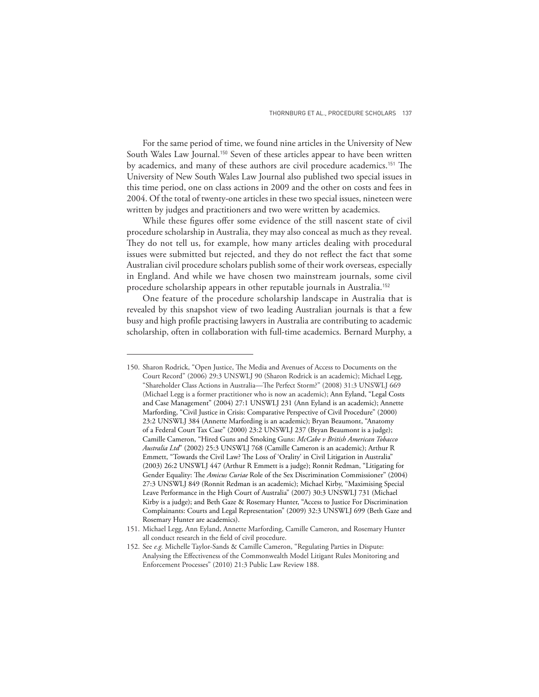For the same period of time, we found nine articles in the University of New South Wales Law Journal.<sup>150</sup> Seven of these articles appear to have been written by academics, and many of these authors are civil procedure academics.<sup>151</sup> The University of New South Wales Law Journal also published two special issues in this time period, one on class actions in 2009 and the other on costs and fees in 2004. Of the total of twenty-one articles in these two special issues, nineteen were written by judges and practitioners and two were written by academics.

While these figures offer some evidence of the still nascent state of civil procedure scholarship in Australia, they may also conceal as much as they reveal. They do not tell us, for example, how many articles dealing with procedural issues were submitted but rejected, and they do not reflect the fact that some Australian civil procedure scholars publish some of their work overseas, especially in England. And while we have chosen two mainstream journals, some civil procedure scholarship appears in other reputable journals in Australia.<sup>152</sup>

One feature of the procedure scholarship landscape in Australia that is revealed by this snapshot view of two leading Australian journals is that a few busy and high profile practising lawyers in Australia are contributing to academic scholarship, often in collaboration with full-time academics. Bernard Murphy, a

<sup>150.</sup> Sharon Rodrick, "Open Justice, The Media and Avenues of Access to Documents on the Court Record" (2006) 29:3 UNSWLJ 90 (Sharon Rodrick is an academic); Michael Legg, "Shareholder Class Actions in Australia-The Perfect Storm?" (2008) 31:3 UNSWLJ 669 (Michael Legg is a former practitioner who is now an academic); Ann Eyland, "Legal Costs and Case Management" (2004) 27:1 UNSWLJ 231 (Ann Eyland is an academic); Annette Marfording, "Civil Justice in Crisis: Comparative Perspective of Civil Procedure" (2000) 23:2 UNSWLJ 384 (Annette Marfording is an academic); Bryan Beaumont, "Anatomy of a Federal Court Tax Case" (2000) 23:2 UNSWLJ 237 (Bryan Beaumont is a judge); Camille Cameron, "Hired Guns and Smoking Guns: *McCabe v British American Tobacco Australia Ltd*" (2002) 25:3 UNSWLJ 768 (Camille Cameron is an academic); Arthur R Emmett, "Towards the Civil Law? The Loss of 'Orality' in Civil Litigation in Australia" (2003) 26:2 UNSWLJ 447 (Arthur R Emmett is a judge); Ronnit Redman, "Litigating for Gender Equality: The *Amicus Curiae* Role of the Sex Discrimination Commissioner" (2004) 27:3 UNSWLJ 849 (Ronnit Redman is an academic); Michael Kirby, "Maximising Special Leave Performance in the High Court of Australia" (2007) 30:3 UNSWLJ 731 (Michael Kirby is a judge); and Beth Gaze & Rosemary Hunter, "Access to Justice For Discrimination Complainants: Courts and Legal Representation" (2009) 32:3 UNSWLJ 699 (Beth Gaze and Rosemary Hunter are academics).

<sup>151.</sup> Michael Legg, Ann Eyland, Annette Marfording, Camille Cameron, and Rosemary Hunter all conduct research in the field of civil procedure.

<sup>152.</sup> See *e.g.* Michelle Taylor-Sands & Camille Cameron, "Regulating Parties in Dispute: Analysing the Effectiveness of the Commonwealth Model Litigant Rules Monitoring and Enforcement Processes" (2010) 21:3 Public Law Review 188.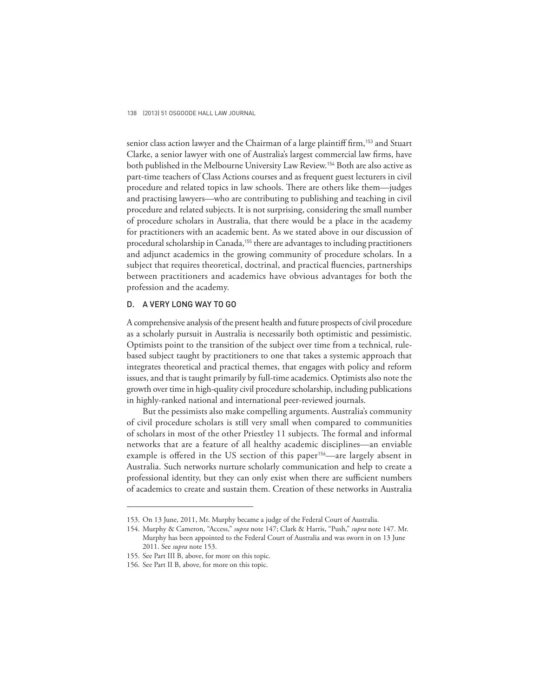senior class action lawyer and the Chairman of a large plaintiff firm,<sup>153</sup> and Stuart Clarke, a senior lawyer with one of Australia's largest commercial law firms, have both published in the Melbourne University Law Review.154 Both are also active as part-time teachers of Class Actions courses and as frequent guest lecturers in civil procedure and related topics in law schools. There are others like them—judges and practising lawyers—who are contributing to publishing and teaching in civil procedure and related subjects. It is not surprising, considering the small number of procedure scholars in Australia, that there would be a place in the academy for practitioners with an academic bent. As we stated above in our discussion of procedural scholarship in Canada,<sup>155</sup> there are advantages to including practitioners and adjunct academics in the growing community of procedure scholars. In a subject that requires theoretical, doctrinal, and practical fluencies, partnerships between practitioners and academics have obvious advantages for both the profession and the academy.

### D. A VERY LONG WAY TO GO

A comprehensive analysis of the present health and future prospects of civil procedure as a scholarly pursuit in Australia is necessarily both optimistic and pessimistic. Optimists point to the transition of the subject over time from a technical, rulebased subject taught by practitioners to one that takes a systemic approach that integrates theoretical and practical themes, that engages with policy and reform issues, and that is taught primarily by full-time academics. Optimists also note the growth over time in high-quality civil procedure scholarship, including publications in highly-ranked national and international peer-reviewed journals.

But the pessimists also make compelling arguments. Australia's community of civil procedure scholars is still very small when compared to communities of scholars in most of the other Priestley 11 subjects. The formal and informal networks that are a feature of all healthy academic disciplines—an enviable example is offered in the US section of this paper<sup>156</sup>—are largely absent in Australia. Such networks nurture scholarly communication and help to create a professional identity, but they can only exist when there are sufficient numbers of academics to create and sustain them. Creation of these networks in Australia

<sup>153.</sup> On 13 June, 2011, Mr. Murphy became a judge of the Federal Court of Australia.

<sup>154.</sup> Murphy & Cameron, "Access," *supra* note 147; Clark & Harris, "Push," *supra* note 147. Mr. Murphy has been appointed to the Federal Court of Australia and was sworn in on 13 June 2011. See *supra* note 153.

<sup>155.</sup> See Part III B, above, for more on this topic.

<sup>156.</sup> See Part II B, above, for more on this topic.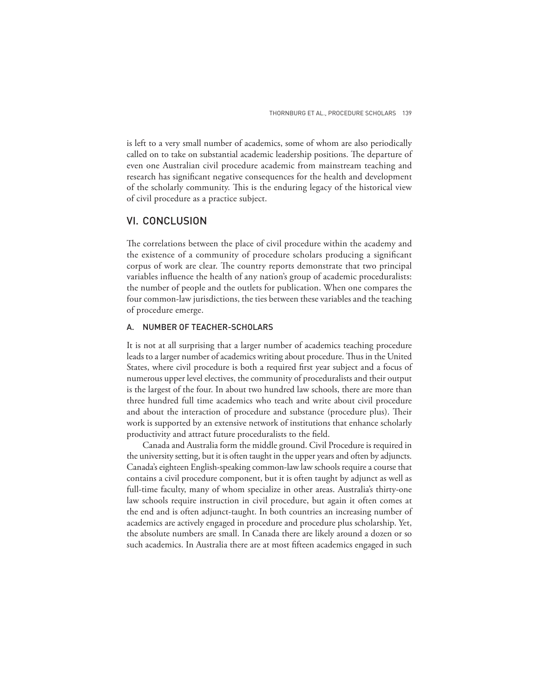is left to a very small number of academics, some of whom are also periodically called on to take on substantial academic leadership positions. The departure of even one Australian civil procedure academic from mainstream teaching and research has significant negative consequences for the health and development of the scholarly community. This is the enduring legacy of the historical view of civil procedure as a practice subject.

## VI. CONCLUSION

The correlations between the place of civil procedure within the academy and the existence of a community of procedure scholars producing a significant corpus of work are clear. The country reports demonstrate that two principal variables influence the health of any nation's group of academic proceduralists: the number of people and the outlets for publication. When one compares the four common-law jurisdictions, the ties between these variables and the teaching of procedure emerge.

#### A. NUMBER OF TEACHER-SCHOLARS

It is not at all surprising that a larger number of academics teaching procedure leads to a larger number of academics writing about procedure. Thus in the United States, where civil procedure is both a required first year subject and a focus of numerous upper level electives, the community of proceduralists and their output is the largest of the four. In about two hundred law schools, there are more than three hundred full time academics who teach and write about civil procedure and about the interaction of procedure and substance (procedure plus). Their work is supported by an extensive network of institutions that enhance scholarly productivity and attract future proceduralists to the field.

Canada and Australia form the middle ground. Civil Procedure is required in the university setting, but it is often taught in the upper years and often by adjuncts. Canada's eighteen English-speaking common-law law schools require a course that contains a civil procedure component, but it is often taught by adjunct as well as full-time faculty, many of whom specialize in other areas. Australia's thirty-one law schools require instruction in civil procedure, but again it often comes at the end and is often adjunct-taught. In both countries an increasing number of academics are actively engaged in procedure and procedure plus scholarship. Yet, the absolute numbers are small. In Canada there are likely around a dozen or so such academics. In Australia there are at most fifteen academics engaged in such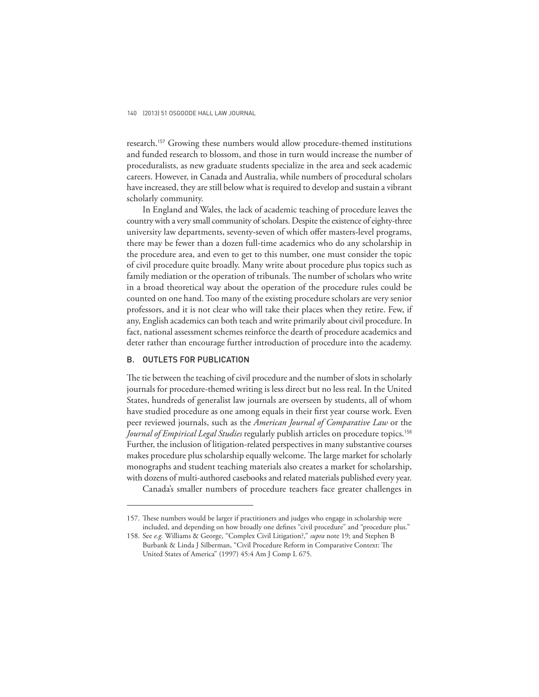research.157 Growing these numbers would allow procedure-themed institutions and funded research to blossom, and those in turn would increase the number of proceduralists, as new graduate students specialize in the area and seek academic careers. However, in Canada and Australia, while numbers of procedural scholars have increased, they are still below what is required to develop and sustain a vibrant scholarly community.

In England and Wales, the lack of academic teaching of procedure leaves the country with a very small community of scholars. Despite the existence of eighty-three university law departments, seventy-seven of which offer masters-level programs, there may be fewer than a dozen full-time academics who do any scholarship in the procedure area, and even to get to this number, one must consider the topic of civil procedure quite broadly. Many write about procedure plus topics such as family mediation or the operation of tribunals. The number of scholars who write in a broad theoretical way about the operation of the procedure rules could be counted on one hand. Too many of the existing procedure scholars are very senior professors, and it is not clear who will take their places when they retire. Few, if any, English academics can both teach and write primarily about civil procedure. In fact, national assessment schemes reinforce the dearth of procedure academics and deter rather than encourage further introduction of procedure into the academy.

#### B. OUTLETS FOR PUBLICATION

The tie between the teaching of civil procedure and the number of slots in scholarly journals for procedure-themed writing is less direct but no less real. In the United States, hundreds of generalist law journals are overseen by students, all of whom have studied procedure as one among equals in their first year course work. Even peer reviewed journals, such as the *American Journal of Comparative Law* or the *Journal of Empirical Legal Studies* regularly publish articles on procedure topics.<sup>158</sup> Further, the inclusion of litigation-related perspectives in many substantive courses makes procedure plus scholarship equally welcome. The large market for scholarly monographs and student teaching materials also creates a market for scholarship, with dozens of multi-authored casebooks and related materials published every year.

Canada's smaller numbers of procedure teachers face greater challenges in

<sup>157.</sup> These numbers would be larger if practitioners and judges who engage in scholarship were included, and depending on how broadly one defines "civil procedure" and "procedure plus."

<sup>158.</sup> See *e.g.* Williams & George, "Complex Civil Litigation?," *supra* note 19; and Stephen B Burbank & Linda J Silberman, "Civil Procedure Reform in Comparative Context: The United States of America" (1997) 45:4 Am J Comp L 675.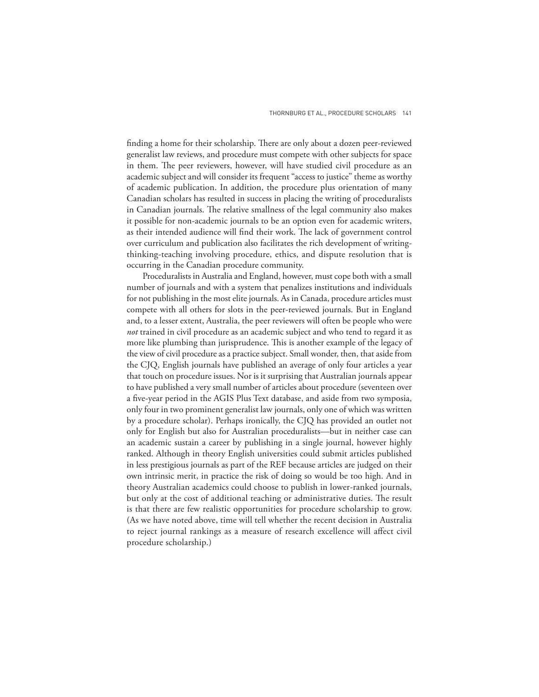finding a home for their scholarship. There are only about a dozen peer-reviewed generalist law reviews, and procedure must compete with other subjects for space in them. The peer reviewers, however, will have studied civil procedure as an academic subject and will consider its frequent "access to justice" theme as worthy of academic publication. In addition, the procedure plus orientation of many Canadian scholars has resulted in success in placing the writing of proceduralists in Canadian journals. The relative smallness of the legal community also makes it possible for non-academic journals to be an option even for academic writers, as their intended audience will find their work. The lack of government control over curriculum and publication also facilitates the rich development of writingthinking-teaching involving procedure, ethics, and dispute resolution that is occurring in the Canadian procedure community.

Proceduralists in Australia and England, however, must cope both with a small number of journals and with a system that penalizes institutions and individuals for not publishing in the most elite journals. As in Canada, procedure articles must compete with all others for slots in the peer-reviewed journals. But in England and, to a lesser extent, Australia, the peer reviewers will often be people who were *not* trained in civil procedure as an academic subject and who tend to regard it as more like plumbing than jurisprudence. This is another example of the legacy of the view of civil procedure as a practice subject. Small wonder, then, that aside from the CJQ, English journals have published an average of only four articles a year that touch on procedure issues. Nor is it surprising that Australian journals appear to have published a very small number of articles about procedure (seventeen over a five-year period in the AGIS Plus Text database, and aside from two symposia, only four in two prominent generalist law journals, only one of which was written by a procedure scholar). Perhaps ironically, the CJQ has provided an outlet not only for English but also for Australian proceduralists—but in neither case can an academic sustain a career by publishing in a single journal, however highly ranked. Although in theory English universities could submit articles published in less prestigious journals as part of the REF because articles are judged on their own intrinsic merit, in practice the risk of doing so would be too high. And in theory Australian academics could choose to publish in lower-ranked journals, but only at the cost of additional teaching or administrative duties. The result is that there are few realistic opportunities for procedure scholarship to grow. (As we have noted above, time will tell whether the recent decision in Australia to reject journal rankings as a measure of research excellence will affect civil procedure scholarship.)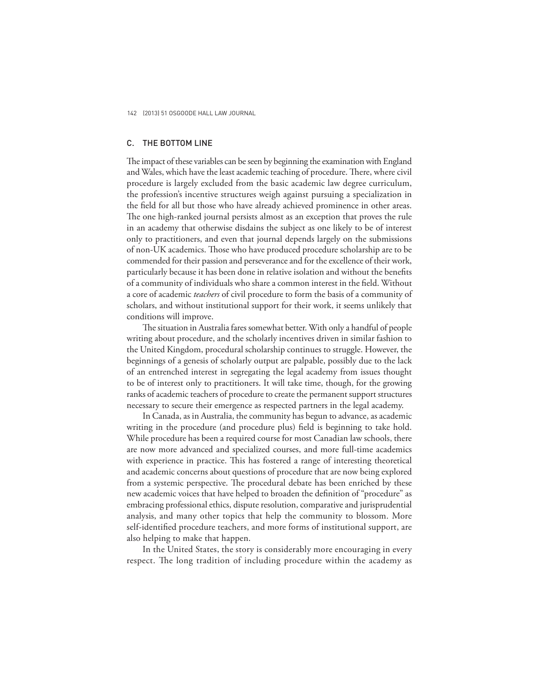## C. THE BOTTOM LINE

The impact of these variables can be seen by beginning the examination with England and Wales, which have the least academic teaching of procedure. There, where civil procedure is largely excluded from the basic academic law degree curriculum, the profession's incentive structures weigh against pursuing a specialization in the field for all but those who have already achieved prominence in other areas. The one high-ranked journal persists almost as an exception that proves the rule in an academy that otherwise disdains the subject as one likely to be of interest only to practitioners, and even that journal depends largely on the submissions of non-UK academics. Those who have produced procedure scholarship are to be commended for their passion and perseverance and for the excellence of their work, particularly because it has been done in relative isolation and without the benefits of a community of individuals who share a common interest in the field. Without a core of academic *teachers* of civil procedure to form the basis of a community of scholars, and without institutional support for their work, it seems unlikely that conditions will improve.

The situation in Australia fares somewhat better. With only a handful of people writing about procedure, and the scholarly incentives driven in similar fashion to the United Kingdom, procedural scholarship continues to struggle. However, the beginnings of a genesis of scholarly output are palpable, possibly due to the lack of an entrenched interest in segregating the legal academy from issues thought to be of interest only to practitioners. It will take time, though, for the growing ranks of academic teachers of procedure to create the permanent support structures necessary to secure their emergence as respected partners in the legal academy.

In Canada, as in Australia, the community has begun to advance, as academic writing in the procedure (and procedure plus) field is beginning to take hold. While procedure has been a required course for most Canadian law schools, there are now more advanced and specialized courses, and more full-time academics with experience in practice. This has fostered a range of interesting theoretical and academic concerns about questions of procedure that are now being explored from a systemic perspective. The procedural debate has been enriched by these new academic voices that have helped to broaden the definition of "procedure" as embracing professional ethics, dispute resolution, comparative and jurisprudential analysis, and many other topics that help the community to blossom. More self-identified procedure teachers, and more forms of institutional support, are also helping to make that happen.

In the United States, the story is considerably more encouraging in every respect. The long tradition of including procedure within the academy as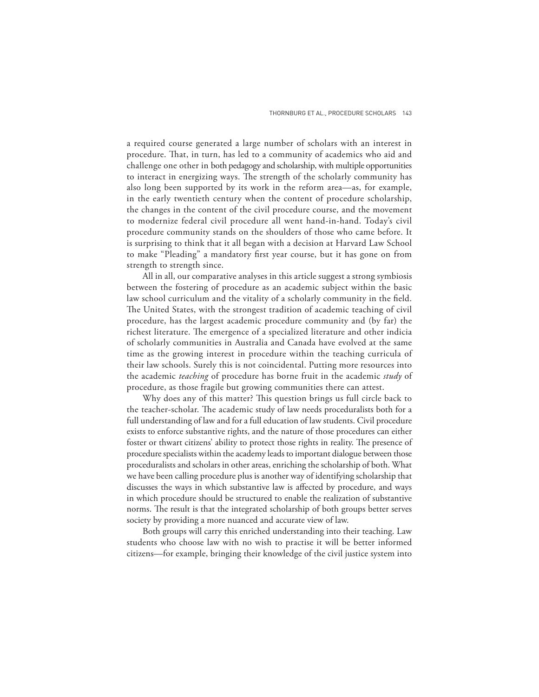a required course generated a large number of scholars with an interest in procedure. That, in turn, has led to a community of academics who aid and challenge one other in both pedagogy and scholarship, with multiple opportunities to interact in energizing ways. The strength of the scholarly community has also long been supported by its work in the reform area—as, for example, in the early twentieth century when the content of procedure scholarship, the changes in the content of the civil procedure course, and the movement to modernize federal civil procedure all went hand-in-hand. Today's civil procedure community stands on the shoulders of those who came before. It is surprising to think that it all began with a decision at Harvard Law School to make "Pleading" a mandatory first year course, but it has gone on from strength to strength since.

All in all, our comparative analyses in this article suggest a strong symbiosis between the fostering of procedure as an academic subject within the basic law school curriculum and the vitality of a scholarly community in the field. The United States, with the strongest tradition of academic teaching of civil procedure, has the largest academic procedure community and (by far) the richest literature. The emergence of a specialized literature and other indicia of scholarly communities in Australia and Canada have evolved at the same time as the growing interest in procedure within the teaching curricula of their law schools. Surely this is not coincidental. Putting more resources into the academic *teaching* of procedure has borne fruit in the academic *study* of procedure, as those fragile but growing communities there can attest.

Why does any of this matter? This question brings us full circle back to the teacher-scholar. The academic study of law needs proceduralists both for a full understanding of law and for a full education of law students. Civil procedure exists to enforce substantive rights, and the nature of those procedures can either foster or thwart citizens' ability to protect those rights in reality. The presence of procedure specialists within the academy leads to important dialogue between those proceduralists and scholars in other areas, enriching the scholarship of both. What we have been calling procedure plus is another way of identifying scholarship that discusses the ways in which substantive law is affected by procedure, and ways in which procedure should be structured to enable the realization of substantive norms. The result is that the integrated scholarship of both groups better serves society by providing a more nuanced and accurate view of law.

Both groups will carry this enriched understanding into their teaching. Law students who choose law with no wish to practise it will be better informed citizens—for example, bringing their knowledge of the civil justice system into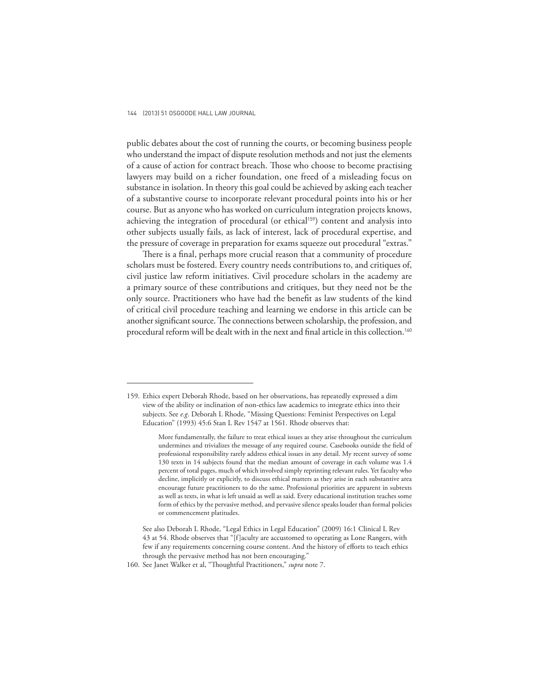public debates about the cost of running the courts, or becoming business people who understand the impact of dispute resolution methods and not just the elements of a cause of action for contract breach. Those who choose to become practising lawyers may build on a richer foundation, one freed of a misleading focus on substance in isolation. In theory this goal could be achieved by asking each teacher of a substantive course to incorporate relevant procedural points into his or her course. But as anyone who has worked on curriculum integration projects knows, achieving the integration of procedural (or ethical<sup>159</sup>) content and analysis into other subjects usually fails, as lack of interest, lack of procedural expertise, and the pressure of coverage in preparation for exams squeeze out procedural "extras."

There is a final, perhaps more crucial reason that a community of procedure scholars must be fostered. Every country needs contributions to, and critiques of, civil justice law reform initiatives. Civil procedure scholars in the academy are a primary source of these contributions and critiques, but they need not be the only source. Practitioners who have had the benefit as law students of the kind of critical civil procedure teaching and learning we endorse in this article can be another significant source. The connections between scholarship, the profession, and procedural reform will be dealt with in the next and final article in this collection.<sup>160</sup>

<sup>159.</sup> Ethics expert Deborah Rhode, based on her observations, has repeatedly expressed a dim view of the ability or inclination of non-ethics law academics to integrate ethics into their subjects. See *e.g*. Deborah L Rhode, "Missing Questions: Feminist Perspectives on Legal Education" (1993) 45:6 Stan L Rev 1547 at 1561. Rhode observes that:

More fundamentally, the failure to treat ethical issues as they arise throughout the curriculum undermines and trivializes the message of any required course. Casebooks outside the field of professional responsibility rarely address ethical issues in any detail. My recent survey of some 130 texts in 14 subjects found that the median amount of coverage in each volume was 1.4 percent of total pages, much of which involved simply reprinting relevant rules. Yet faculty who decline, implicitly or explicitly, to discuss ethical matters as they arise in each substantive area encourage future practitioners to do the same. Professional priorities are apparent in subtexts as well as texts, in what is left unsaid as well as said. Every educational institution teaches some form of ethics by the pervasive method, and pervasive silence speaks louder than formal policies or commencement platitudes.

See also Deborah L Rhode, "Legal Ethics in Legal Education" (2009) 16:1 Clinical L Rev 43 at 54. Rhode observes that "[f]aculty are accustomed to operating as Lone Rangers, with few if any requirements concerning course content. And the history of efforts to teach ethics through the pervasive method has not been encouraging."

<sup>160.</sup> See Janet Walker et al, "Thoughtful Practitioners," *supra* note 7.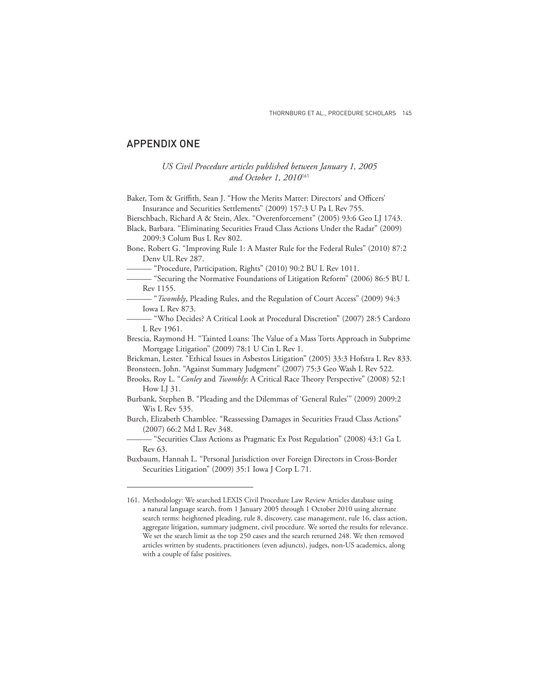## APPENDIX ONE

## *USCivil Procedure articles published between January 1, 2005 and October 1, 2010*<sup>161</sup>

Baker, Tom & Griffith, Sean J. "How the Merits Matter: Directors' and Officers' Insurance and Securities Settlements" (2009) 157:3 U Pa L Rev 755.

Bierschbach, Richard A & Stein, Alex. "Overenforcement" (2005) 93:6 Geo LJ 1743.

Black, Barbara. "Eliminating Securities Fraud Class Actions Under the Radar" (2009) 2009:3 Colum Bus L Rev 802.

Bone, Robert G. "Improving Rule 1: A Master Rule for the Federal Rules" (2010) 87:2 Denv UL Rev 287.

——— "Procedure, Participation, Rights" (2010) 90:2 BU L Rev 1011.

——— "Securing the Normative Foundations of Litigation Reform" (2006) 86:5 BU L Rev 1155.

——— "*Twombly*, Pleading Rules, and the Regulation of Court Access" (2009) 94:3 Iowa L Rev 873.

——— "Who Decides? A Critical Look at Procedural Discretion" (2007) 28:5 Cardozo L Rev 1961.

Brescia, Raymond H. "Tainted Loans: The Value of a Mass Torts Approach in Subprime Mortgage Litigation" (2009) 78:1 U Cin L Rev 1.

Brickman, Lester. "Ethical Issues in Asbestos Litigation" (2005) 33:3 Hofstra L Rev 833. Bronsteen, John. "Against Summary Judgment" (2007) 75:3 Geo Wash L Rev 522.

Brooks, Roy L. "Conley and *Twombly*: A Critical Race Theory Perspective" (2008) 52:1 How LJ 31.

Burbank, Stephen B. "Pleading and the Dilemmas of 'General Rules'" (2009) 2009:2 Wis L Rev 535.

Burch, Elizabeth Chamblee. "Reassessing Damages in Securities Fraud Class Actions" (2007) 66:2 Md L Rev 348.

——— "Securities Class Actions as Pragmatic Ex Post Regulation" (2008) 43:1 Ga L Rev 63.

Buxbaum, Hannah L. "Personal Jurisdiction over Foreign Directors in Cross-Border Securities Litigation" (2009) 35:1 Iowa J Corp L 71.

<sup>161.</sup> Methodology: We searched LEXIS Civil Procedure Law Review Articles database using a natural language search, from 1 January 2005 through 1 October 2010 using alternate search terms: heightened pleading, rule 8, discovery, case management, rule 16, class action, aggregate litigation, summary judgment, civil procedure. We sorted the results for relevance. We set the search limit as the top 250 cases and the search returned 248. We then removed articles written by students, practitioners (even adjuncts), judges, non-US academics, along with a couple of false positives.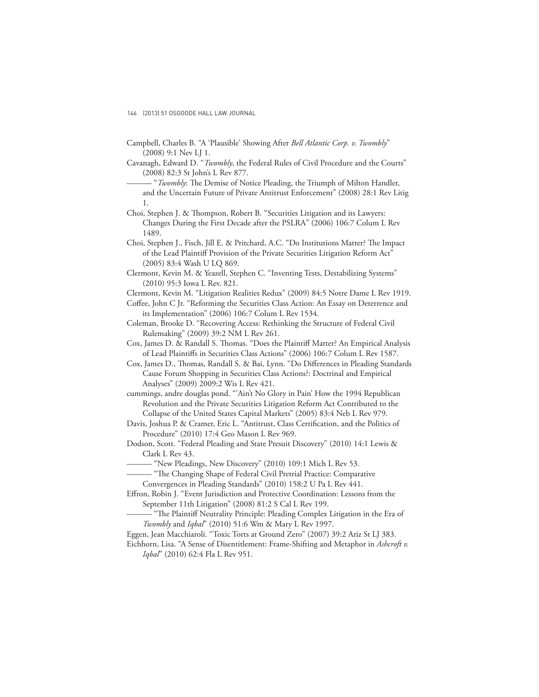- Campbell, Charles B. "A 'Plausible' Showing After *Bell Atlantic Corp. v. Twombly*" (2008) 9:1 Nev LJ 1.
- Cavanagh, Edward D. "*Twombly*, the Federal Rules of Civil Procedure and the Courts" (2008) 82:3 St John's L Rev 877.
	- "*Twombly*: The Demise of Notice Pleading, the Triumph of Milton Handler, and the Uncertain Future of Private Antitrust Enforcement" (2008) 28:1 Rev Litig 1.
- Choi, Stephen J. & Thompson, Robert B. "Securities Litigation and its Lawyers: Changes During the First Decade after the PSLRA" (2006) 106:7 Colum L Rev 1489.
- Choi, Stephen J., Fisch, Jill E. & Pritchard, A.C. "Do Institutions Matter? The Impact of the Lead Plaintiff Provision of the Private Securities Litigation Reform Act" (2005) 83:4 Wash U LQ 869.
- Clermont, Kevin M. & Yeazell, Stephen C. "Inventing Tests, Destabilizing Systems" (2010) 95:3 Iowa L Rev. 821.
- Clermont, Kevin M. "Litigation Realities Redux" (2009) 84:5 Notre Dame L Rev 1919.
- Coffee, John C Jr. "Reforming the Securities Class Action: An Essay on Deterrence and its Implementation" (2006) 106:7 Colum L Rev 1534.
- Coleman, Brooke D. "Recovering Access: Rethinking the Structure of Federal Civil Rulemaking" (2009) 39:2 NM L Rev 261.
- Cox, James D. & Randall S. Thomas. "Does the Plaintiff Matter? An Empirical Analysis of Lead Plaintiffs in Securities Class Actions" (2006) 106:7 Colum L Rev 1587.
- Cox, James D., Thomas, Randall S. & Bai, Lynn. "Do Differences in Pleading Standards Cause Forum Shopping in Securities Class Actions?: Doctrinal and Empirical Analyses" (2009) 2009:2 Wis L Rev 421.
- cummings, andre douglas pond. "'Ain't No Glory in Pain' How the 1994 Republican Revolution and the Private Securities Litigation Reform Act Contributed to the Collapse of the United States Capital Markets" (2005) 83:4 Neb L Rev 979.
- Davis, Joshua P. & Cramer, Eric L. "Antitrust, Class Certification, and the Politics of Procedure" (2010) 17:4 Geo Mason L Rev 969.
- Dodson, Scott. "Federal Pleading and State Presuit Discovery" (2010) 14:1 Lewis & Clark L Rev 43.
- "New Pleadings, New Discovery" (2010) 109:1 Mich L Rev 53.
- "The Changing Shape of Federal Civil Pretrial Practice: Comparative Convergences in Pleading Standards" (2010) 158:2 U Pa L Rev 441.
- Effron, Robin J. "Event Jurisdiction and Protective Coordination: Lessons from the September 11th Litigation" (2008) 81:2 S Cal L Rev 199.
	- "The Plaintiff Neutrality Principle: Pleading Complex Litigation in the Era of *Twombly* and *Iqbal*" (2010) 51:6 Wm & Mary L Rev 1997.
- Eggen, Jean Macchiaroli. "Toxic Torts at Ground Zero" (2007) 39:2 Ariz St LJ 383.
- Eichhorn, Lisa. "A Sense of Disentitlement: Frame-Shifting and Metaphor in *Ashcroft v. Iqbal*" (2010) 62:4 Fla L Rev 951.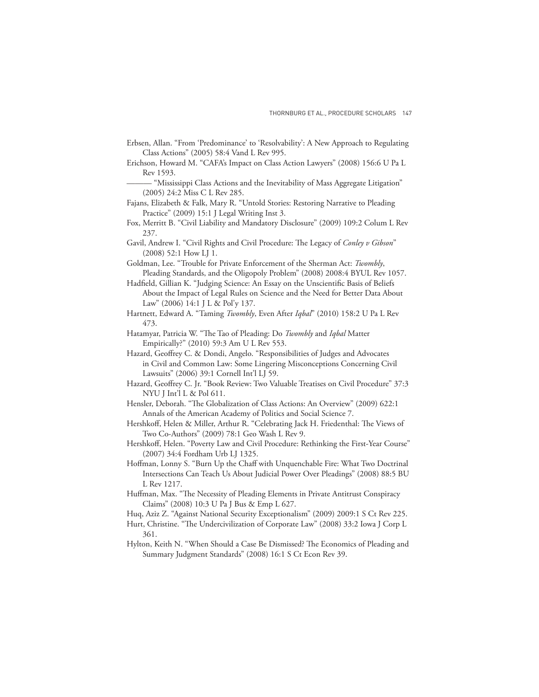- Erbsen, Allan. "From 'Predominance' to 'Resolvability': A New Approach to Regulating Class Actions" (2005) 58:4 Vand L Rev 995.
- Erichson, Howard M. "CAFA's Impact on Class Action Lawyers" (2008) 156:6 U Pa L Rev 1593.
	- ——— "Mississippi Class Actions and the Inevitability of Mass Aggregate Litigation" (2005) 24:2 Miss C L Rev 285.
- Fajans, Elizabeth & Falk, Mary R. "Untold Stories: Restoring Narrative to Pleading Practice" (2009) 15:1 J Legal Writing Inst 3.
- Fox, Merritt B. "Civil Liability and Mandatory Disclosure" (2009) 109:2 Colum L Rev 237.
- Gavil, Andrew I. "Civil Rights and Civil Procedure: The Legacy of *Conley v Gibson*" (2008) 52:1 How LJ 1.
- Goldman, Lee. "Trouble for Private Enforcement of the Sherman Act: *Twombly*, Pleading Standards, and the Oligopoly Problem" (2008) 2008:4 BYUL Rev 1057.
- Hadfield, Gillian K. "Judging Science: An Essay on the Unscientific Basis of Beliefs About the Impact of Legal Rules on Science and the Need for Better Data About Law" (2006) 14:1 J L & Pol'y 137.
- Hartnett, Edward A. "Taming *Twombly*, Even After *Iqbal*" (2010) 158:2 U Pa L Rev 473.
- Hatamyar, Patricia W. "The Tao of Pleading: Do *Twombly* and *Iqbal* Matter Empirically?" (2010) 59:3 Am U L Rev 553.
- Hazard, Geoffrey C. & Dondi, Angelo. "Responsibilities of Judges and Advocates in Civil and Common Law: Some Lingering Misconceptions Concerning Civil Lawsuits" (2006) 39:1 Cornell Int'l LJ 59.
- Hazard, Geoffrey C. Jr. "Book Review: Two Valuable Treatises on Civil Procedure" 37:3 NYU J Int'l L & Pol 611.
- Hensler, Deborah. "The Globalization of Class Actions: An Overview" (2009) 622:1 Annals of the American Academy of Politics and Social Science 7.
- Hershkoff, Helen & Miller, Arthur R. "Celebrating Jack H. Friedenthal: The Views of Two Co-Authors" (2009) 78:1 Geo Wash L Rev 9.
- Hershkoff, Helen. "Poverty Law and Civil Procedure: Rethinking the First-Year Course" (2007) 34:4 Fordham Urb LJ 1325.
- Hoffman, Lonny S. "Burn Up the Chaff with Unquenchable Fire: What Two Doctrinal Intersections Can Teach Us About Judicial Power Over Pleadings" (2008) 88:5 BU L Rev 1217.
- Huffman, Max. "The Necessity of Pleading Elements in Private Antitrust Conspiracy Claims" (2008) 10:3 U Pa J Bus & Emp L 627.
- Huq, Aziz Z. "Against National Security Exceptionalism" (2009) 2009:1 S Ct Rev 225.
- Hurt, Christine. "The Undercivilization of Corporate Law" (2008) 33:2 Iowa J Corp L 361.
- Hylton, Keith N. "When Should a Case Be Dismissed? The Economics of Pleading and Summary Judgment Standards" (2008) 16:1 S Ct Econ Rev 39.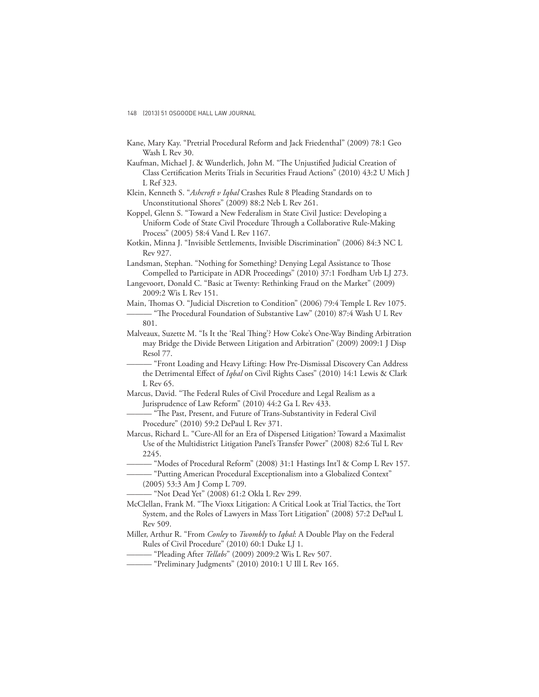- Kane, Mary Kay. "Pretrial Procedural Reform and Jack Friedenthal" (2009) 78:1 Geo Wash L Rev 30.
- Kaufman, Michael J. & Wunderlich, John M. "The Unjustified Judicial Creation of Class Certification Merits Trials in Securities Fraud Actions" (2010) 43:2 U Mich J L Ref 323.

Klein, Kenneth S. "*Ashcroft v Iqbal* Crashes Rule 8 Pleading Standards on to Unconstitutional Shores" (2009) 88:2 Neb L Rev 261.

Koppel, Glenn S. "Toward a New Federalism in State Civil Justice: Developing a Uniform Code of State Civil Procedure Through a Collaborative Rule-Making Process" (2005) 58:4 Vand L Rev 1167.

Kotkin, Minna J. "Invisible Settlements, Invisible Discrimination" (2006) 84:3 NC L Rev 927.

Landsman, Stephan. "Nothing for Something? Denying Legal Assistance to Those Compelled to Participate in ADR Proceedings" (2010) 37:1 Fordham Urb LJ 273.

Langevoort, Donald C. "Basic at Twenty: Rethinking Fraud on the Market" (2009) 2009:2 Wis L Rev 151.

Main, Thomas O. "Judicial Discretion to Condition" (2006) 79:4 Temple L Rev 1075. "The Procedural Foundation of Substantive Law" (2010) 87:4 Wash U L Rev 801.

- Malveaux, Suzette M. "Is It the 'Real Thing'? How Coke's One-Way Binding Arbitration may Bridge the Divide Between Litigation and Arbitration" (2009) 2009:1 J Disp Resol 77.
- "Front Loading and Heavy Lifting: How Pre-Dismissal Discovery Can Address the Detrimental Effect of *Iqbal* on Civil Rights Cases" (2010) 14:1 Lewis & Clark L Rev 65.
- Marcus, David. "The Federal Rules of Civil Procedure and Legal Realism as a Jurisprudence of Law Reform" (2010) 44:2 Ga L Rev 433.

"The Past, Present, and Future of Trans-Substantivity in Federal Civil Procedure" (2010) 59:2 DePaul L Rev 371.

Marcus, Richard L. "Cure-All for an Era of Dispersed Litigation? Toward a Maximalist Use of the Multidistrict Litigation Panel's Transfer Power" (2008) 82:6 Tul L Rev 2245.

- "Modes of Procedural Reform" (2008) 31:1 Hastings Int'l & Comp L Rev 157.

——— "Putting American Procedural Exceptionalism into a Globalized Context"

(2005) 53:3 Am J Comp L 709.

- "Not Dead Yet" (2008) 61:2 Okla L Rev 299.

- McClellan, Frank M. "The Vioxx Litigation: A Critical Look at Trial Tactics, the Tort System, and the Roles of Lawyers in Mass Tort Litigation" (2008) 57:2 DePaul L Rev 509.
- Miller, Arthur R. "From *Conley* to *Twombly* to *Iqbal*: A Double Play on the Federal Rules of Civil Procedure" (2010) 60:1 Duke LJ 1.
- ——— "Pleading After *Tellabs*" (2009) 2009:2 Wis L Rev 507.
- ——— "Preliminary Judgments" (2010) 2010:1 U Ill L Rev 165.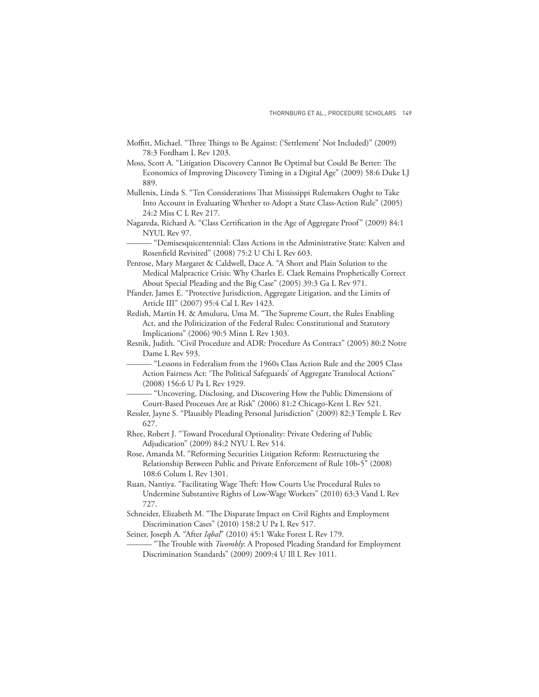- Moffitt, Michael. "Three Things to Be Against: ('Settlement' Not Included)" (2009) 78:3 Fordham L Rev 1203.
- Moss, Scott A. "Litigation Discovery Cannot Be Optimal but Could Be Better: The Economics of Improving Discovery Timing in a Digital Age" (2009) 58:6 Duke LJ 889.
- Mullenix, Linda S. "Ten Considerations That Mississippi Rulemakers Ought to Take Into Account in Evaluating Whether to Adopt a State Class-Action Rule" (2005) 24:2 Miss C L Rev 217.
- Nagareda, Richard A. "Class Certification in the Age of Aggregate Proof" (2009) 84:1 NYUL Rev 97.
	- ——— "Demisesquicentennial: Class Actions in the Administrative State: Kalven and Rosenfield Revisited" (2008) 75:2 U Chi L Rev 603.
- Penrose, Mary Margaret & Caldwell, Dace A. "A Short and Plain Solution to the Medical Malpractice Crisis: Why Charles E. Clark Remains Prophetically Correct About Special Pleading and the Big Case" (2005) 39:3 Ga L Rev 971.
- Pfander, James E. "Protective Jurisdiction, Aggregate Litigation, and the Limits of Article III" (2007) 95:4 Cal L Rev 1423.
- Redish, Martin H. & Amuluru, Uma M. "The Supreme Court, the Rules Enabling Act, and the Politicization of the Federal Rules: Constitutional and Statutory Implications" (2006) 90:5 Minn L Rev 1303.
- Resnik, Judith. "Civil Procedure and ADR: Procedure As Contract" (2005) 80:2 Notre Dame L Rev 593.
	- ——— "Lessons in Federalism from the 1960s Class Action Rule and the 2005 Class Action Fairness Act: 'The Political Safeguards' of Aggregate Translocal Actions" (2008) 156:6 U Pa L Rev 1929.
	- ——— "Uncovering, Disclosing, and Discovering How the Public Dimensions of Court-Based Processes Are at Risk" (2006) 81:2 Chicago-Kent L Rev 521.
- Ressler, Jayne S. "Plausibly Pleading Personal Jurisdiction" (2009) 82:3 Temple L Rev 627.
- Rhee, Robert J. "Toward Procedural Optionality: Private Ordering of Public Adjudication" (2009) 84:2 NYU L Rev 514.
- Rose, Amanda M. "Reforming Securities Litigation Reform: Restructuring the Relationship Between Public and Private Enforcement of Rule 10b-5" (2008) 108:6 Colum L Rev 1301.
- Ruan, Nantiya. "Facilitating Wage Theft: How Courts Use Procedural Rules to Undermine Substantive Rights of Low-Wage Workers" (2010) 63:3 Vand L Rev 727.
- Schneider, Elizabeth M. "The Disparate Impact on Civil Rights and Employment Discrimination Cases" (2010) 158:2 U Pa L Rev 517.
- Seiner, Joseph A. "After *Iqbal*" (2010) 45:1 Wake Forest L Rev 179.
	- "The Trouble with *Twombly*: A Proposed Pleading Standard for Employment Discrimination Standards" (2009) 2009:4 U Ill L Rev 1011.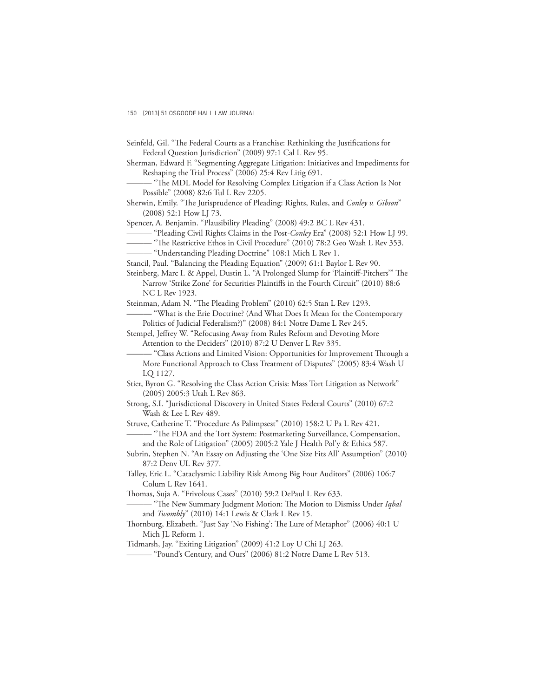- Seinfeld, Gil. "The Federal Courts as a Franchise: Rethinking the Justifications for Federal Question Jurisdiction" (2009) 97:1 Cal L Rev 95.
- Sherman, Edward F. "Segmenting Aggregate Litigation: Initiatives and Impediments for Reshaping the Trial Process" (2006) 25:4 Rev Litig 691.
	- "The MDL Model for Resolving Complex Litigation if a Class Action Is Not Possible" (2008) 82:6 Tul L Rev 2205.
- Sherwin, Emily. "The Jurisprudence of Pleading: Rights, Rules, and *Conley v. Gibson*" (2008) 52:1 How LJ 73.
- Spencer, A. Benjamin. "Plausibility Pleading" (2008) 49:2 BC L Rev 431.
- ——— "Pleading Civil Rights Claims in the Post-*Conley* Era" (2008) 52:1 How LJ 99.
- "The Restrictive Ethos in Civil Procedure" (2010) 78:2 Geo Wash L Rev 353.

——— "Understanding Pleading Doctrine" 108:1 Mich L Rev 1.

Stancil, Paul. "Balancing the Pleading Equation" (2009) 61:1 Baylor L Rev 90.

Steinberg, Marc I. & Appel, Dustin L. "A Prolonged Slump for 'Plaintiff-Pitchers'" The Narrow 'Strike Zone' for Securities Plaintiffs in the Fourth Circuit" (2010) 88:6 NC L Rev 1923.

Steinman, Adam N. "The Pleading Problem" (2010) 62:5 Stan L Rev 1293.

- "What is the Erie Doctrine? (And What Does It Mean for the Contemporary Politics of Judicial Federalism?)" (2008) 84:1 Notre Dame L Rev 245.

Stempel, Jeffrey W. "Refocusing Away from Rules Reform and Devoting More Attention to the Deciders" (2010) 87:2 U Denver L Rev 335.

– "Class Actions and Limited Vision: Opportunities for Improvement Through a More Functional Approach to Class Treatment of Disputes" (2005) 83:4 Wash U LQ 1127.

- Stier, Byron G. "Resolving the Class Action Crisis: Mass Tort Litigation as Network" (2005) 2005:3 Utah L Rev 863.
- Strong, S.I. "Jurisdictional Discovery in United States Federal Courts" (2010) 67:2 Wash & Lee L Rev 489.

Struve, Catherine T. "Procedure As Palimpsest" (2010) 158:2 U Pa L Rev 421.

<sup>e</sup> The FDA and the Tort System: Postmarketing Surveillance, Compensation, and the Role of Litigation" (2005) 2005:2 Yale J Health Pol'y & Ethics 587.

Subrin, Stephen N. "An Essay on Adjusting the 'One Size Fits All' Assumption" (2010) 87:2 Denv UL Rev 377.

Talley, Eric L. "Cataclysmic Liability Risk Among Big Four Auditors" (2006) 106:7 Colum L Rev 1641.

Thomas, Suja A. "Frivolous Cases" (2010) 59:2 DePaul L Rev 633.

<sup>- "The</sup> New Summary Judgment Motion: The Motion to Dismiss Under *Iqbal* and *Twombly*" (2010) 14:1 Lewis & Clark L Rev 15.

Thornburg, Elizabeth. "Just Say 'No Fishing': The Lure of Metaphor" (2006) 40:1 U Mich JL Reform 1.

Tidmarsh, Jay. "Exiting Litigation" (2009) 41:2 Loy U Chi LJ 263.

——— "Pound's Century, and Ours" (2006) 81:2 Notre Dame L Rev 513.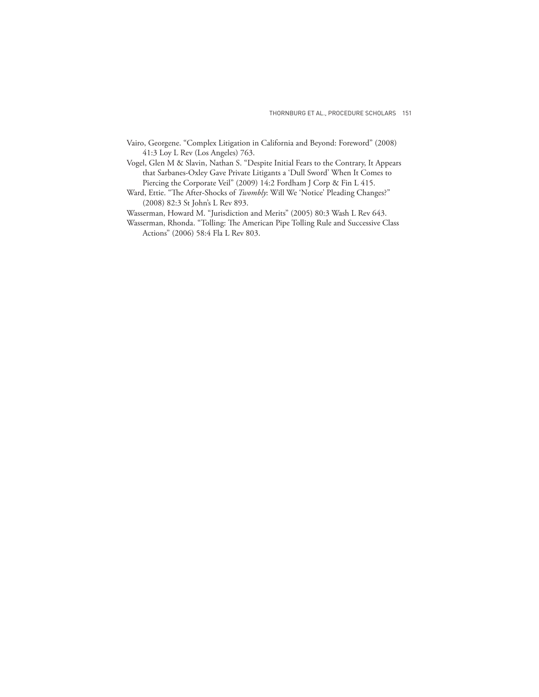- Vairo, Georgene. "Complex Litigation in California and Beyond: Foreword" (2008) 41:3 Loy L Rev (Los Angeles) 763.
- Vogel, Glen M & Slavin, Nathan S. "Despite Initial Fears to the Contrary, It Appears that Sarbanes-Oxley Gave Private Litigants a 'Dull Sword' When It Comes to Piercing the Corporate Veil" (2009) 14:2 Fordham J Corp & Fin L 415.
- Ward, Ettie. "The After-Shocks of *Twombly*: Will We 'Notice' Pleading Changes?" (2008) 82:3 St John's L Rev 893.
- Wasserman, Howard M. "Jurisdiction and Merits" (2005) 80:3 Wash L Rev 643.
- Wasserman, Rhonda. "Tolling: The American Pipe Tolling Rule and Successive Class Actions" (2006) 58:4 Fla L Rev 803.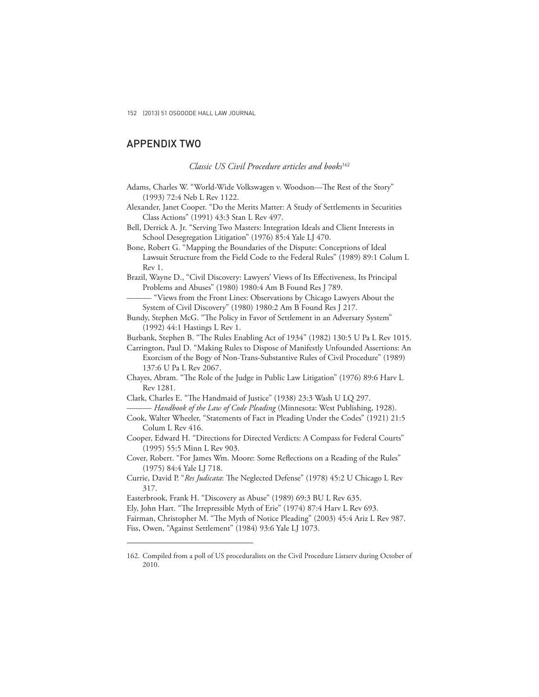## APPENDIX TWO

#### *Classic US Civil Procedure articles and books*<sup>162</sup>

- Adams, Charles W. "World-Wide Volkswagen v. Woodson-The Rest of the Story" (1993) 72:4 Neb L Rev 1122.
- Alexander, Janet Cooper. "Do the Merits Matter: A Study of Settlements in Securities Class Actions" (1991) 43:3 Stan L Rev 497.
- Bell, Derrick A. Jr. "Serving Two Masters: Integration Ideals and Client Interests in School Desegregation Litigation" (1976) 85:4 Yale LJ 470.

Bone, Robert G. "Mapping the Boundaries of the Dispute: Conceptions of Ideal Lawsuit Structure from the Field Code to the Federal Rules" (1989) 89:1 Colum L Rev 1.

- Brazil, Wayne D., "Civil Discovery: Lawyers' Views of Its Effectiveness, Its Principal Problems and Abuses" (1980) 1980:4 Am B Found Res J 789.
	- "Views from the Front Lines: Observations by Chicago Lawyers About the System of Civil Discovery" (1980) 1980:2 Am B Found Res J 217.
- Bundy, Stephen McG. "The Policy in Favor of Settlement in an Adversary System" (1992) 44:1 Hastings L Rev 1.
- Burbank, Stephen B. "The Rules Enabling Act of 1934" (1982) 130:5 U Pa L Rev 1015.

Carrington, Paul D. "Making Rules to Dispose of Manifestly Unfounded Assertions: An Exorcism of the Bogy of Non-Trans-Substantive Rules of Civil Procedure" (1989) 137:6 U Pa L Rev 2067.

- Chayes, Abram. "The Role of the Judge in Public Law Litigation" (1976) 89:6 Harv L Rev 1281.
- Clark, Charles E. "The Handmaid of Justice" (1938) 23:3 Wash U LQ 297. ——— *Handbook of the Law of Code Pleading* (Minnesota: West Publishing, 1928).
- Cook, Walter Wheeler, "Statements of Fact in Pleading Under the Codes" (1921) 21:5 Colum L Rev 416.
- Cooper, Edward H. "Directions for Directed Verdicts: A Compass for Federal Courts" (1995) 55:5 Minn L Rev 903.
- Cover, Robert. "For James Wm. Moore: Some Reflections on a Reading of the Rules" (1975) 84:4 Yale LJ 718.
- Currie, David P. "Res Judicata: The Neglected Defense" (1978) 45:2 U Chicago L Rev 317.

Easterbrook, Frank H. "Discovery as Abuse" (1989) 69:3 BU L Rev 635.

Ely, John Hart. "The Irrepressible Myth of Erie" (1974) 87:4 Harv L Rev 693.

Fairman, Christopher M. "The Myth of Notice Pleading" (2003) 45:4 Ariz L Rev 987. Fiss, Owen, "Against Settlement" (1984) 93:6 Yale LJ 1073.

<sup>162.</sup> Compiled from a poll of US proceduralists on the Civil Procedure Listserv during October of 2010.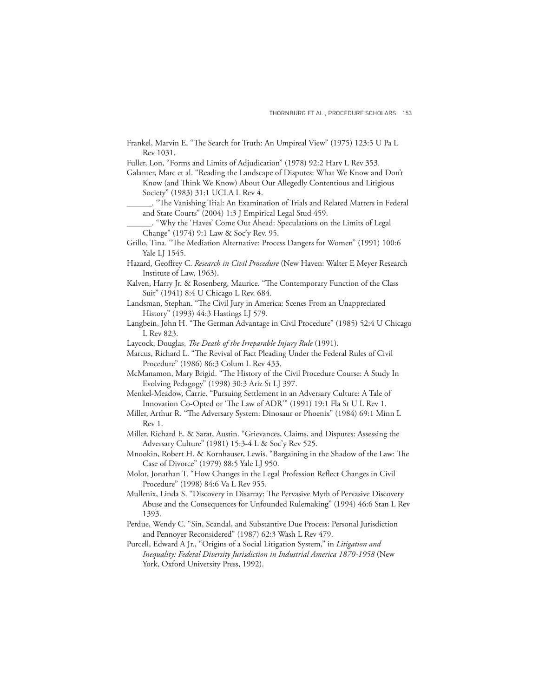- Frankel, Marvin E. "The Search for Truth: An Umpireal View" (1975) 123:5 U Pa L Rev 1031.
- Fuller, Lon, "Forms and Limits of Adjudication" (1978) 92:2 Harv L Rev 353.
- Galanter, Marc et al. "Reading the Landscape of Disputes: What We Know and Don't Know (and Think We Know) About Our Allegedly Contentious and Litigious Society" (1983) 31:1 UCLA L Rev 4.
- \_\_\_\_\_\_. "Th e Vanishing Trial: An Examination of Trials and Related Matters in Federal and State Courts" (2004) 1:3 J Empirical Legal Stud 459.
- \_\_\_\_\_\_. "Why the 'Haves' Come Out Ahead: Speculations on the Limits of Legal Change" (1974) 9:1 Law & Soc'y Rev. 95.
- Grillo, Tina. "The Mediation Alternative: Process Dangers for Women" (1991) 100:6 Yale LJ 1545.
- Hazard, Geoffrey C. *Research in Civil Procedure* (New Haven: Walter E Meyer Research Institute of Law, 1963).
- Kalven, Harry Jr. & Rosenberg, Maurice. "The Contemporary Function of the Class Suit" (1941) 8:4 U Chicago L Rev. 684.
- Landsman, Stephan. "The Civil Jury in America: Scenes From an Unappreciated History" (1993) 44:3 Hastings LJ 579.
- Langbein, John H. "The German Advantage in Civil Procedure" (1985) 52:4 U Chicago L Rev 823.
- Laycock, Douglas, *The Death of the Irreparable Injury Rule* (1991).
- Marcus, Richard L. "The Revival of Fact Pleading Under the Federal Rules of Civil Procedure" (1986) 86:3 Colum L Rev 433.
- McManamon, Mary Brigid. "The History of the Civil Procedure Course: A Study In Evolving Pedagogy" (1998) 30:3 Ariz St LJ 397.
- Menkel-Meadow, Carrie. "Pursuing Settlement in an Adversary Culture: A Tale of Innovation Co-Opted or 'The Law of ADR'" (1991) 19:1 Fla St U L Rev 1.
- Miller, Arthur R. "The Adversary System: Dinosaur or Phoenix" (1984) 69:1 Minn L Rev 1.
- Miller, Richard E. & Sarat, Austin. "Grievances, Claims, and Disputes: Assessing the Adversary Culture" (1981) 15:3-4 L & Soc'y Rev 525.
- Mnookin, Robert H. & Kornhauser, Lewis. "Bargaining in the Shadow of the Law: The Case of Divorce" (1979) 88:5 Yale LJ 950.
- Molot, Jonathan T. "How Changes in the Legal Profession Reflect Changes in Civil Procedure" (1998) 84:6 Va L Rev 955.
- Mullenix, Linda S. "Discovery in Disarray: The Pervasive Myth of Pervasive Discovery Abuse and the Consequences for Unfounded Rulemaking" (1994) 46:6 Stan L Rev 1393.
- Perdue, Wendy C. "Sin, Scandal, and Substantive Due Process: Personal Jurisdiction and Pennoyer Reconsidered" (1987) 62:3 Wash L Rev 479.
- Purcell, Edward A Jr., "Origins of a Social Litigation System," in *Litigation and Inequality: Federal Diversity Jurisdiction in Industrial America 1870-1958* (New York, Oxford University Press, 1992).